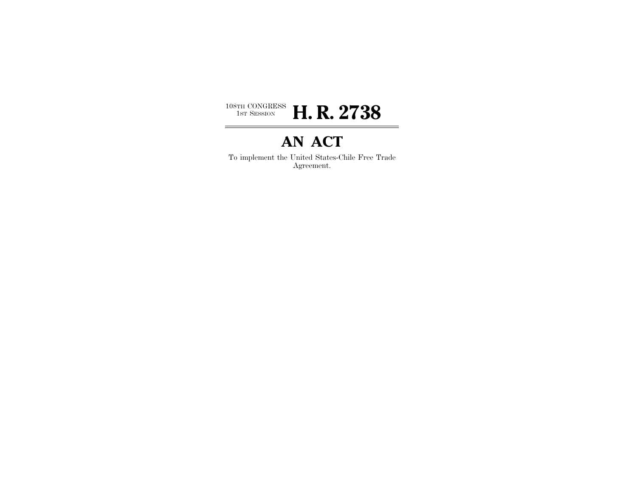

# **AN ACT**

To implement the United States-Chile Free Trade Agreement.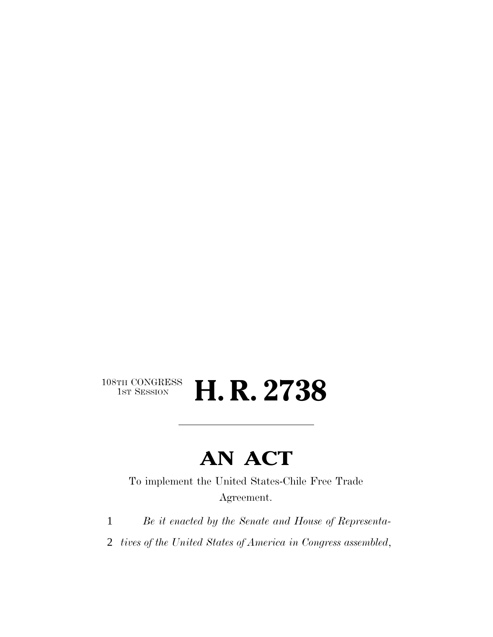# $108\text{TH CONGRESS}\over 1\text{ST} \text{Session}$ H. R. 2738

# **AN ACT**

To implement the United States-Chile Free Trade Agreement.

- 1 *Be it enacted by the Senate and House of Representa-*
- 2 *tives of the United States of America in Congress assembled*,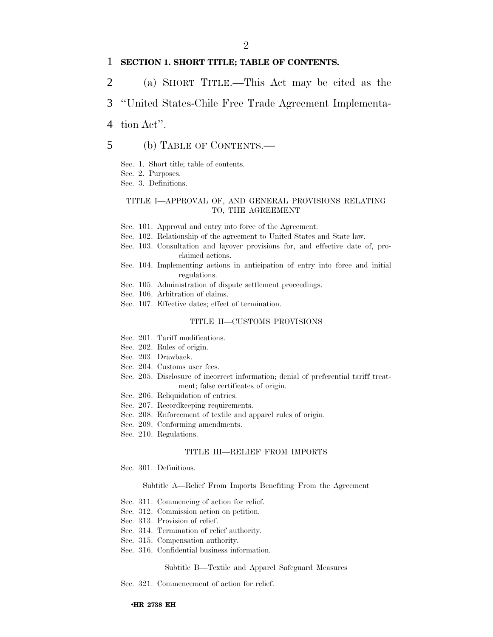## $\mathfrak{D}$

## 1 **SECTION 1. SHORT TITLE; TABLE OF CONTENTS.**

- 2 (a) SHORT TITLE.—This Act may be cited as the
- 3 ''United States-Chile Free Trade Agreement Implementa-
- 4 tion Act''.

## 5 (b) TABLE OF CONTENTS.—

- Sec. 1. Short title; table of contents.
- Sec. 2. Purposes.
- Sec. 3. Definitions.

### TITLE I—APPROVAL OF, AND GENERAL PROVISIONS RELATING TO, THE AGREEMENT

- Sec. 101. Approval and entry into force of the Agreement.
- Sec. 102. Relationship of the agreement to United States and State law.
- Sec. 103. Consultation and layover provisions for, and effective date of, proclaimed actions.
- Sec. 104. Implementing actions in anticipation of entry into force and initial regulations.
- Sec. 105. Administration of dispute settlement proceedings.
- Sec. 106. Arbitration of claims.
- Sec. 107. Effective dates; effect of termination.

#### TITLE II—CUSTOMS PROVISIONS

- Sec. 201. Tariff modifications.
- Sec. 202. Rules of origin.
- Sec. 203. Drawback.
- Sec. 204. Customs user fees.
- Sec. 205. Disclosure of incorrect information; denial of preferential tariff treatment; false certificates of origin.
- Sec. 206. Reliquidation of entries.
- Sec. 207. Recordkeeping requirements.
- Sec. 208. Enforcement of textile and apparel rules of origin.
- Sec. 209. Conforming amendments.
- Sec. 210. Regulations.

#### TITLE III—RELIEF FROM IMPORTS

Sec. 301. Definitions.

#### Subtitle A—Relief From Imports Benefiting From the Agreement

- Sec. 311. Commencing of action for relief.
- Sec. 312. Commission action on petition.
- Sec. 313. Provision of relief.
- Sec. 314. Termination of relief authority.
- Sec. 315. Compensation authority.
- Sec. 316. Confidential business information.

#### Subtitle B—Textile and Apparel Safeguard Measures

Sec. 321. Commencement of action for relief.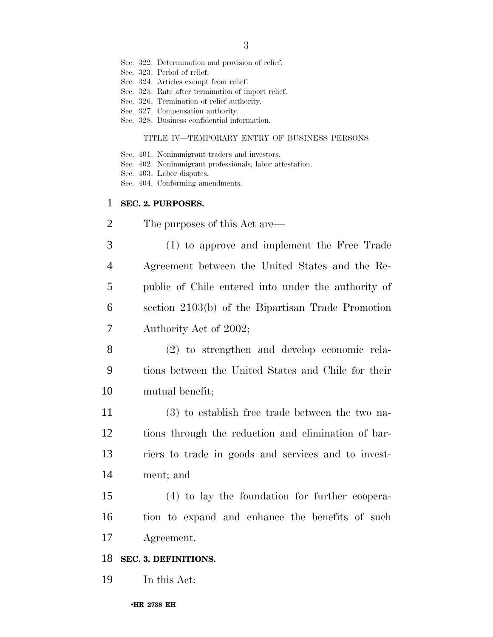- Sec. 322. Determination and provision of relief.
- Sec. 323. Period of relief.
- Sec. 324. Articles exempt from relief.
- Sec. 325. Rate after termination of import relief.
- Sec. 326. Termination of relief authority.
- Sec. 327. Compensation authority.
- Sec. 328. Business confidential information.

#### TITLE IV—TEMPORARY ENTRY OF BUSINESS PERSONS

- Sec. 401. Nonimmigrant traders and investors.
- Sec. 402. Nonimmigrant professionals; labor attestation.
- Sec. 403. Labor disputes.
- Sec. 404. Conforming amendments.

## **SEC. 2. PURPOSES.**

- The purposes of this Act are—
- (1) to approve and implement the Free Trade Agreement between the United States and the Re- public of Chile entered into under the authority of section 2103(b) of the Bipartisan Trade Promotion Authority Act of 2002;
- (2) to strengthen and develop economic rela- tions between the United States and Chile for their mutual benefit;
- (3) to establish free trade between the two na- tions through the reduction and elimination of bar- riers to trade in goods and services and to invest-ment; and
- (4) to lay the foundation for further coopera- tion to expand and enhance the benefits of such Agreement.

## **SEC. 3. DEFINITIONS.**

In this Act: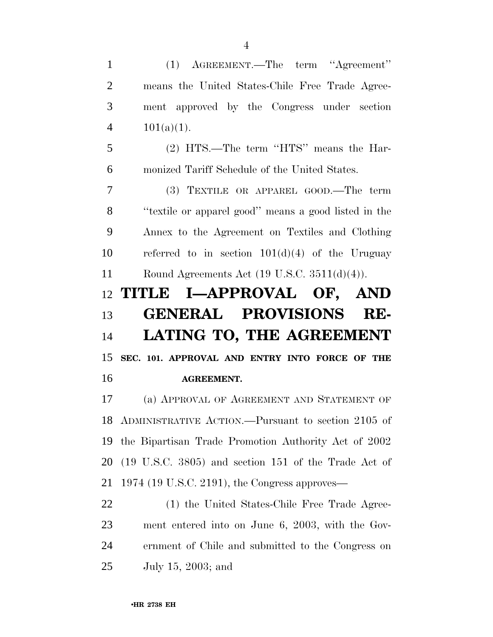(1) AGREEMENT.—The term ''Agreement'' means the United States-Chile Free Trade Agree- ment approved by the Congress under section  $101(a)(1)$ .

 (2) HTS.—The term ''HTS'' means the Har-monized Tariff Schedule of the United States.

 (3) TEXTILE OR APPAREL GOOD.—The term ''textile or apparel good'' means a good listed in the Annex to the Agreement on Textiles and Clothing 10 referred to in section  $101(d)(4)$  of the Uruguay Round Agreements Act (19 U.S.C. 3511(d)(4)).

# **TITLE I—APPROVAL OF, AND GENERAL PROVISIONS RE- LATING TO, THE AGREEMENT SEC. 101. APPROVAL AND ENTRY INTO FORCE OF THE AGREEMENT.**

 (a) APPROVAL OF AGREEMENT AND STATEMENT OF ADMINISTRATIVE ACTION.—Pursuant to section 2105 of the Bipartisan Trade Promotion Authority Act of 2002 (19 U.S.C. 3805) and section 151 of the Trade Act of 1974 (19 U.S.C. 2191), the Congress approves—

 (1) the United States-Chile Free Trade Agree- ment entered into on June 6, 2003, with the Gov- ernment of Chile and submitted to the Congress on July 15, 2003; and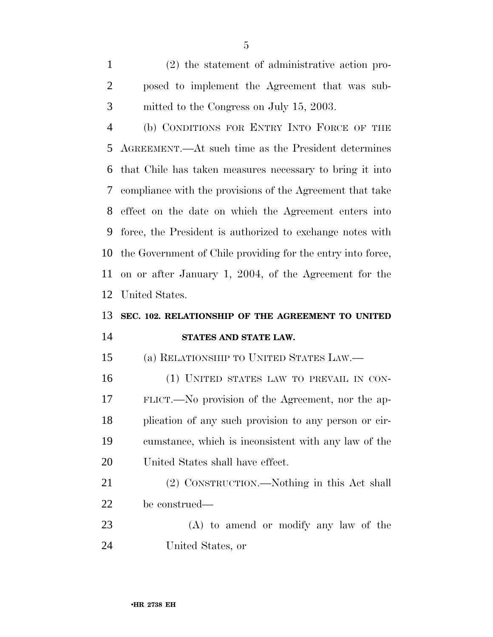(2) the statement of administrative action pro- posed to implement the Agreement that was sub-mitted to the Congress on July 15, 2003.

 (b) CONDITIONS FOR ENTRY INTO FORCE OF THE AGREEMENT.—At such time as the President determines that Chile has taken measures necessary to bring it into compliance with the provisions of the Agreement that take effect on the date on which the Agreement enters into force, the President is authorized to exchange notes with the Government of Chile providing for the entry into force, on or after January 1, 2004, of the Agreement for the United States.

# **SEC. 102. RELATIONSHIP OF THE AGREEMENT TO UNITED STATES AND STATE LAW.**

(a) RELATIONSHIP TO UNITED STATES LAW.—

16 (1) UNITED STATES LAW TO PREVAIL IN CON- FLICT.—No provision of the Agreement, nor the ap- plication of any such provision to any person or cir- cumstance, which is inconsistent with any law of the United States shall have effect.

 (2) CONSTRUCTION.—Nothing in this Act shall be construed—

 (A) to amend or modify any law of the United States, or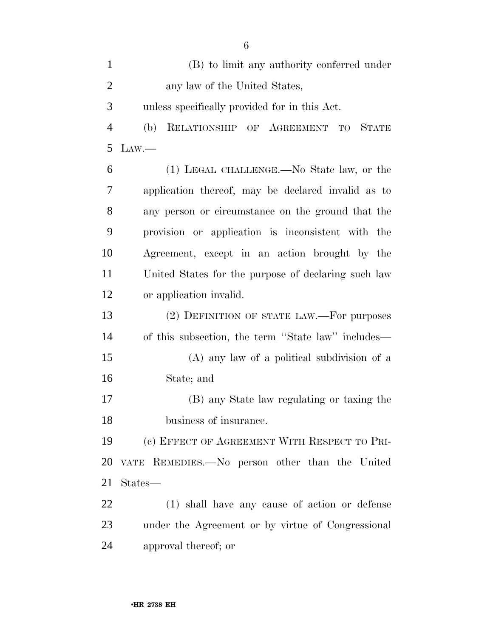| $\mathbf{1}$   | (B) to limit any authority conferred under             |
|----------------|--------------------------------------------------------|
| $\overline{2}$ | any law of the United States,                          |
| 3              | unless specifically provided for in this Act.          |
| $\overline{4}$ | RELATIONSHIP OF AGREEMENT<br>STATE<br>(b)<br><b>TO</b> |
| 5              | $\text{Law}$ .                                         |
| 6              | (1) LEGAL CHALLENGE.—No State law, or the              |
| 7              | application thereof, may be declared invalid as to     |
| 8              | any person or circumstance on the ground that the      |
| 9              | provision or application is inconsistent with the      |
| 10             | Agreement, except in an action brought by the          |
| 11             | United States for the purpose of declaring such law    |
| 12             | or application invalid.                                |
| 13             | (2) DEFINITION OF STATE LAW.—For purposes              |
| 14             | of this subsection, the term "State law" includes—     |
| 15             | (A) any law of a political subdivision of a            |
| 16             | State; and                                             |
| 17             | (B) any State law regulating or taxing the             |
| 18             | business of insurance.                                 |
| 19             | (c) EFFECT OF AGREEMENT WITH RESPECT TO PRI-           |
| 20             | VATE REMEDIES. No person other than the United         |
| 21             | States—                                                |
| 22             | (1) shall have any cause of action or defense          |
| 23             | under the Agreement or by virtue of Congressional      |
| 24             | approval thereof; or                                   |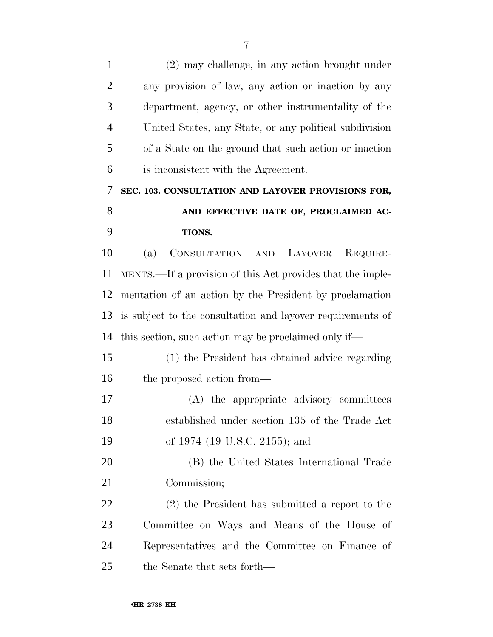(2) may challenge, in any action brought under any provision of law, any action or inaction by any department, agency, or other instrumentality of the United States, any State, or any political subdivision of a State on the ground that such action or inaction is inconsistent with the Agreement. **SEC. 103. CONSULTATION AND LAYOVER PROVISIONS FOR, AND EFFECTIVE DATE OF, PROCLAIMED AC- TIONS.** (a) CONSULTATION AND LAYOVER REQUIRE- MENTS.—If a provision of this Act provides that the imple- mentation of an action by the President by proclamation is subject to the consultation and layover requirements of this section, such action may be proclaimed only if— (1) the President has obtained advice regarding the proposed action from— (A) the appropriate advisory committees established under section 135 of the Trade Act of 1974 (19 U.S.C. 2155); and (B) the United States International Trade Commission; (2) the President has submitted a report to the Committee on Ways and Means of the House of Representatives and the Committee on Finance of

the Senate that sets forth—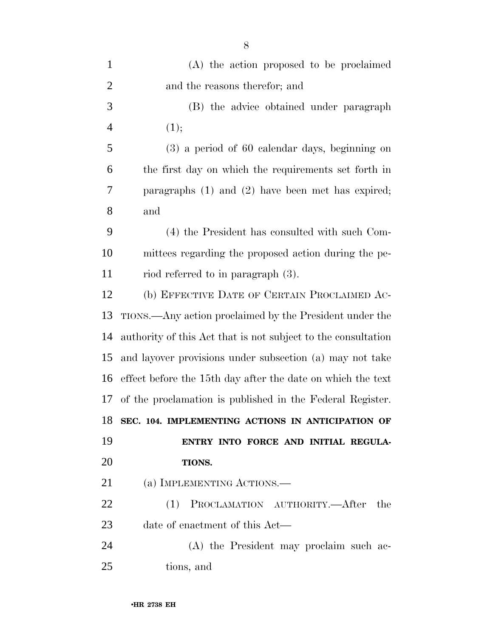| $\mathbf{1}$   | (A) the action proposed to be proclaimed                      |
|----------------|---------------------------------------------------------------|
| $\overline{2}$ | and the reasons therefor; and                                 |
| 3              | (B) the advice obtained under paragraph                       |
| $\overline{4}$ | (1);                                                          |
| 5              | $(3)$ a period of 60 calendar days, beginning on              |
| 6              | the first day on which the requirements set forth in          |
| 7              | paragraphs $(1)$ and $(2)$ have been met has expired;         |
| 8              | and                                                           |
| 9              | (4) the President has consulted with such Com-                |
| 10             | mittees regarding the proposed action during the pe-          |
| 11             | riod referred to in paragraph $(3)$ .                         |
| 12             | (b) EFFECTIVE DATE OF CERTAIN PROCLAIMED AC-                  |
| 13             | TIONS.—Any action proclaimed by the President under the       |
| 14             | authority of this Act that is not subject to the consultation |
| 15             | and layover provisions under subsection (a) may not take      |
| 16             | effect before the 15th day after the date on which the text   |
| 17             | of the proclamation is published in the Federal Register.     |
| 18             | SEC. 104. IMPLEMENTING ACTIONS IN ANTICIPATION OF             |
| 19             | ENTRY INTO FORCE AND INITIAL REGULA-                          |
| 20             | TIONS.                                                        |
| 21             | (a) IMPLEMENTING ACTIONS.—                                    |
| 22             | (1) PROCLAMATION AUTHORITY.—After the                         |
| 23             | date of enactment of this Act—                                |
| 24             | (A) the President may proclaim such ac-                       |
| 25             | tions, and                                                    |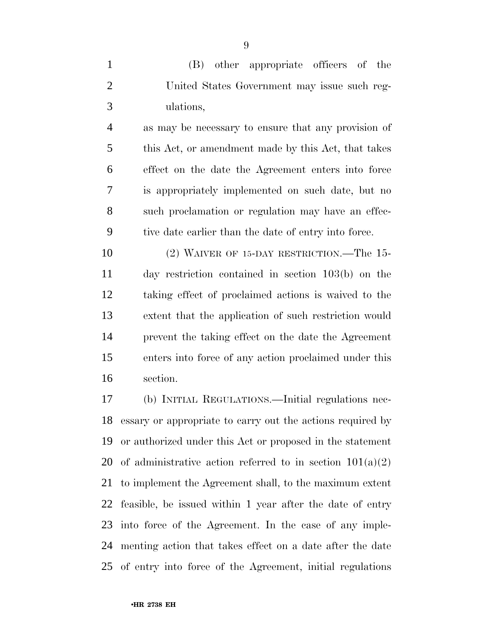(B) other appropriate officers of the United States Government may issue such reg-ulations,

 as may be necessary to ensure that any provision of this Act, or amendment made by this Act, that takes effect on the date the Agreement enters into force is appropriately implemented on such date, but no such proclamation or regulation may have an effec-tive date earlier than the date of entry into force.

 (2) WAIVER OF 15-DAY RESTRICTION.—The 15- day restriction contained in section 103(b) on the taking effect of proclaimed actions is waived to the extent that the application of such restriction would prevent the taking effect on the date the Agreement enters into force of any action proclaimed under this section.

 (b) INITIAL REGULATIONS.—Initial regulations nec- essary or appropriate to carry out the actions required by or authorized under this Act or proposed in the statement 20 of administrative action referred to in section  $101(a)(2)$  to implement the Agreement shall, to the maximum extent feasible, be issued within 1 year after the date of entry into force of the Agreement. In the case of any imple- menting action that takes effect on a date after the date of entry into force of the Agreement, initial regulations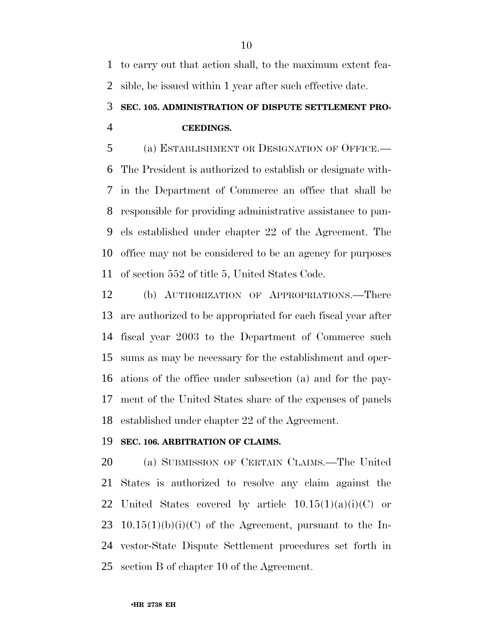to carry out that action shall, to the maximum extent fea-sible, be issued within 1 year after such effective date.

# **SEC. 105. ADMINISTRATION OF DISPUTE SETTLEMENT PRO-CEEDINGS.**

 (a) ESTABLISHMENT OR DESIGNATION OF OFFICE.— The President is authorized to establish or designate with- in the Department of Commerce an office that shall be responsible for providing administrative assistance to pan- els established under chapter 22 of the Agreement. The office may not be considered to be an agency for purposes of section 552 of title 5, United States Code.

 (b) AUTHORIZATION OF APPROPRIATIONS.—There are authorized to be appropriated for each fiscal year after fiscal year 2003 to the Department of Commerce such sums as may be necessary for the establishment and oper- ations of the office under subsection (a) and for the pay- ment of the United States share of the expenses of panels established under chapter 22 of the Agreement.

## **SEC. 106. ARBITRATION OF CLAIMS.**

 (a) SUBMISSION OF CERTAIN CLAIMS.—The United States is authorized to resolve any claim against the 22 United States covered by article  $10.15(1)(a)(i)(C)$  or 23 10.15(1)(b)(i)(C) of the Agreement, pursuant to the In- vestor-State Dispute Settlement procedures set forth in section B of chapter 10 of the Agreement.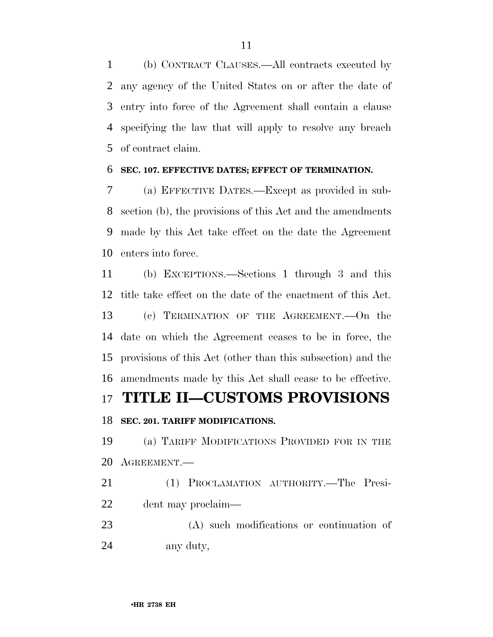(b) CONTRACT CLAUSES.—All contracts executed by any agency of the United States on or after the date of entry into force of the Agreement shall contain a clause specifying the law that will apply to resolve any breach of contract claim.

# **SEC. 107. EFFECTIVE DATES; EFFECT OF TERMINATION.**

 (a) EFFECTIVE DATES.—Except as provided in sub- section (b), the provisions of this Act and the amendments made by this Act take effect on the date the Agreement enters into force.

 (b) EXCEPTIONS.—Sections 1 through 3 and this title take effect on the date of the enactment of this Act. (c) TERMINATION OF THE AGREEMENT.—On the date on which the Agreement ceases to be in force, the provisions of this Act (other than this subsection) and the amendments made by this Act shall cease to be effective.

# **TITLE II—CUSTOMS PROVISIONS**

# **SEC. 201. TARIFF MODIFICATIONS.**

 (a) TARIFF MODIFICATIONS PROVIDED FOR IN THE AGREEMENT.—

 (1) PROCLAMATION AUTHORITY.—The Presi-dent may proclaim—

 (A) such modifications or continuation of any duty,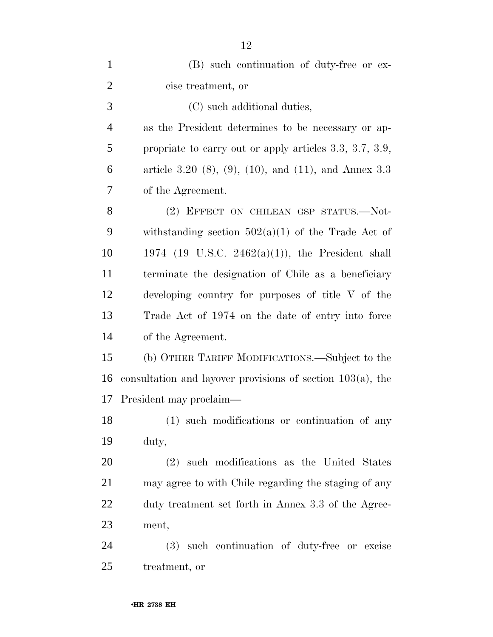| $\mathbf{1}$   | (B) such continuation of duty-free or ex-                        |
|----------------|------------------------------------------------------------------|
| $\overline{2}$ | cise treatment, or                                               |
| 3              | (C) such additional duties,                                      |
| $\overline{4}$ | as the President determines to be necessary or ap-               |
| 5              | propriate to carry out or apply articles $3.3, 3.7, 3.9,$        |
| 6              | article 3.20 $(8)$ , $(9)$ , $(10)$ , and $(11)$ , and Annex 3.3 |
| 7              | of the Agreement.                                                |
| 8              | (2) EFFECT ON CHILEAN GSP STATUS.-Not-                           |
| 9              | withstanding section $502(a)(1)$ of the Trade Act of             |
| 10             | 1974 (19 U.S.C. 2462(a)(1)), the President shall                 |
| 11             | terminate the designation of Chile as a beneficiary              |
| 12             | developing country for purposes of title V of the                |
| 13             | Trade Act of 1974 on the date of entry into force                |
| 14             | of the Agreement.                                                |
| 15             | (b) OTHER TARIFF MODIFICATIONS.—Subject to the                   |
| 16             | consultation and layover provisions of section $103(a)$ , the    |
| 17             | President may proclaim—                                          |
| 18             | (1) such modifications or continuation of any                    |
| 19             | duty,                                                            |
| <b>20</b>      | such modifications as the United States<br>(2)                   |
| 21             | may agree to with Chile regarding the staging of any             |
| 22             | duty treatment set forth in Annex 3.3 of the Agree-              |
| 23             | ment,                                                            |
| 24             | such continuation of duty-free or excise<br>(3)                  |
| 25             | treatment, or                                                    |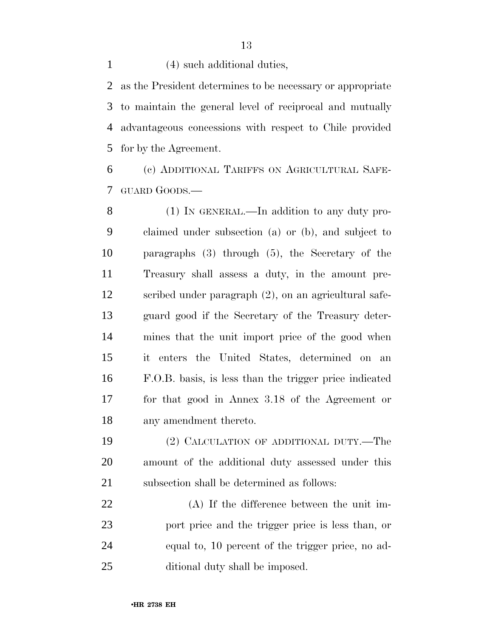(4) such additional duties,

 as the President determines to be necessary or appropriate to maintain the general level of reciprocal and mutually advantageous concessions with respect to Chile provided for by the Agreement.

 (c) ADDITIONAL TARIFFS ON AGRICULTURAL SAFE-GUARD GOODS.—

 (1) IN GENERAL.—In addition to any duty pro- claimed under subsection (a) or (b), and subject to paragraphs (3) through (5), the Secretary of the Treasury shall assess a duty, in the amount pre- scribed under paragraph (2), on an agricultural safe- guard good if the Secretary of the Treasury deter- mines that the unit import price of the good when it enters the United States, determined on an F.O.B. basis, is less than the trigger price indicated for that good in Annex 3.18 of the Agreement or any amendment thereto.

 (2) CALCULATION OF ADDITIONAL DUTY.—The amount of the additional duty assessed under this subsection shall be determined as follows:

 (A) If the difference between the unit im- port price and the trigger price is less than, or equal to, 10 percent of the trigger price, no ad-ditional duty shall be imposed.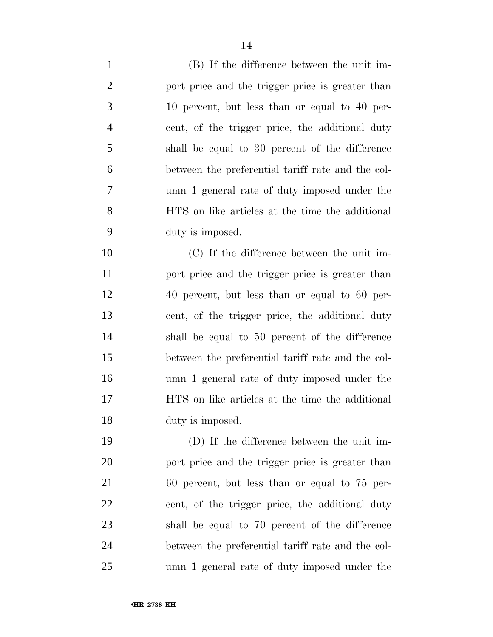| $\mathbf{1}$   | (B) If the difference between the unit im-        |
|----------------|---------------------------------------------------|
| $\overline{2}$ | port price and the trigger price is greater than  |
| 3              | 10 percent, but less than or equal to 40 per-     |
| $\overline{4}$ | cent, of the trigger price, the additional duty   |
| 5              | shall be equal to 30 percent of the difference    |
| 6              | between the preferential tariff rate and the col- |
| 7              | umn 1 general rate of duty imposed under the      |
| 8              | HTS on like articles at the time the additional   |
| 9              | duty is imposed.                                  |
| 10             | (C) If the difference between the unit im-        |
| 11             | port price and the trigger price is greater than  |
| 12             | 40 percent, but less than or equal to 60 per-     |
| 13             | cent, of the trigger price, the additional duty   |
| 14             | shall be equal to 50 percent of the difference    |
| 15             | between the preferential tariff rate and the col- |
| 16             | umn 1 general rate of duty imposed under the      |
| 17             | HTS on like articles at the time the additional   |
| 18             | duty is imposed.                                  |
| 19             | (D) If the difference between the unit im-        |
| 20             | port price and the trigger price is greater than  |
| 21             | 60 percent, but less than or equal to 75 per-     |
| 22             | cent, of the trigger price, the additional duty   |
| 23             | shall be equal to 70 percent of the difference    |

umn 1 general rate of duty imposed under the

between the preferential tariff rate and the col-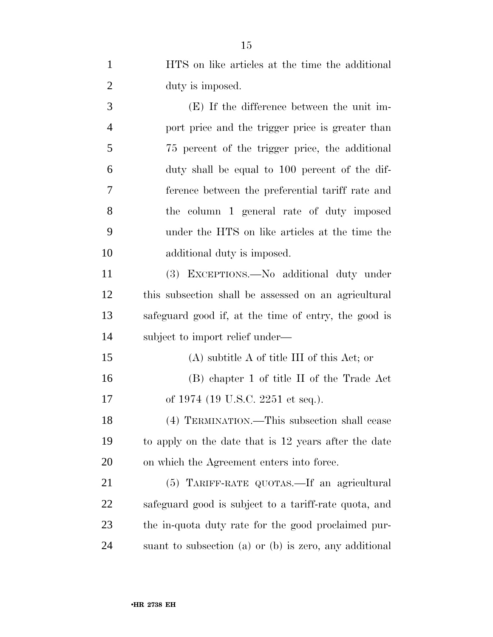HTS on like articles at the time the additional 2 duty is imposed.

 (E) If the difference between the unit im- port price and the trigger price is greater than 75 percent of the trigger price, the additional duty shall be equal to 100 percent of the dif- ference between the preferential tariff rate and the column 1 general rate of duty imposed under the HTS on like articles at the time the additional duty is imposed.

 (3) EXCEPTIONS.—No additional duty under this subsection shall be assessed on an agricultural safeguard good if, at the time of entry, the good is subject to import relief under—

 (A) subtitle A of title III of this Act; or (B) chapter 1 of title II of the Trade Act 17 of 1974 (19 U.S.C. 2251 et seq.).

 (4) TERMINATION.—This subsection shall cease to apply on the date that is 12 years after the date on which the Agreement enters into force.

 (5) TARIFF-RATE QUOTAS.—If an agricultural safeguard good is subject to a tariff-rate quota, and the in-quota duty rate for the good proclaimed pur-suant to subsection (a) or (b) is zero, any additional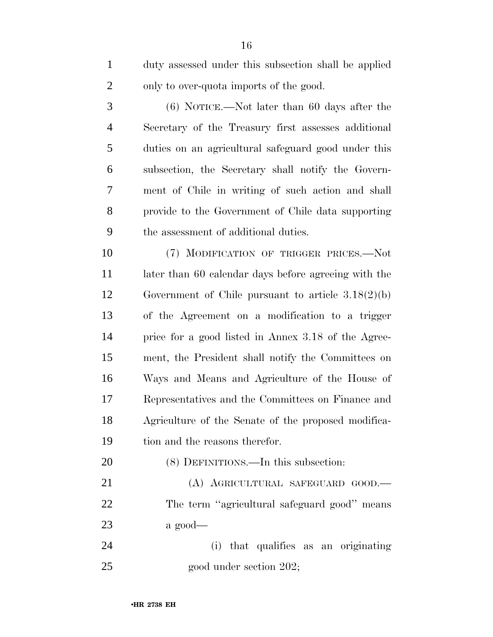| $\mathbf{1}$   | duty assessed under this subsection shall be applied |
|----------------|------------------------------------------------------|
| $\overline{2}$ | only to over-quota imports of the good.              |
| 3              | $(6)$ NOTICE.—Not later than 60 days after the       |
| $\overline{4}$ | Secretary of the Treasury first assesses additional  |
| 5              | duties on an agricultural safeguard good under this  |
| 6              | subsection, the Secretary shall notify the Govern-   |
| 7              | ment of Chile in writing of such action and shall    |
| 8              | provide to the Government of Chile data supporting   |
| 9              | the assessment of additional duties.                 |
| 10             | (7) MODIFICATION OF TRIGGER PRICES.-Not              |
| 11             | later than 60 calendar days before agreeing with the |
| 12             | Government of Chile pursuant to article $3.18(2)(b)$ |
| 13             | of the Agreement on a modification to a trigger      |
| 14             | price for a good listed in Annex 3.18 of the Agree-  |
| 15             | ment, the President shall notify the Committees on   |
| 16             | Ways and Means and Agriculture of the House of       |
| 17             | Representatives and the Committees on Finance and    |
| 18             | Agriculture of the Senate of the proposed modifica-  |
| 19             | tion and the reasons therefor.                       |
| 20             | (8) DEFINITIONS.—In this subsection:                 |
| 21             | (A) AGRICULTURAL SAFEGUARD GOOD.-                    |
| 22             | The term "agricultural safeguard good" means         |
| 23             | a good—                                              |

 (i) that qualifies as an originating 25 good under section 202;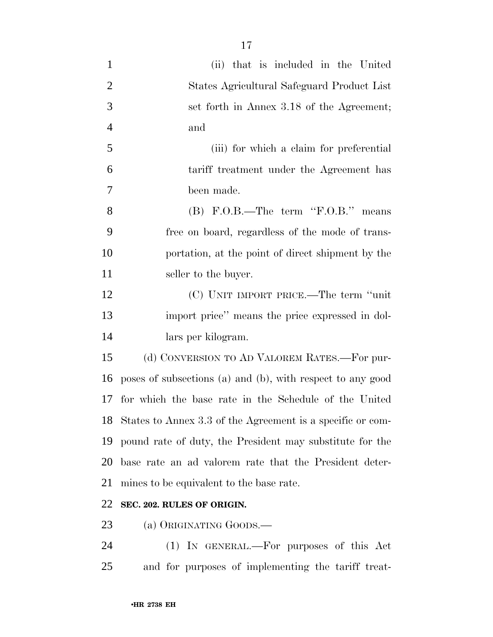| $\mathbf{1}$   | (ii) that is included in the United                        |
|----------------|------------------------------------------------------------|
| $\overline{2}$ | States Agricultural Safeguard Product List                 |
| 3              | set forth in Annex 3.18 of the Agreement;                  |
| $\overline{4}$ | and                                                        |
| 5              | (iii) for which a claim for preferential                   |
| 6              | tariff treatment under the Agreement has                   |
| 7              | been made.                                                 |
| 8              | (B) F.O.B.—The term 'F.O.B.' means                         |
| 9              | free on board, regardless of the mode of trans-            |
| 10             | portation, at the point of direct shipment by the          |
| 11             | seller to the buyer.                                       |
| 12             | (C) UNIT IMPORT PRICE.—The term "unit"                     |
| 13             | import price" means the price expressed in dol-            |
| 14             | lars per kilogram.                                         |
| 15             | (d) CONVERSION TO AD VALOREM RATES.—For pur-               |
| 16             | poses of subsections (a) and (b), with respect to any good |
| 17             | for which the base rate in the Schedule of the United      |
| 18             | States to Annex 3.3 of the Agreement is a specific or com- |
| 19             | pound rate of duty, the President may substitute for the   |
| 20             | base rate an ad valorem rate that the President deter-     |
| 21             | mines to be equivalent to the base rate.                   |
| 22             | SEC. 202. RULES OF ORIGIN.                                 |
|                |                                                            |

(a) ORIGINATING GOODS.—

 (1) IN GENERAL.—For purposes of this Act and for purposes of implementing the tariff treat-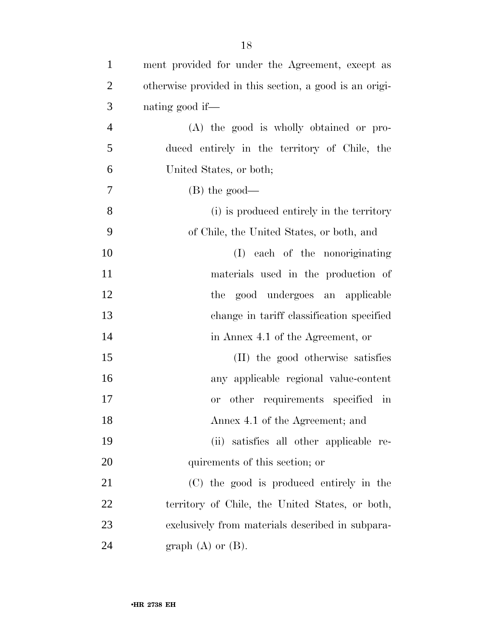| $\mathbf{1}$   | ment provided for under the Agreement, except as        |
|----------------|---------------------------------------------------------|
| $\overline{2}$ | otherwise provided in this section, a good is an origi- |
| 3              | nating good if—                                         |
| $\overline{4}$ | (A) the good is wholly obtained or pro-                 |
| 5              | duced entirely in the territory of Chile, the           |
| 6              | United States, or both;                                 |
| 7              | $(B)$ the good—                                         |
| 8              | (i) is produced entirely in the territory               |
| 9              | of Chile, the United States, or both, and               |
| 10             | (I) each of the nonoriginating                          |
| 11             | materials used in the production of                     |
| 12             | the good undergoes an applicable                        |
| 13             | change in tariff classification specified               |
| 14             | in Annex 4.1 of the Agreement, or                       |
| 15             | (II) the good otherwise satisfies                       |
| 16             | any applicable regional value-content                   |
| 17             | other requirements specified in<br><b>or</b>            |
| 18             | Annex 4.1 of the Agreement; and                         |
| 19             | satisfies all other applicable re-<br>(ii)              |
| 20             | quirements of this section; or                          |
| 21             | (C) the good is produced entirely in the                |
| 22             | territory of Chile, the United States, or both,         |
| 23             | exclusively from materials described in subpara-        |
| 24             | graph $(A)$ or $(B)$ .                                  |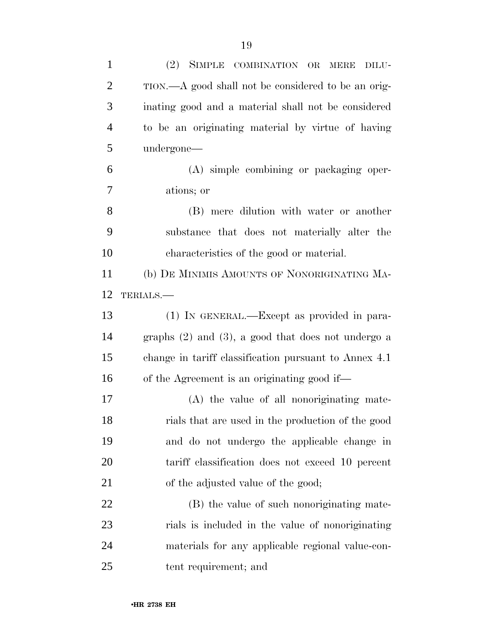| $\mathbf{1}$   | (2) SIMPLE COMBINATION OR MERE DILU-                    |
|----------------|---------------------------------------------------------|
| $\overline{2}$ | TION.—A good shall not be considered to be an orig-     |
| 3              | inating good and a material shall not be considered     |
| $\overline{4}$ | to be an originating material by virtue of having       |
| 5              | undergone—                                              |
| 6              | (A) simple combining or packaging oper-                 |
| 7              | ations; or                                              |
| 8              | (B) mere dilution with water or another                 |
| 9              | substance that does not materially alter the            |
| 10             | characteristics of the good or material.                |
| 11             | (b) DE MINIMIS AMOUNTS OF NONORIGINATING MA-            |
| 12             | TERIALS.                                                |
| 13             | (1) IN GENERAL.—Except as provided in para-             |
| 14             | graphs $(2)$ and $(3)$ , a good that does not undergo a |
| 15             | change in tariff classification pursuant to Annex 4.1   |
| 16             | of the Agreement is an originating good if—             |
| 17             | (A) the value of all nonoriginating mate-               |
| 18             | rials that are used in the production of the good       |
| 19             | and do not undergo the applicable change in             |
| 20             | tariff classification does not exceed 10 percent        |
| 21             | of the adjusted value of the good;                      |
| 22             | (B) the value of such nonoriginating mate-              |
| 23             | rials is included in the value of nonoriginating        |
| 24             | materials for any applicable regional value-con-        |
| 25             | tent requirement; and                                   |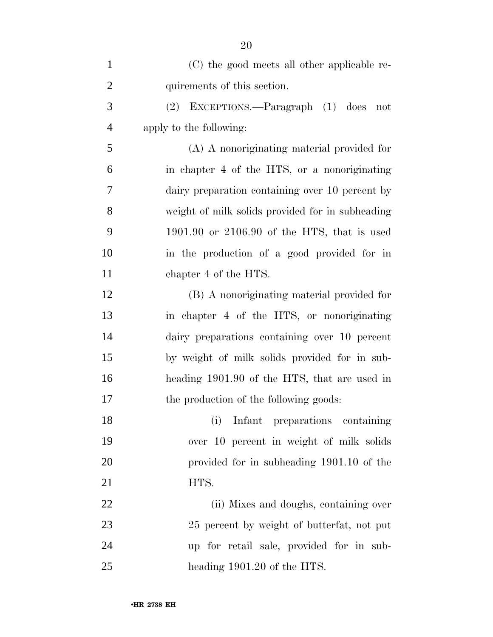| $\mathbf{1}$   | (C) the good meets all other applicable re-      |
|----------------|--------------------------------------------------|
| $\overline{2}$ | quirements of this section.                      |
| 3              | (2) EXCEPTIONS.—Paragraph (1) does<br>not        |
| $\overline{4}$ | apply to the following:                          |
| 5              | (A) A nonoriginating material provided for       |
| 6              | in chapter 4 of the HTS, or a nonoriginating     |
| 7              | dairy preparation containing over 10 percent by  |
| 8              | weight of milk solids provided for in subheading |
| 9              | $1901.90$ or $2106.90$ of the HTS, that is used  |
| 10             | in the production of a good provided for in      |
| 11             | chapter 4 of the HTS.                            |
| 12             | (B) A nonoriginating material provided for       |
| 13             | in chapter 4 of the HTS, or nonoriginating       |
| 14             | dairy preparations containing over 10 percent    |
| 15             | by weight of milk solids provided for in sub-    |
| 16             | heading 1901.90 of the HTS, that are used in     |
| 17             | the production of the following goods:           |
| 18             | Infant preparations containing<br>(i)            |
| 19             | over 10 percent in weight of milk solids         |
| 20             | provided for in subheading 1901.10 of the        |
| 21             | HTS.                                             |
| 22             | (ii) Mixes and doughs, containing over           |
| 23             | 25 percent by weight of butterfat, not put       |
| 24             | up for retail sale, provided for in sub-         |
| 25             | heading 1901.20 of the HTS.                      |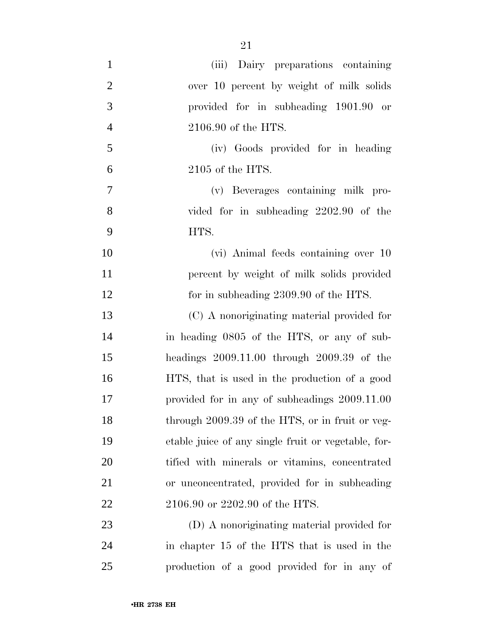| $\mathbf{1}$   | (iii) Dairy preparations containing                 |
|----------------|-----------------------------------------------------|
| $\overline{2}$ | over 10 percent by weight of milk solids            |
| 3              | provided for in subheading 1901.90 or               |
| $\overline{4}$ | 2106.90 of the HTS.                                 |
| 5              | (iv) Goods provided for in heading                  |
| 6              | $2105$ of the HTS.                                  |
| $\tau$         | (v) Beverages containing milk pro-                  |
| 8              | vided for in subheading 2202.90 of the              |
| 9              | HTS.                                                |
| 10             | (vi) Animal feeds containing over 10                |
| 11             | percent by weight of milk solids provided           |
| 12             | for in subheading 2309.90 of the HTS.               |
| 13             | (C) A nonoriginating material provided for          |
| 14             | in heading 0805 of the HTS, or any of sub-          |
| 15             | headings $2009.11.00$ through $2009.39$ of the      |
| 16             | HTS, that is used in the production of a good       |
| 17             | provided for in any of subheadings 2009.11.00       |
| 18             | through 2009.39 of the HTS, or in fruit or veg-     |
| 19             | etable juice of any single fruit or vegetable, for- |
| 20             | tified with minerals or vitamins, concentrated      |
| 21             | or unconcentrated, provided for in subheading       |
| 22             | 2106.90 or 2202.90 of the HTS.                      |
| 23             | (D) A nonoriginating material provided for          |
| 24             | in chapter 15 of the HTS that is used in the        |
| 25             | production of a good provided for in any of         |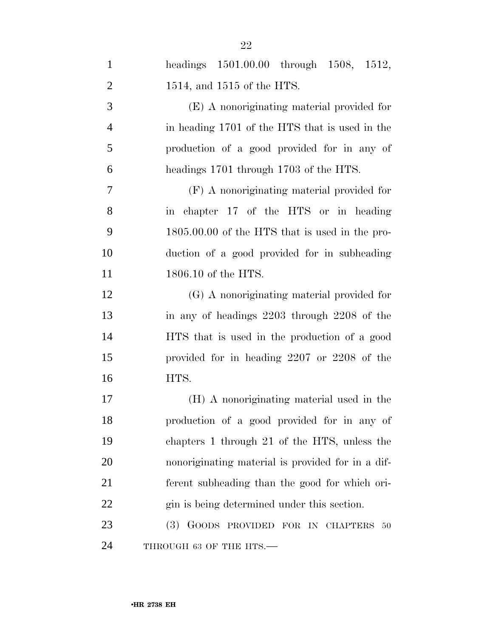| $\mathbf{1}$   | headings 1501.00.00 through 1508, 1512,           |
|----------------|---------------------------------------------------|
| $\overline{2}$ | 1514, and 1515 of the HTS.                        |
| 3              | (E) A nonoriginating material provided for        |
| $\overline{4}$ | in heading 1701 of the HTS that is used in the    |
| 5              | production of a good provided for in any of       |
| 6              | headings 1701 through 1703 of the HTS.            |
| $\tau$         | (F) A nonoriginating material provided for        |
| 8              | in chapter 17 of the HTS or in heading            |
| 9              | 1805.00.00 of the HTS that is used in the pro-    |
| 10             | duction of a good provided for in subheading      |
| 11             | 1806.10 of the HTS.                               |
| 12             | (G) A nonoriginating material provided for        |
| 13             | in any of headings 2203 through 2208 of the       |
| 14             | HTS that is used in the production of a good      |
| 15             | provided for in heading 2207 or 2208 of the       |
| 16             | HTS.                                              |
| 17             | (H) A nonoriginating material used in the         |
| 18             | production of a good provided for in any of       |
| 19             | chapters 1 through 21 of the HTS, unless the      |
| 20             | nonoriginating material is provided for in a dif- |
| 21             | ferent subheading than the good for which ori-    |
| 22             | gin is being determined under this section.       |
| 23             | (3) GOODS PROVIDED FOR IN CHAPTERS<br>50          |
| 24             | THROUGH 63 OF THE HTS.-                           |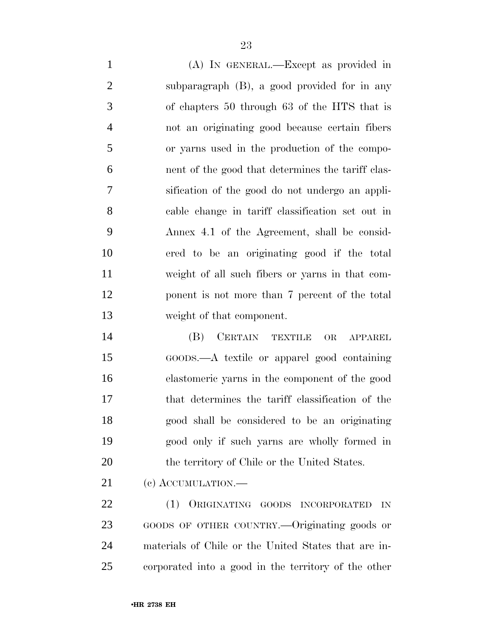(A) IN GENERAL.—Except as provided in subparagraph (B), a good provided for in any of chapters 50 through 63 of the HTS that is not an originating good because certain fibers or yarns used in the production of the compo- nent of the good that determines the tariff clas- sification of the good do not undergo an appli- cable change in tariff classification set out in Annex 4.1 of the Agreement, shall be consid- ered to be an originating good if the total weight of all such fibers or yarns in that com- ponent is not more than 7 percent of the total weight of that component.

 (B) CERTAIN TEXTILE OR APPAREL GOODS.—A textile or apparel good containing elastomeric yarns in the component of the good that determines the tariff classification of the good shall be considered to be an originating good only if such yarns are wholly formed in 20 the territory of Chile or the United States.

21 (c) ACCUMULATION.—

 (1) ORIGINATING GOODS INCORPORATED IN GOODS OF OTHER COUNTRY.—Originating goods or materials of Chile or the United States that are in-corporated into a good in the territory of the other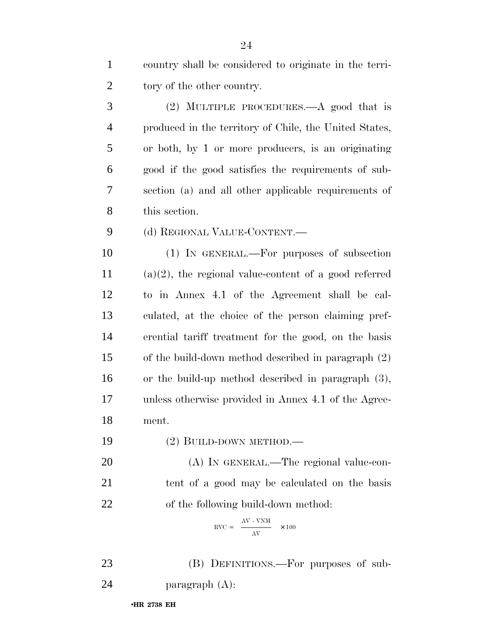| $\mathbf{1}$   | country shall be considered to originate in the terri-   |
|----------------|----------------------------------------------------------|
| $\overline{2}$ | tory of the other country.                               |
| 3              | (2) MULTIPLE PROCEDURES.—A good that is                  |
| $\overline{4}$ | produced in the territory of Chile, the United States,   |
| 5              | or both, by 1 or more producers, is an originating       |
| 6              | good if the good satisfies the requirements of sub-      |
| 7              | section (a) and all other applicable requirements of     |
| 8              | this section.                                            |
| 9              | (d) REGIONAL VALUE-CONTENT.—                             |
| 10             | (1) IN GENERAL.—For purposes of subsection               |
| 11             | $(a)(2)$ , the regional value-content of a good referred |
| 12             | to in Annex 4.1 of the Agreement shall be cal-           |
| 13             | culated, at the choice of the person claiming pref-      |
| 14             | erential tariff treatment for the good, on the basis     |
| 15             | of the build-down method described in paragraph (2)      |
| 16             | or the build-up method described in paragraph $(3)$ ,    |
| 17             | unless otherwise provided in Annex 4.1 of the Agree-     |
| 18             | ment.                                                    |
| 19             | (2) BUILD-DOWN METHOD.—                                  |
| 20             | (A) IN GENERAL.—The regional value-con-                  |
| 21             | tent of a good may be calculated on the basis            |
| 22             | of the following build-down method:                      |
|                |                                                          |

$$
RVC = \frac{AV - VNM}{AV} \times 100
$$

 (B) DEFINITIONS.—For purposes of sub-paragraph (A):

•**HR 2738 EH**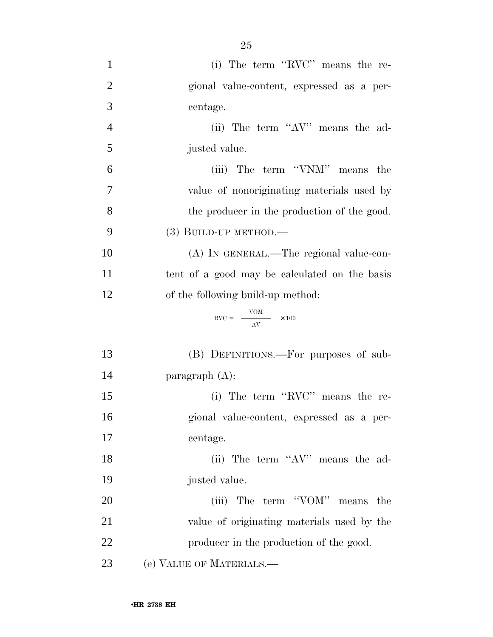| $\mathbf{1}$     | (i) The term "RVC" means the re-                       |
|------------------|--------------------------------------------------------|
| $\overline{2}$   | gional value-content, expressed as a per-              |
| 3                | centage.                                               |
| $\overline{4}$   | (ii) The term "AV" means the ad-                       |
| 5                | justed value.                                          |
| 6                | (iii) The term "VNM" means the                         |
| $\boldsymbol{7}$ | value of nonoriginating materials used by              |
| 8                | the producer in the production of the good.            |
| 9                | $(3)$ BUILD-UP METHOD.—                                |
| 10               | (A) IN GENERAL.—The regional value-con-                |
| 11               | tent of a good may be calculated on the basis          |
| 12               | of the following build-up method:                      |
|                  | $\text{RVC} = \frac{\text{VOM}}{\text{AV}} \times 100$ |
| 13               | (B) DEFINITIONS.—For purposes of sub-                  |
| 14               | paragraph $(A)$ :                                      |
| 15               | (i) The term "RVC" means the re-                       |
| 16               | gional value-content, expressed as a per-              |
| 17               | centage.                                               |
| 18               | (ii) The term "AV" means the ad-                       |
| 19               | justed value.                                          |
| 20               | (iii) The term "VOM" means the                         |
| 21               | value of originating materials used by the             |
| 22               | producer in the production of the good.                |
| 23               | (e) VALUE OF MATERIALS.—                               |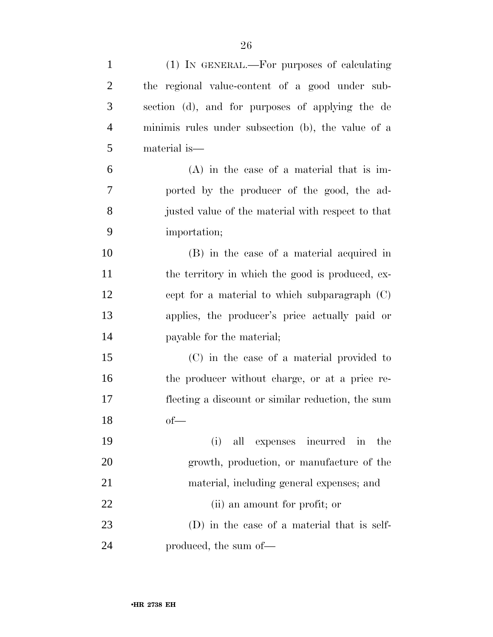| $\mathbf{1}$   | (1) IN GENERAL.—For purposes of calculating        |
|----------------|----------------------------------------------------|
| $\overline{2}$ | the regional value-content of a good under sub-    |
| 3              | section (d), and for purposes of applying the de   |
| $\overline{4}$ | minimis rules under subsection (b), the value of a |
| 5              | material is—                                       |
| 6              | $(A)$ in the case of a material that is im-        |
| 7              | ported by the producer of the good, the ad-        |
| 8              | justed value of the material with respect to that  |
| 9              | importation;                                       |
| 10             | (B) in the case of a material acquired in          |
| 11             | the territory in which the good is produced, ex-   |
| 12             | cept for a material to which subparagraph (C)      |
| 13             | applies, the producer's price actually paid or     |
| 14             | payable for the material;                          |
| 15             | (C) in the case of a material provided to          |
| 16             | the producer without charge, or at a price re-     |
| 17             | flecting a discount or similar reduction, the sum  |
| 18             | $of$ —                                             |
| 19             | all expenses incurred in the<br>(i)                |
| 20             | growth, production, or manufacture of the          |
| 21             | material, including general expenses; and          |
| 22             | (ii) an amount for profit; or                      |
| 23             | (D) in the case of a material that is self-        |
| 24             | produced, the sum of—                              |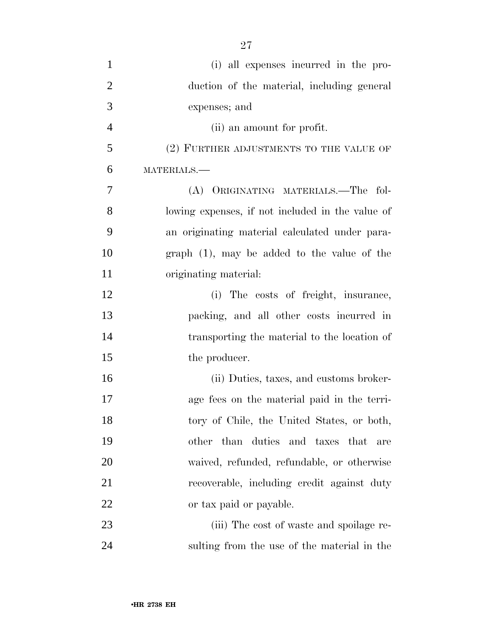| $\mathbf{1}$   | (i) all expenses incurred in the pro-            |
|----------------|--------------------------------------------------|
| $\overline{2}$ | duction of the material, including general       |
| 3              | expenses; and                                    |
| $\overline{4}$ | (ii) an amount for profit.                       |
| 5              | (2) FURTHER ADJUSTMENTS TO THE VALUE OF          |
| 6              | MATERIALS.-                                      |
| 7              | (A) ORIGINATING MATERIALS.—The fol-              |
| 8              | lowing expenses, if not included in the value of |
| 9              | an originating material calculated under para-   |
| 10             | graph $(1)$ , may be added to the value of the   |
| 11             | originating material:                            |
| 12             | The costs of freight, insurance,<br>(i)          |
| 13             | packing, and all other costs incurred in         |
| 14             | transporting the material to the location of     |
| 15             | the producer.                                    |
| 16             | (ii) Duties, taxes, and customs broker-          |
| 17             | age fees on the material paid in the terri-      |
| 18             | tory of Chile, the United States, or both,       |
| 19             | duties and taxes that<br>other<br>than<br>are    |
| 20             | waived, refunded, refundable, or otherwise       |
| 21             | recoverable, including credit against duty       |
| 22             | or tax paid or payable.                          |
| 23             | (iii) The cost of waste and spoilage re-         |
| 24             | sulting from the use of the material in the      |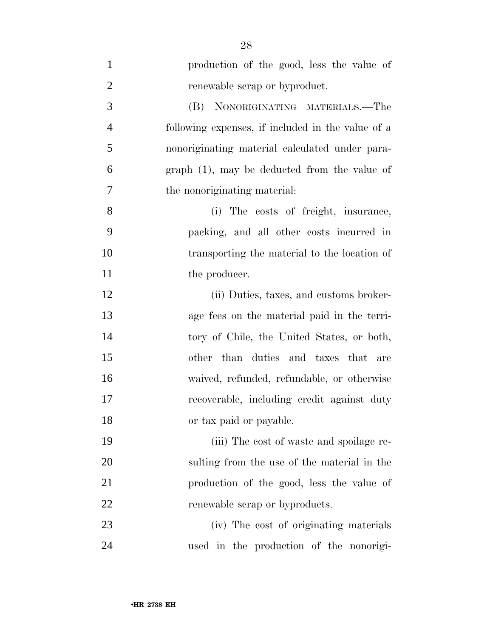| $\mathbf{1}$   | production of the good, less the value of         |
|----------------|---------------------------------------------------|
| $\overline{2}$ | renewable scrap or byproduct.                     |
| 3              | (B) NONORIGINATING MATERIALS.—The                 |
| $\overline{4}$ | following expenses, if included in the value of a |
| 5              | nonoriginating material calculated under para-    |
| 6              | $graph(1)$ , may be deducted from the value of    |
| 7              | the nonoriginating material:                      |
| 8              | (i) The costs of freight, insurance,              |
| 9              | packing, and all other costs incurred in          |
| 10             | transporting the material to the location of      |
| 11             | the producer.                                     |
| 12             | (ii) Duties, taxes, and customs broker-           |
| 13             | age fees on the material paid in the terri-       |
| 14             | tory of Chile, the United States, or both,        |
| 15             | other than duties and taxes that are              |
| 16             | waived, refunded, refundable, or otherwise        |
| 17             | recoverable, including credit against duty        |
| 18             | or tax paid or payable.                           |
| 19             | (iii) The cost of waste and spoilage re-          |
| 20             | sulting from the use of the material in the       |
| 21             | production of the good, less the value of         |
| 22             | renewable scrap or byproducts.                    |
| 23             | (iv) The cost of originating materials            |
| 24             | used in the production of the nonorigi-           |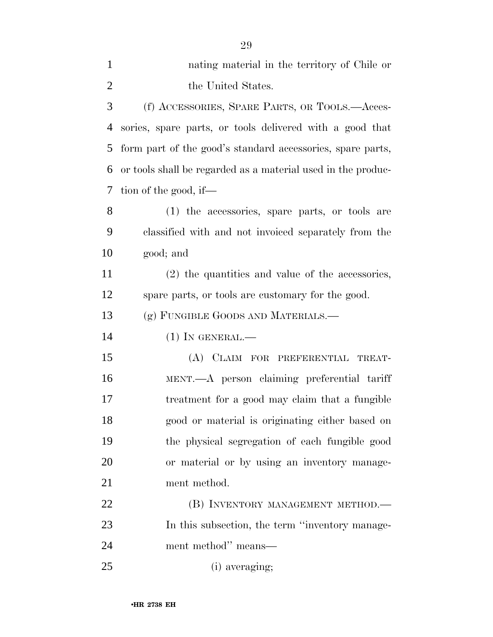| $\mathbf{1}$   | nating material in the territory of Chile or                 |
|----------------|--------------------------------------------------------------|
| $\overline{2}$ | the United States.                                           |
| 3              | (f) ACCESSORIES, SPARE PARTS, OR TOOLS.—Acces-               |
| $\overline{4}$ | sories, spare parts, or tools delivered with a good that     |
| 5              | form part of the good's standard accessories, spare parts,   |
| 6              | or tools shall be regarded as a material used in the produc- |
| 7              | tion of the good, if—                                        |
| 8              | (1) the accessories, spare parts, or tools are               |
| 9              | classified with and not invoiced separately from the         |
| 10             | good; and                                                    |
| 11             | $(2)$ the quantities and value of the accessories,           |
| 12             | spare parts, or tools are customary for the good.            |
| 13             | (g) FUNGIBLE GOODS AND MATERIALS.—                           |
| 14             | $(1)$ IN GENERAL.—                                           |
| 15             | (A) CLAIM FOR PREFERENTIAL TREAT-                            |
| 16             | MENT.—A person claiming preferential tariff                  |
| 17             | treatment for a good may claim that a fungible               |
| 18             | good or material is originating either based on              |
| 19             | the physical segregation of each fungible good               |
| 20             | or material or by using an inventory manage-                 |
| 21             | ment method.                                                 |
| 22             | (B) INVENTORY MANAGEMENT METHOD.-                            |
| 23             | In this subsection, the term "inventory manage-              |
| 24             | ment method" means—                                          |
| 25             | (i) averaging;                                               |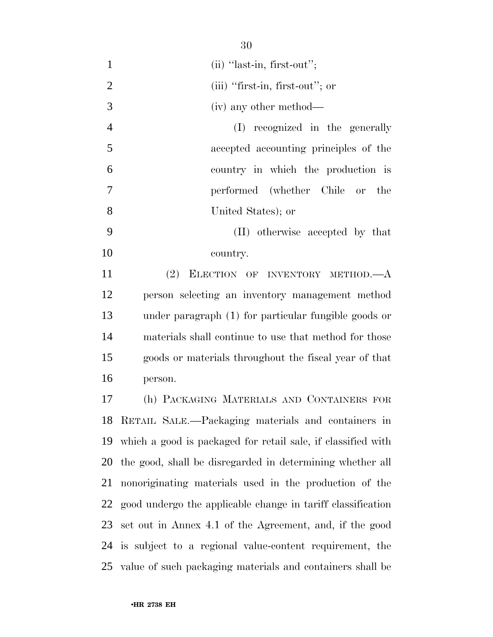$30^{\circ}$ 

|                | ov                                                           |
|----------------|--------------------------------------------------------------|
| $\mathbf{1}$   | $(ii)$ "last-in, first-out";                                 |
| $\overline{2}$ | $(iii)$ "first-in, first-out"; or                            |
| 3              | (iv) any other method—                                       |
| $\overline{4}$ | (I) recognized in the generally                              |
| 5              | accepted accounting principles of the                        |
| 6              | country in which the production is                           |
| $\overline{7}$ | performed (whether Chile or<br>the                           |
| 8              | United States); or                                           |
| 9              | (II) otherwise accepted by that                              |
| 10             | country.                                                     |
| 11             | (2) ELECTION OF INVENTORY METHOD.—A                          |
| 12             | person selecting an inventory management method              |
| 13             | under paragraph (1) for particular fungible goods or         |
| 14             | materials shall continue to use that method for those        |
| 15             | goods or materials throughout the fiscal year of that        |
| 16             | person.                                                      |
| 17             | (h) PACKAGING MATERIALS AND CONTAINERS FOR                   |
| 18             | RETAIL SALE.—Packaging materials and containers in           |
| 19             | which a good is packaged for retail sale, if classified with |
| 20             | the good, shall be disregarded in determining whether all    |
| 21             | nonoriginating materials used in the production of the       |
| 22             | good undergo the applicable change in tariff classification  |
| 23             | set out in Annex 4.1 of the Agreement, and, if the good      |
| 24             | is subject to a regional value-content requirement, the      |
| 25             | value of such packaging materials and containers shall be    |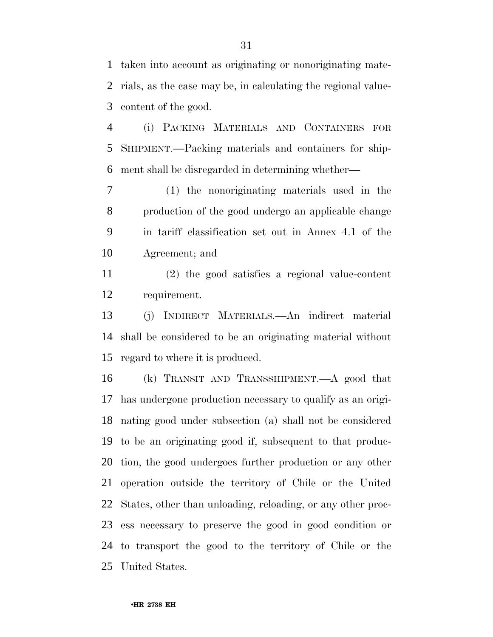taken into account as originating or nonoriginating mate- rials, as the case may be, in calculating the regional value-content of the good.

 (i) PACKING MATERIALS AND CONTAINERS FOR SHIPMENT.—Packing materials and containers for ship-ment shall be disregarded in determining whether—

 (1) the nonoriginating materials used in the production of the good undergo an applicable change in tariff classification set out in Annex 4.1 of the Agreement; and

 (2) the good satisfies a regional value-content requirement.

 (j) INDIRECT MATERIALS.—An indirect material shall be considered to be an originating material without regard to where it is produced.

 (k) TRANSIT AND TRANSSHIPMENT.—A good that has undergone production necessary to qualify as an origi- nating good under subsection (a) shall not be considered to be an originating good if, subsequent to that produc- tion, the good undergoes further production or any other operation outside the territory of Chile or the United States, other than unloading, reloading, or any other proc- ess necessary to preserve the good in good condition or to transport the good to the territory of Chile or the United States.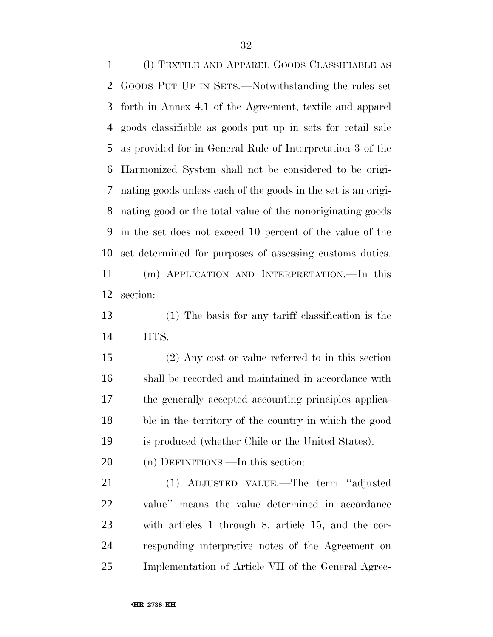(l) TEXTILE AND APPAREL GOODS CLASSIFIABLE AS GOODS PUT UP IN SETS.—Notwithstanding the rules set forth in Annex 4.1 of the Agreement, textile and apparel goods classifiable as goods put up in sets for retail sale as provided for in General Rule of Interpretation 3 of the Harmonized System shall not be considered to be origi- nating goods unless each of the goods in the set is an origi- nating good or the total value of the nonoriginating goods in the set does not exceed 10 percent of the value of the set determined for purposes of assessing customs duties. (m) APPLICATION AND INTERPRETATION.—In this section:

 (1) The basis for any tariff classification is the HTS.

 (2) Any cost or value referred to in this section shall be recorded and maintained in accordance with the generally accepted accounting principles applica- ble in the territory of the country in which the good is produced (whether Chile or the United States).

(n) DEFINITIONS.—In this section:

 (1) ADJUSTED VALUE.—The term ''adjusted value'' means the value determined in accordance with articles 1 through 8, article 15, and the cor- responding interpretive notes of the Agreement on Implementation of Article VII of the General Agree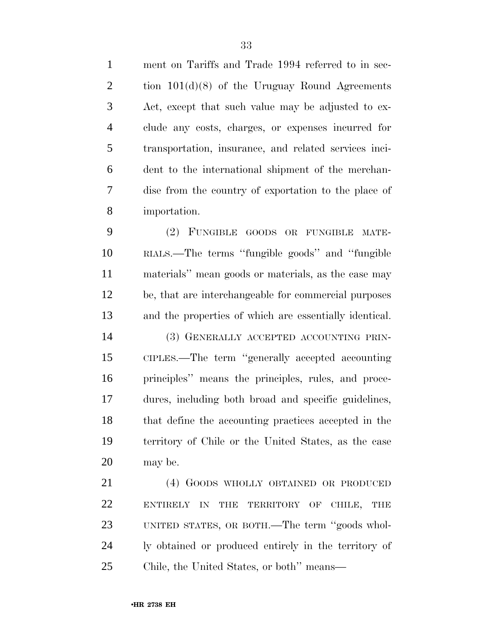ment on Tariffs and Trade 1994 referred to in sec- tion 101(d)(8) of the Uruguay Round Agreements Act, except that such value may be adjusted to ex- clude any costs, charges, or expenses incurred for transportation, insurance, and related services inci- dent to the international shipment of the merchan-dise from the country of exportation to the place of

 (2) FUNGIBLE GOODS OR FUNGIBLE MATE- RIALS.—The terms ''fungible goods'' and ''fungible materials'' mean goods or materials, as the case may be, that are interchangeable for commercial purposes and the properties of which are essentially identical. (3) GENERALLY ACCEPTED ACCOUNTING PRIN- CIPLES.—The term ''generally accepted accounting principles'' means the principles, rules, and proce- dures, including both broad and specific guidelines, that define the accounting practices accepted in the territory of Chile or the United States, as the case may be.

 (4) GOODS WHOLLY OBTAINED OR PRODUCED ENTIRELY IN THE TERRITORY OF CHILE, THE UNITED STATES, OR BOTH.—The term ''goods whol- ly obtained or produced entirely in the territory of Chile, the United States, or both'' means—

importation.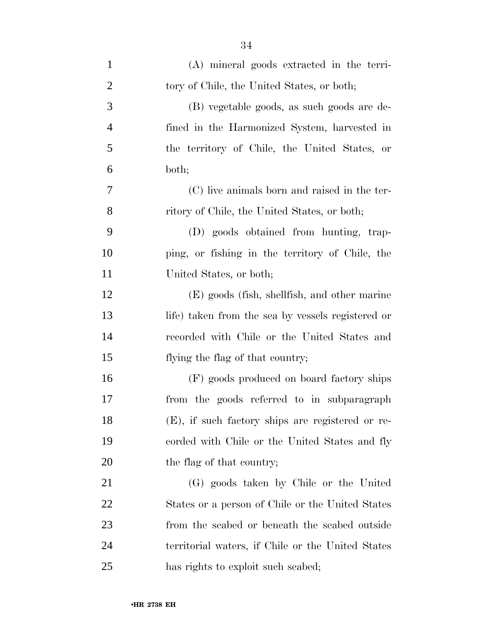| $\mathbf{1}$   | (A) mineral goods extracted in the terri-         |
|----------------|---------------------------------------------------|
| $\overline{2}$ | tory of Chile, the United States, or both;        |
| 3              | (B) vegetable goods, as such goods are de-        |
| $\overline{4}$ | fined in the Harmonized System, harvested in      |
| 5              | the territory of Chile, the United States, or     |
| 6              | both;                                             |
| 7              | (C) live animals born and raised in the ter-      |
| 8              | ritory of Chile, the United States, or both;      |
| 9              | (D) goods obtained from hunting, trap-            |
| 10             | ping, or fishing in the territory of Chile, the   |
| 11             | United States, or both;                           |
| 12             | (E) goods (fish, shellfish, and other marine      |
| 13             | life) taken from the sea by vessels registered or |
| 14             | recorded with Chile or the United States and      |
| 15             | flying the flag of that country;                  |
| 16             | (F) goods produced on board factory ships         |
| 17             | from the goods referred to in subparagraph        |
| 18             | (E), if such factory ships are registered or re-  |
| 19             | corded with Chile or the United States and fly    |
| 20             | the flag of that country;                         |
| 21             | (G) goods taken by Chile or the United            |
| 22             | States or a person of Chile or the United States  |
| 23             | from the seabed or beneath the seabed outside     |
| 24             | territorial waters, if Chile or the United States |
| 25             | has rights to exploit such seabed;                |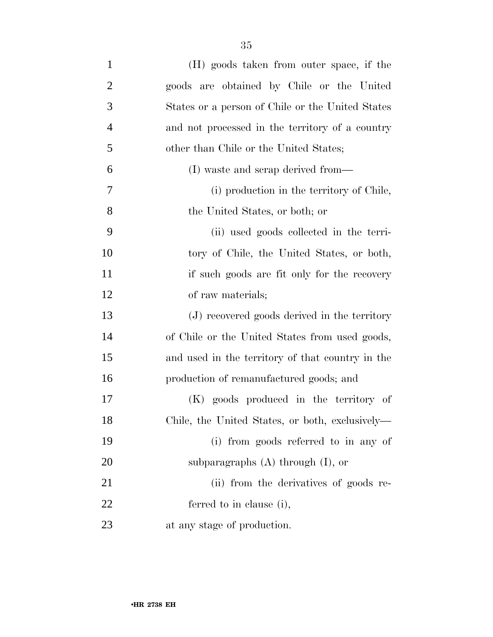| $\mathbf{1}$   | (H) goods taken from outer space, if the         |
|----------------|--------------------------------------------------|
| $\overline{2}$ | goods are obtained by Chile or the United        |
| 3              | States or a person of Chile or the United States |
| $\overline{4}$ | and not processed in the territory of a country  |
| 5              | other than Chile or the United States;           |
| 6              | (I) waste and scrap derived from—                |
| $\tau$         | (i) production in the territory of Chile,        |
| 8              | the United States, or both; or                   |
| 9              | (ii) used goods collected in the terri-          |
| 10             | tory of Chile, the United States, or both,       |
| 11             | if such goods are fit only for the recovery      |
| 12             | of raw materials;                                |
| 13             | (J) recovered goods derived in the territory     |
| 14             | of Chile or the United States from used goods,   |
| 15             | and used in the territory of that country in the |
| 16             | production of remanufactured goods; and          |
| 17             | (K) goods produced in the territory of           |
| 18             | Chile, the United States, or both, exclusively—  |
| 19             | (i) from goods referred to in any of             |
| 20             | subparagraphs $(A)$ through $(I)$ , or           |
|                |                                                  |

21 (ii) from the derivatives of goods re- ferred to in clause (i), at any stage of production.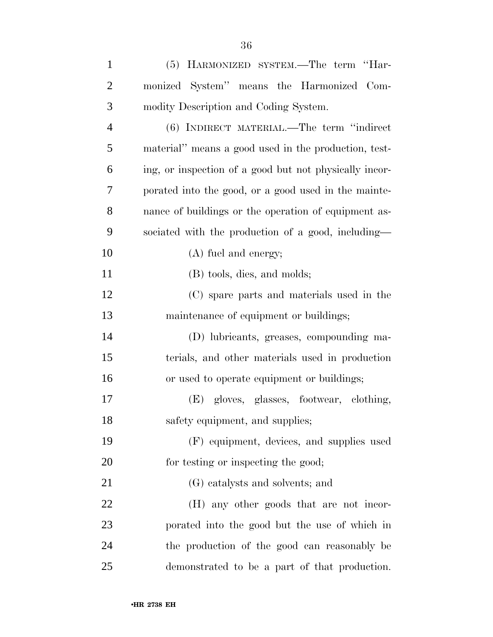| $\mathbf{1}$   | (5) HARMONIZED SYSTEM.—The term "Har-                  |
|----------------|--------------------------------------------------------|
| $\overline{2}$ | monized System" means the Harmonized Com-              |
| 3              | modity Description and Coding System.                  |
| $\overline{4}$ | (6) INDIRECT MATERIAL.—The term "indirect"             |
| 5              | material" means a good used in the production, test-   |
| 6              | ing, or inspection of a good but not physically incor- |
| 7              | porated into the good, or a good used in the mainte-   |
| 8              | nance of buildings or the operation of equipment as-   |
| 9              | sociated with the production of a good, including-     |
| 10             | $(A)$ fuel and energy;                                 |
| 11             | (B) tools, dies, and molds;                            |
| 12             | (C) spare parts and materials used in the              |
| 13             | maintenance of equipment or buildings;                 |
| 14             | (D) lubricants, greases, compounding ma-               |
| 15             | terials, and other materials used in production        |
| 16             | or used to operate equipment or buildings;             |
| 17             | (E) gloves, glasses, footwear, clothing,               |
| 18             | safety equipment, and supplies;                        |
| 19             | (F) equipment, devices, and supplies used              |
| 20             | for testing or inspecting the good;                    |
| 21             | (G) catalysts and solvents; and                        |
| $22\,$         | (H) any other goods that are not incor-                |
| 23             | porated into the good but the use of which in          |
| 24             | the production of the good can reasonably be           |
| 25             | demonstrated to be a part of that production.          |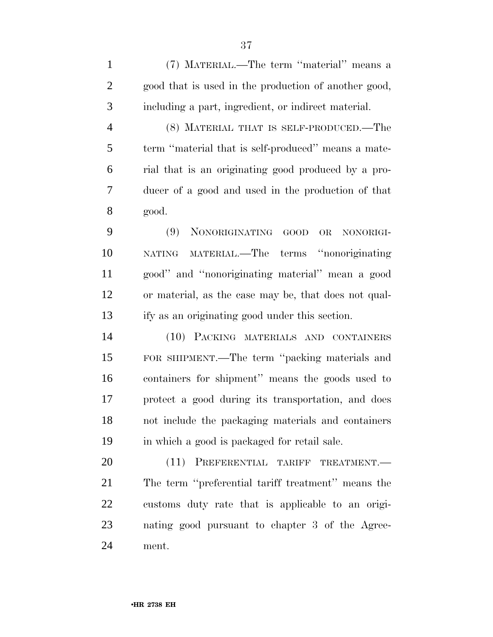(7) MATERIAL.—The term ''material'' means a good that is used in the production of another good, including a part, ingredient, or indirect material.

 (8) MATERIAL THAT IS SELF-PRODUCED.—The term ''material that is self-produced'' means a mate- rial that is an originating good produced by a pro- ducer of a good and used in the production of that good.

 (9) NONORIGINATING GOOD OR NONORIGI- NATING MATERIAL.—The terms ''nonoriginating good'' and ''nonoriginating material'' mean a good or material, as the case may be, that does not qual-ify as an originating good under this section.

 (10) PACKING MATERIALS AND CONTAINERS FOR SHIPMENT.—The term ''packing materials and containers for shipment'' means the goods used to protect a good during its transportation, and does not include the packaging materials and containers in which a good is packaged for retail sale.

20 (11) PREFERENTIAL TARIFF TREATMENT. The term ''preferential tariff treatment'' means the customs duty rate that is applicable to an origi- nating good pursuant to chapter 3 of the Agree-ment.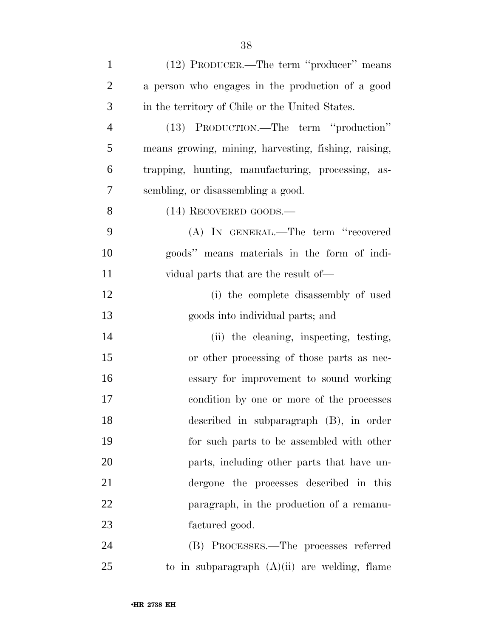| $\mathbf{1}$   | (12) PRODUCER.—The term "producer" means             |
|----------------|------------------------------------------------------|
| $\overline{2}$ | a person who engages in the production of a good     |
| 3              | in the territory of Chile or the United States.      |
| $\overline{4}$ | (13) PRODUCTION.—The term "production"               |
| 5              | means growing, mining, harvesting, fishing, raising, |
| 6              | trapping, hunting, manufacturing, processing, as-    |
| 7              | sembling, or disassembling a good.                   |
| 8              | (14) RECOVERED GOODS.—                               |
| 9              | (A) IN GENERAL.—The term "recovered                  |
| 10             | goods" means materials in the form of indi-          |
| 11             | vidual parts that are the result of—                 |
| 12             | (i) the complete disassembly of used                 |
| 13             | goods into individual parts; and                     |
| 14             | (ii) the cleaning, inspecting, testing,              |
| 15             | or other processing of those parts as nec-           |
| 16             | essary for improvement to sound working              |
| 17             | condition by one or more of the processes            |
| 18             | described in subparagraph (B), in order              |
| 19             | for such parts to be assembled with other            |
| 20             | parts, including other parts that have un-           |
| 21             | dergone the processes described in this              |
| 22             | paragraph, in the production of a remanu-            |
| 23             | factured good.                                       |
| 24             | (B) PROCESSES.—The processes referred                |
| 25             | to in subparagraph $(A)(ii)$ are welding, flame      |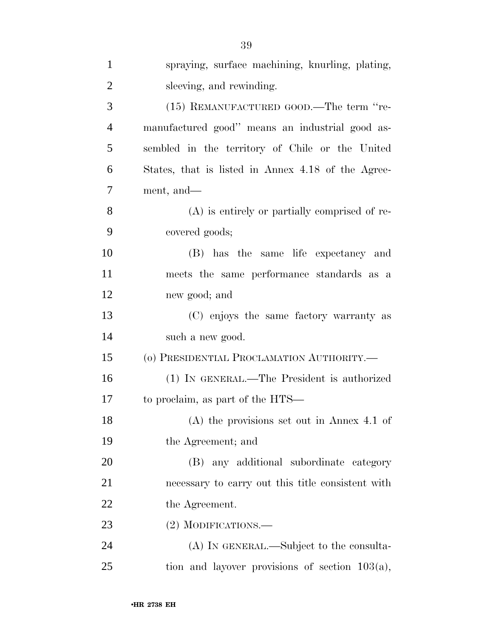| $\mathbf{1}$   | spraying, surface machining, knurling, plating,    |
|----------------|----------------------------------------------------|
| $\overline{2}$ | sleeving, and rewinding.                           |
| 3              | (15) REMANUFACTURED GOOD.—The term "re-            |
| $\overline{4}$ | manufactured good" means an industrial good as-    |
| 5              | sembled in the territory of Chile or the United    |
| 6              | States, that is listed in Annex 4.18 of the Agree- |
| 7              | ment, and—                                         |
| 8              | $(A)$ is entirely or partially comprised of re-    |
| 9              | covered goods;                                     |
| 10             | (B) has the same life expectancy and               |
| 11             | meets the same performance standards as a          |
| 12             | new good; and                                      |
| 13             | (C) enjoys the same factory warranty as            |
| 14             | such a new good.                                   |
| 15             | (o) PRESIDENTIAL PROCLAMATION AUTHORITY.-          |
| 16             | (1) IN GENERAL.—The President is authorized        |
| 17             | to proclaim, as part of the HTS—                   |
| 18             | $(A)$ the provisions set out in Annex 4.1 of       |
| 19             | the Agreement; and                                 |
| 20             | (B) any additional subordinate category            |
| 21             | necessary to carry out this title consistent with  |
| 22             | the Agreement.                                     |
| 23             | (2) MODIFICATIONS.—                                |
| 24             | (A) IN GENERAL.—Subject to the consulta-           |
| 25             | tion and layover provisions of section $103(a)$ ,  |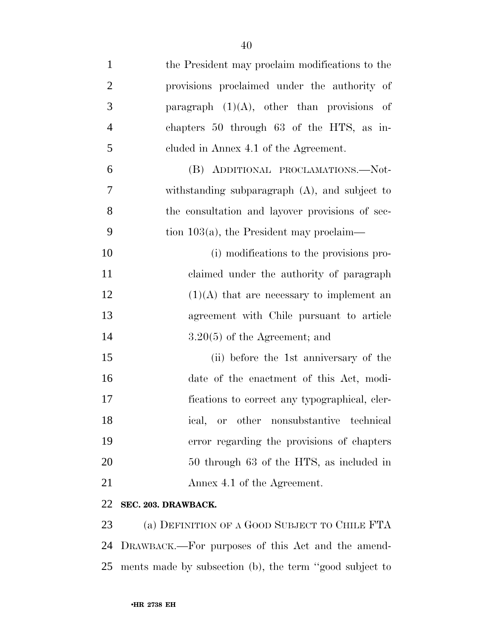| $\mathbf{1}$   | the President may proclaim modifications to the  |
|----------------|--------------------------------------------------|
| $\overline{2}$ | provisions proclaimed under the authority of     |
| 3              | paragraph $(1)(A)$ , other than provisions of    |
| $\overline{4}$ | chapters 50 through 63 of the HTS, as in-        |
| 5              | cluded in Annex 4.1 of the Agreement.            |
| 6              | (B) ADDITIONAL PROCLAMATIONS.-Not-               |
| 7              | withstanding subparagraph $(A)$ , and subject to |
| 8              | the consultation and layover provisions of sec-  |
| 9              | tion $103(a)$ , the President may proclaim—      |
| 10             | (i) modifications to the provisions pro-         |
| 11             | claimed under the authority of paragraph         |
| 12             | $(1)(A)$ that are necessary to implement an      |
| 13             | agreement with Chile pursuant to article         |
| 14             | $3.20(5)$ of the Agreement; and                  |
| 15             | (ii) before the 1st anniversary of the           |
| 16             | date of the enactment of this Act, modi-         |
| 17             | fications to correct any typographical, eler-    |
| 18             | ical, or other nonsubstantive technical          |
| 19             | error regarding the provisions of chapters       |
| 20             | 50 through 63 of the HTS, as included in         |
| 21             | Annex 4.1 of the Agreement.                      |
| 22             | SEC. 203. DRAWBACK.                              |

 (a) DEFINITION OF A GOOD SUBJECT TO CHILE FTA DRAWBACK.—For purposes of this Act and the amend-ments made by subsection (b), the term ''good subject to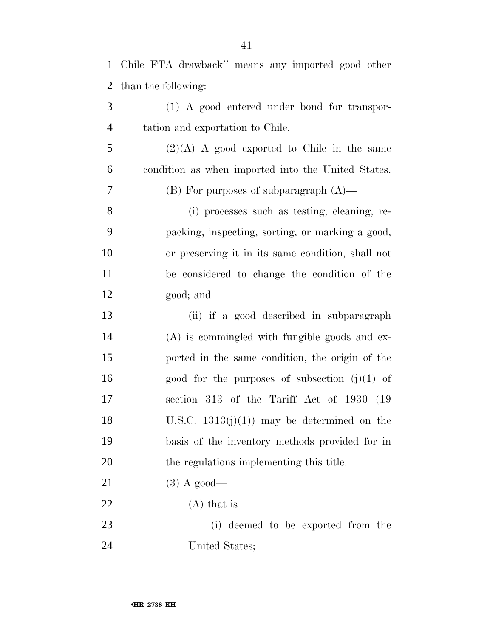|                | 1 Chile FTA drawback" means any imported good other |
|----------------|-----------------------------------------------------|
| 2              | than the following:                                 |
| 3              | $(1)$ A good entered under bond for transpor-       |
| $\overline{4}$ | tation and exportation to Chile.                    |
| 5              | $(2)(A)$ A good exported to Chile in the same       |
| 6              | condition as when imported into the United States.  |
| 7              | $(B)$ For purposes of subparagraph $(A)$ —          |
| $8\,$          | (i) processes such as testing, cleaning, re-        |
| 9              | packing, inspecting, sorting, or marking a good,    |
| 10             | or preserving it in its same condition, shall not   |
| 11             | be considered to change the condition of the        |
| 12             | good; and                                           |
| 13             | (ii) if a good described in subparagraph            |
| 14             | $(A)$ is commingled with fungible goods and ex-     |
| 15             | ported in the same condition, the origin of the     |
| 16             | good for the purposes of subsection $(j)(1)$ of     |
| 17             | section 313 of the Tariff Act of 1930 (19           |
| 18             | U.S.C. $1313(j)(1)$ may be determined on the        |
| 19             | basis of the inventory methods provided for in      |
| 20             | the regulations implementing this title.            |
| 21             | $(3)$ A good—                                       |
| 22             | $(A)$ that is —                                     |
| 23             | (i) deemed to be exported from the                  |
| 24             | United States;                                      |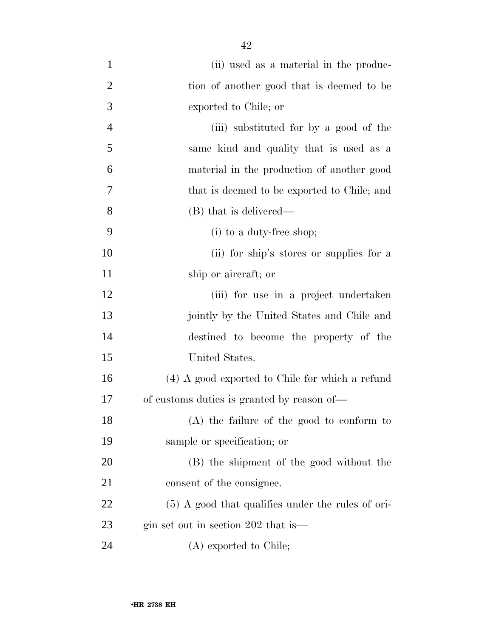| $\mathbf{1}$   | (ii) used as a material in the produc-              |
|----------------|-----------------------------------------------------|
| $\overline{2}$ | tion of another good that is deemed to be           |
| 3              | exported to Chile; or                               |
| $\overline{4}$ | (iii) substituted for by a good of the              |
| 5              | same kind and quality that is used as a             |
| 6              | material in the production of another good          |
| 7              | that is deemed to be exported to Chile; and         |
| 8              | (B) that is delivered—                              |
| 9              | $(i)$ to a duty-free shop;                          |
| 10             | (ii) for ship's stores or supplies for a            |
| 11             | ship or aircraft; or                                |
| 12             | (iii) for use in a project undertaken               |
| 13             | jointly by the United States and Chile and          |
| 14             | destined to become the property of the              |
| 15             | United States.                                      |
| 16             | $(4)$ A good exported to Chile for which a refund   |
| 17             | of customs duties is granted by reason of—          |
| 18             | (A) the failure of the good to conform to           |
| 19             | sample or specification; or                         |
| 20             | (B) the shipment of the good without the            |
| 21             | consent of the consignee.                           |
| 22             | $(5)$ A good that qualifies under the rules of ori- |
| 23             | gin set out in section 202 that is—                 |
| 24             | (A) exported to Chile;                              |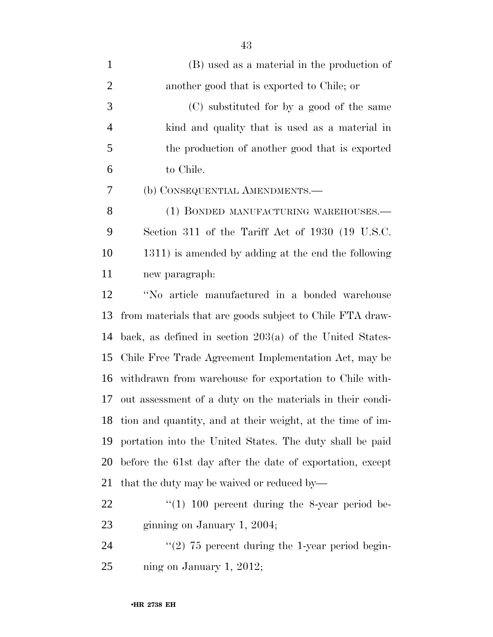| $\mathbf{1}$   | (B) used as a material in the production of                   |
|----------------|---------------------------------------------------------------|
| $\overline{2}$ | another good that is exported to Chile; or                    |
| 3              | (C) substituted for by a good of the same                     |
| $\overline{4}$ | kind and quality that is used as a material in                |
| 5              | the production of another good that is exported               |
| 6              | to Chile.                                                     |
| 7              | (b) CONSEQUENTIAL AMENDMENTS.—                                |
| 8              | (1) BONDED MANUFACTURING WAREHOUSES.—                         |
| 9              | Section 311 of the Tariff Act of 1930 (19 U.S.C.              |
| 10             | 1311) is amended by adding at the end the following           |
| 11             | new paragraph:                                                |
| 12             | "No article manufactured in a bonded warehouse                |
| 13             | from materials that are goods subject to Chile FTA draw-      |
| 14             | back, as defined in section $203(a)$ of the United States-    |
| 15             | Chile Free Trade Agreement Implementation Act, may be         |
| 16             | withdrawn from warehouse for exportation to Chile with-       |
| 17             | out assessment of a duty on the materials in their condi-     |
|                | 18 tion and quantity, and at their weight, at the time of im- |
| 19             | portation into the United States. The duty shall be paid      |
| 20             | before the 61st day after the date of exportation, except     |
| 21             | that the duty may be waived or reduced by—                    |
| 22             | $\degree$ (1) 100 percent during the 8-year period be-        |
| 23             | ginning on January 1, 2004;                                   |
| 24             | $\lq(2)$ 75 percent during the 1-year period begin-           |

ning on January 1, 2012;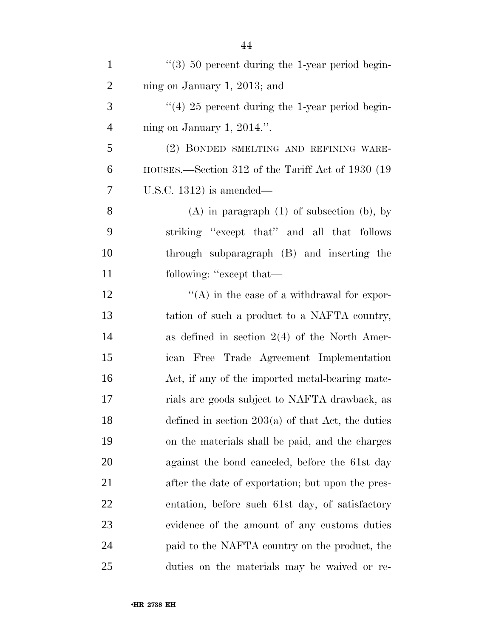| $\mathbf{1}$   | $\lq(3)$ 50 percent during the 1-year period begin-             |
|----------------|-----------------------------------------------------------------|
| $\overline{2}$ | ning on January 1, 2013; and                                    |
| 3              | $\cdot\cdot\cdot(4)$ 25 percent during the 1-year period begin- |
| $\overline{4}$ | ning on January 1, 2014.".                                      |
| 5              | (2) BONDED SMELTING AND REFINING WARE-                          |
| 6              | HOUSES.—Section 312 of the Tariff Act of 1930 (19               |
| 7              | U.S.C. 1312) is amended—                                        |
| 8              | $(A)$ in paragraph $(1)$ of subsection $(b)$ , by               |
| 9              | striking "except that" and all that follows                     |
| 10             | through subparagraph (B) and inserting the                      |
| 11             | following: "except that—                                        |
| 12             | $\lq\lq$ in the case of a withdrawal for expor-                 |
| 13             | tation of such a product to a NAFTA country,                    |
| 14             | as defined in section $2(4)$ of the North Amer-                 |
| 15             | ican Free Trade Agreement Implementation                        |
| 16             | Act, if any of the imported metal-bearing mate-                 |
| 17             | rials are goods subject to NAFTA drawback, as                   |
| 18             | defined in section $203(a)$ of that Act, the duties             |
| 19             | on the materials shall be paid, and the charges                 |
| 20             | against the bond canceled, before the 61st day                  |
| 21             | after the date of exportation; but upon the pres-               |
| <u>22</u>      | entation, before such 61st day, of satisfactory                 |
| 23             | evidence of the amount of any customs duties                    |
| 24             | paid to the NAFTA country on the product, the                   |
| 25             | duties on the materials may be waived or re-                    |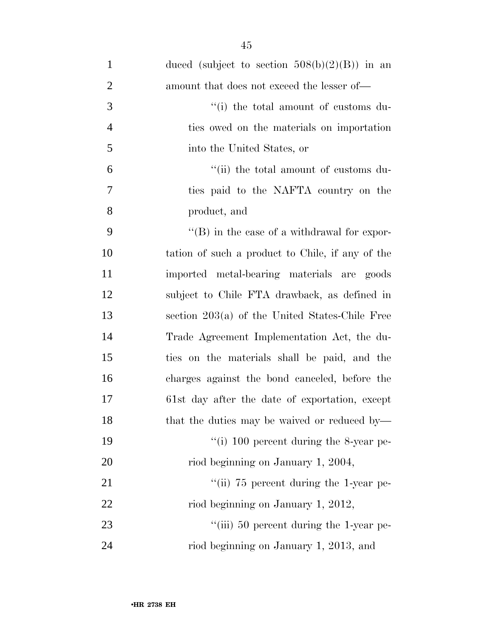| $\mathbf{1}$   | duced (subject to section $508(b)(2)(B)$ ) in an    |
|----------------|-----------------------------------------------------|
| $\overline{2}$ | amount that does not exceed the lesser of—          |
| 3              | "(i) the total amount of customs du-                |
| $\overline{4}$ | ties owed on the materials on importation           |
| 5              | into the United States, or                          |
| 6              | "(ii) the total amount of customs du-               |
| 7              | ties paid to the NAFTA country on the               |
| 8              | product, and                                        |
| 9              | $\lq\lq (B)$ in the case of a withdrawal for expor- |
| 10             | tation of such a product to Chile, if any of the    |
| 11             | imported metal-bearing materials are goods          |
| 12             | subject to Chile FTA drawback, as defined in        |
| 13             | section 203(a) of the United States-Chile Free      |
| 14             | Trade Agreement Implementation Act, the du-         |
| 15             | ties on the materials shall be paid, and the        |
| 16             | charges against the bond canceled, before the       |
| 17             | 61st day after the date of exportation, except      |
| 18             | that the duties may be waived or reduced by-        |
| 19             | "(i) $100$ percent during the 8-year pe-            |
| 20             | riod beginning on January 1, 2004,                  |
| 21             | "(ii) $75$ percent during the 1-year pe-            |
| 22             | riod beginning on January 1, 2012,                  |
| 23             | "(iii) 50 percent during the 1-year pe-             |
| 24             | riod beginning on January 1, 2013, and              |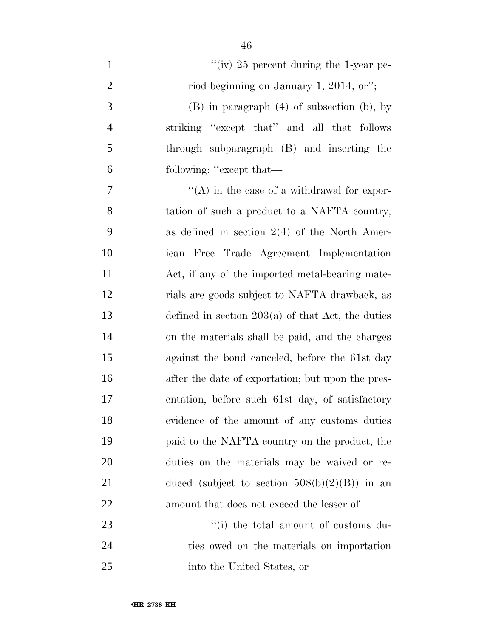$''(iv)$  25 percent during the 1-year pe-2 riod beginning on January 1, 2014, or"; (B) in paragraph (4) of subsection (b), by striking ''except that'' and all that follows through subparagraph (B) and inserting the following: ''except that—  $\mathcal{T}$  ''(A) in the case of a withdrawal for expor- tation of such a product to a NAFTA country, as defined in section 2(4) of the North Amer- ican Free Trade Agreement Implementation Act, if any of the imported metal-bearing mate- rials are goods subject to NAFTA drawback, as defined in section 203(a) of that Act, the duties on the materials shall be paid, and the charges against the bond canceled, before the 61st day after the date of exportation; but upon the pres- entation, before such 61st day, of satisfactory evidence of the amount of any customs duties paid to the NAFTA country on the product, the duties on the materials may be waived or re-21 duced (subject to section  $508(b)(2)(B)$ ) in an amount that does not exceed the lesser of— 23 ''(i) the total amount of customs du-

 ties owed on the materials on importation into the United States, or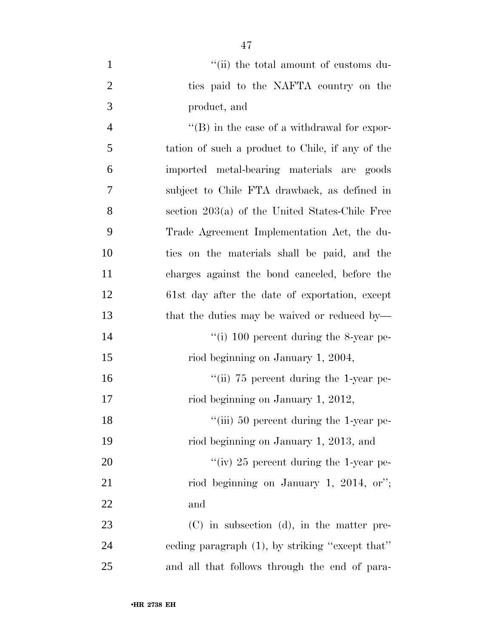| $\mathbf{1}$   | "(ii) the total amount of customs du-               |
|----------------|-----------------------------------------------------|
| $\overline{2}$ | ties paid to the NAFTA country on the               |
| 3              | product, and                                        |
| $\overline{4}$ | $\lq\lq (B)$ in the case of a withdrawal for expor- |
| 5              | tation of such a product to Chile, if any of the    |
| 6              | imported metal-bearing materials are goods          |
| 7              | subject to Chile FTA drawback, as defined in        |
| 8              | section $203(a)$ of the United States-Chile Free    |
| 9              | Trade Agreement Implementation Act, the du-         |
| 10             | ties on the materials shall be paid, and the        |
| 11             | charges against the bond canceled, before the       |
| 12             | 61st day after the date of exportation, except      |
| 13             | that the duties may be waived or reduced by—        |
| 14             | "(i) 100 percent during the 8-year pe-              |
| 15             | riod beginning on January 1, 2004,                  |
| 16             | "(ii) $75$ percent during the 1-year pe-            |
| 17             | riod beginning on January 1, 2012,                  |
| 18             | "(iii) 50 percent during the 1-year pe-             |
| 19             | riod beginning on January 1, 2013, and              |
| 20             | "(iv) 25 percent during the 1-year pe-              |
| 21             | riod beginning on January 1, 2014, or";             |
| 22             | and                                                 |
| 23             | $(C)$ in subsection $(d)$ , in the matter pre-      |
| 24             | ceding paragraph (1), by striking "except that"     |
| 25             | and all that follows through the end of para-       |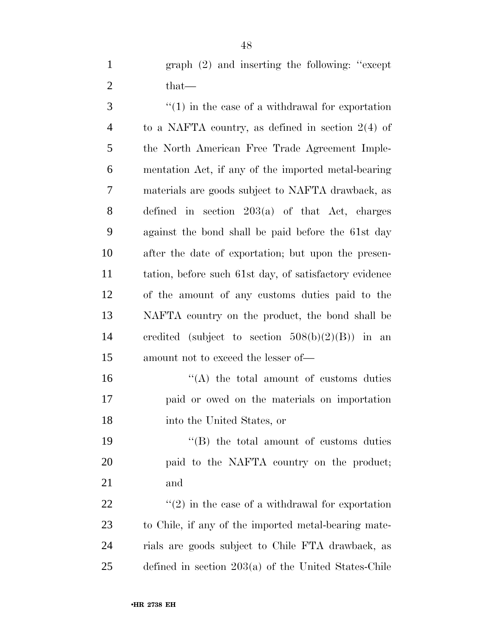graph (2) and inserting the following: ''except 2 that—

 ''(1) in the case of a withdrawal for exportation to a NAFTA country, as defined in section 2(4) of the North American Free Trade Agreement Imple- mentation Act, if any of the imported metal-bearing materials are goods subject to NAFTA drawback, as defined in section 203(a) of that Act, charges against the bond shall be paid before the 61st day after the date of exportation; but upon the presen- tation, before such 61st day, of satisfactory evidence of the amount of any customs duties paid to the NAFTA country on the product, the bond shall be credited (subject to section 508(b)(2)(B)) in an amount not to exceed the lesser of—

16 "(A) the total amount of customs duties paid or owed on the materials on importation into the United States, or

19 ''(B) the total amount of customs duties paid to the NAFTA country on the product; and

 $\langle \langle 2 \rangle$  in the case of a withdrawal for exportation to Chile, if any of the imported metal-bearing mate- rials are goods subject to Chile FTA drawback, as defined in section 203(a) of the United States-Chile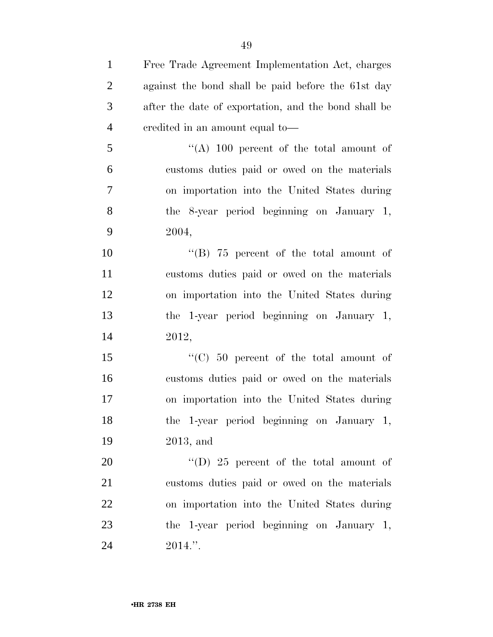| $\mathbf{1}$   | Free Trade Agreement Implementation Act, charges     |
|----------------|------------------------------------------------------|
| $\overline{2}$ | against the bond shall be paid before the 61st day   |
| 3              | after the date of exportation, and the bond shall be |
| $\overline{4}$ | eredited in an amount equal to-                      |
| 5              | "(A) 100 percent of the total amount of              |
| 6              | customs duties paid or owed on the materials         |
| 7              | on importation into the United States during         |
| 8              | the 8-year period beginning on January 1,            |
| 9              | 2004,                                                |
| 10             | "(B) $75$ percent of the total amount of             |
| 11             | customs duties paid or owed on the materials         |
| 12             | on importation into the United States during         |
| 13             | the 1-year period beginning on January 1,            |
| 14             | 2012,                                                |
| 15             | " $(C)$ 50 percent of the total amount of            |
| 16             | customs duties paid or owed on the materials         |
| 17             | on importation into the United States during         |
| 18             | the 1-year period beginning on January 1,            |
| 19             | $2013$ , and                                         |
| 20             | "(D) $25$ percent of the total amount of             |
| 21             | customs duties paid or owed on the materials         |
| 22             | on importation into the United States during         |
| 23             | the 1-year period beginning on January 1,            |
| 24             | $2014."$ .                                           |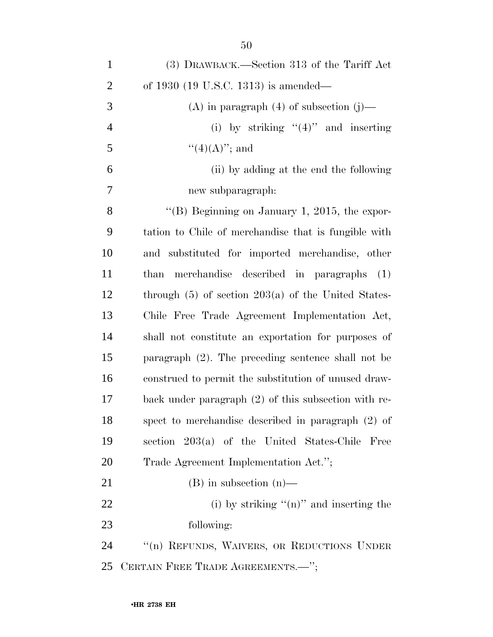| $\mathbf{1}$   | (3) DRAWBACK.—Section 313 of the Tariff Act             |
|----------------|---------------------------------------------------------|
| $\overline{2}$ | of 1930 $(19 \text{ U.S.C. } 1313)$ is amended—         |
| 3              | (A) in paragraph $(4)$ of subsection $(j)$ —            |
| $\overline{4}$ | (i) by striking " $(4)$ " and inserting                 |
| 5              | $``(4)(A)''$ ; and                                      |
| 6              | (ii) by adding at the end the following                 |
| 7              | new subparagraph:                                       |
| 8              | "(B) Beginning on January 1, 2015, the expor-           |
| 9              | tation to Chile of merchandise that is fungible with    |
| 10             | and substituted for imported merchandise, other         |
| 11             | than merchandise described in paragraphs (1)            |
| 12             | through $(5)$ of section $203(a)$ of the United States- |
| 13             | Chile Free Trade Agreement Implementation Act,          |
| 14             | shall not constitute an exportation for purposes of     |
| 15             | paragraph $(2)$ . The preceding sentence shall not be   |
| 16             | construed to permit the substitution of unused draw-    |
| 17             | back under paragraph (2) of this subsection with re-    |
| 18             | spect to merchandise described in paragraph (2) of      |
| 19             | section 203(a) of the United States-Chile<br>Free       |
| 20             | Trade Agreement Implementation Act.";                   |
| 21             | $(B)$ in subsection $(n)$ —                             |
| 22             | (i) by striking " $(n)$ " and inserting the             |
| 23             | following:                                              |
| 24             | "(n) REFUNDS, WAIVERS, OR REDUCTIONS UNDER              |
| 25             | CERTAIN FREE TRADE AGREEMENTS.-";                       |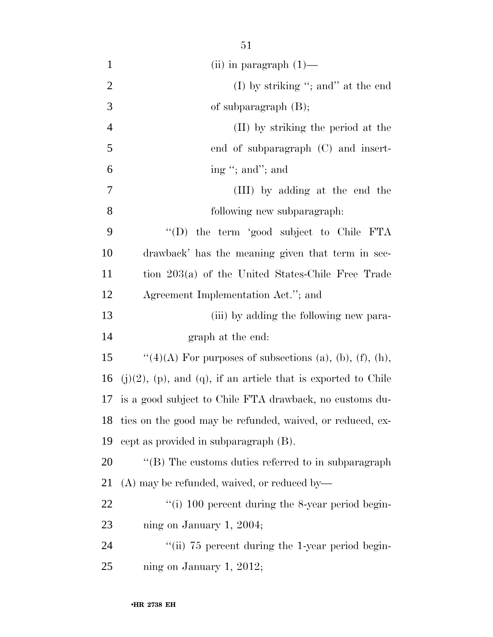| $\mathbf{1}$   | (ii) in paragraph $(1)$ —                                              |
|----------------|------------------------------------------------------------------------|
| $\overline{2}$ | (I) by striking "; and" at the end                                     |
| 3              | of subparagraph $(B)$ ;                                                |
| $\overline{4}$ | (II) by striking the period at the                                     |
| 5              | end of subparagraph (C) and insert-                                    |
| 6              | ing "; and"; and                                                       |
| 7              | (III) by adding at the end the                                         |
| 8              | following new subparagraph:                                            |
| 9              | "(D) the term 'good subject to Chile FTA                               |
| 10             | drawback' has the meaning given that term in sec-                      |
| 11             | tion 203(a) of the United States-Chile Free Trade                      |
| 12             | Agreement Implementation Act."; and                                    |
| 13             | (iii) by adding the following new para-                                |
| 14             | graph at the end:                                                      |
| 15             | " $(4)(A)$ For purposes of subsections (a), (b), (f), (h),             |
| 16             | $(j)(2)$ , $(p)$ , and $(q)$ , if an article that is exported to Chile |
| 17             | is a good subject to Chile FTA drawback, no customs du-                |
| 18             | ties on the good may be refunded, waived, or reduced, ex-              |
| 19             | cept as provided in subparagraph (B).                                  |
| 20             | "(B) The customs duties referred to in subparagraph                    |
| 21             | (A) may be refunded, waived, or reduced by-                            |
| 22             | "(i) 100 percent during the 8-year period begin-                       |
| 23             | ning on January 1, 2004;                                               |
| 24             | "(ii) 75 percent during the 1-year period begin-                       |
| 25             | ning on January 1, 2012;                                               |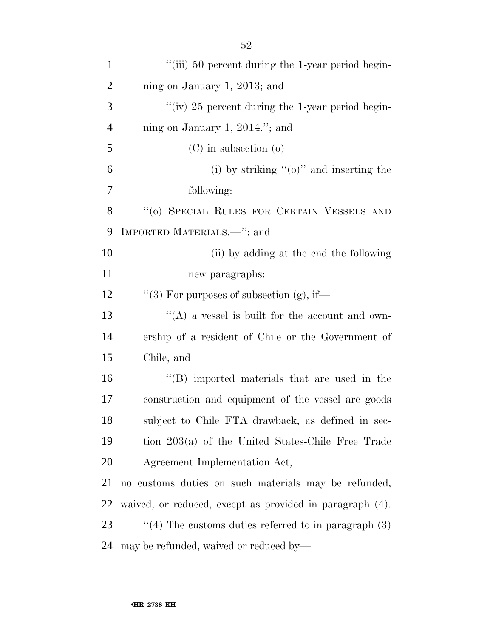| $\mathbf{1}$   | "(iii) 50 percent during the 1-year period begin-        |
|----------------|----------------------------------------------------------|
| $\overline{2}$ | ning on January 1, 2013; and                             |
| 3              | "(iv) $25$ percent during the 1-year period begin-       |
| $\overline{4}$ | ning on January 1, 2014."; and                           |
| 5              | $(C)$ in subsection $(o)$ —                              |
| 6              | (i) by striking " $(o)$ " and inserting the              |
| 7              | following:                                               |
| 8              | $\lq\lq o)$ SPECIAL RULES FOR CERTAIN VESSELS AND        |
| 9              | IMPORTED MATERIALS.—"; and                               |
| 10             | (ii) by adding at the end the following                  |
| 11             | new paragraphs:                                          |
| 12             | "(3) For purposes of subsection (g), if—                 |
| 13             | "(A) a vessel is built for the account and own-          |
| 14             | ership of a resident of Chile or the Government of       |
| 15             | Chile, and                                               |
| 16             | "(B) imported materials that are used in the             |
| 17             | construction and equipment of the vessel are goods       |
| 18             | subject to Chile FTA drawback, as defined in sec-        |
|                |                                                          |
| 19             | tion 203(a) of the United States-Chile Free Trade        |
| 20             | Agreement Implementation Act,                            |
| 21             | no customs duties on such materials may be refunded,     |
| 22             | waived, or reduced, except as provided in paragraph (4). |
| 23             | $\lq(4)$ The customs duties referred to in paragraph (3) |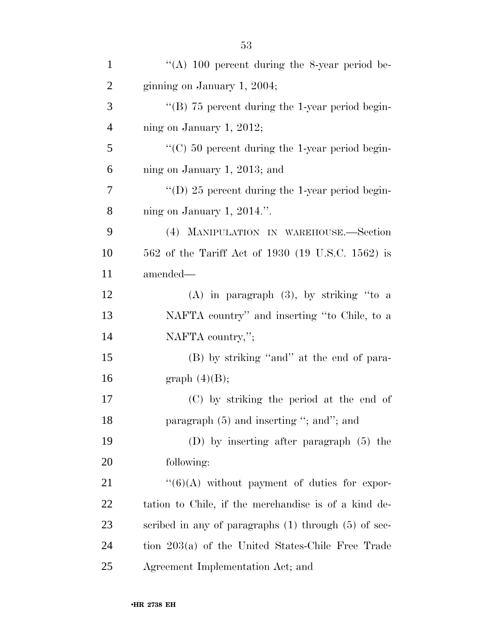| $\mathbf{1}$   | "(A) 100 percent during the 8-year period be-            |
|----------------|----------------------------------------------------------|
| $\overline{2}$ | ginning on January 1, 2004;                              |
| 3              | "(B) $75$ percent during the 1-year period begin-        |
| $\overline{4}$ | ning on January 1, 2012;                                 |
| 5              | $\lq\lq$ (C) 50 percent during the 1-year period begin-  |
| 6              | ning on January 1, 2013; and                             |
| 7              | "(D) 25 percent during the 1-year period begin-          |
| 8              | ning on January 1, $2014$ .".                            |
| 9              | (4) MANIPULATION IN WAREHOUSE.—Section                   |
| 10             | 562 of the Tariff Act of 1930 (19 U.S.C. 1562) is        |
| 11             | amended-                                                 |
| 12             | $(A)$ in paragraph $(3)$ , by striking "to a             |
| 13             | NAFTA country" and inserting "to Chile, to a             |
| 14             | NAFTA country,";                                         |
| 15             | (B) by striking "and" at the end of para-                |
| 16             | graph $(4)(B)$ ;                                         |
| 17             | (C) by striking the period at the end of                 |
| 18             | paragraph $(5)$ and inserting "; and"; and               |
| 19             | $(D)$ by inserting after paragraph $(5)$ the             |
| 20             | following:                                               |
| 21             | $``(6)(A)$ without payment of duties for expor-          |
| 22             | tation to Chile, if the merchandise is of a kind de-     |
| 23             | scribed in any of paragraphs $(1)$ through $(5)$ of sec- |
| 24             | tion 203(a) of the United States-Chile Free Trade        |
| 25             | Agreement Implementation Act; and                        |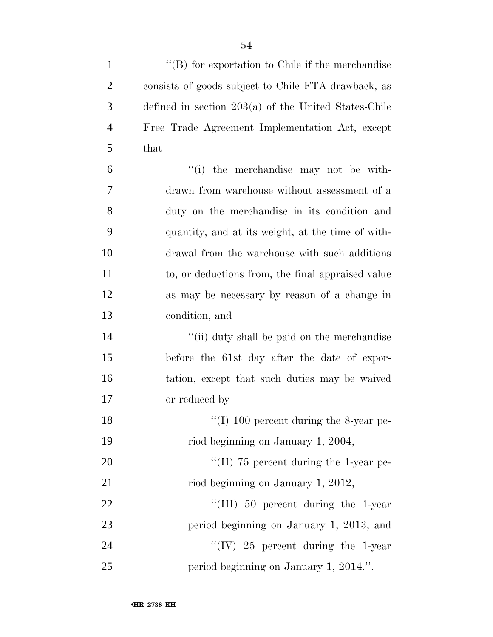| $\mathbf{1}$   | $\lq\lq (B)$ for exportation to Chile if the merchandise |
|----------------|----------------------------------------------------------|
| $\overline{2}$ | consists of goods subject to Chile FTA drawback, as      |
| 3              | defined in section $203(a)$ of the United States-Chile   |
| $\overline{4}$ | Free Trade Agreement Implementation Act, except          |
| 5              | that-                                                    |
| 6              | "(i) the merchandise may not be with-                    |
| 7              | drawn from warehouse without assessment of a             |
| 8              | duty on the merchandise in its condition and             |
| 9              | quantity, and at its weight, at the time of with-        |
| 10             | drawal from the warehouse with such additions            |
| 11             | to, or deductions from, the final appraised value        |
| 12             | as may be necessary by reason of a change in             |
| 13             | condition, and                                           |
| 14             | "(ii) duty shall be paid on the merchandise              |
| 15             | before the 61st day after the date of expor-             |
| 16             | tation, except that such duties may be waived            |
| 17             | or reduced by—                                           |
| 18             | "(I) 100 percent during the 8-year pe-                   |
| 19             | riod beginning on January 1, 2004,                       |
| 20             | "(II) 75 percent during the 1-year pe-                   |
| 21             | riod beginning on January 1, 2012,                       |
| 22             | "(III) $50$ percent during the 1-year                    |
| 23             | period beginning on January 1, 2013, and                 |
| 24             | "(IV) 25 percent during the 1-year                       |
| 25             | period beginning on January 1, 2014.".                   |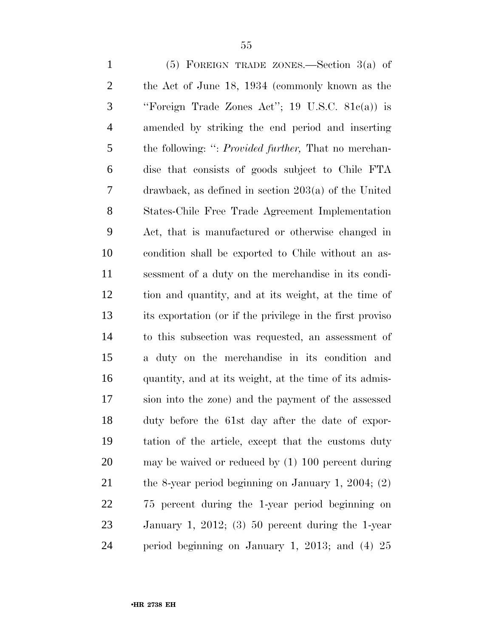(5) FOREIGN TRADE ZONES.—Section 3(a) of the Act of June 18, 1934 (commonly known as the ''Foreign Trade Zones Act''; 19 U.S.C. 81c(a)) is amended by striking the end period and inserting the following: '': *Provided further,* That no merchan- dise that consists of goods subject to Chile FTA drawback, as defined in section 203(a) of the United States-Chile Free Trade Agreement Implementation Act, that is manufactured or otherwise changed in condition shall be exported to Chile without an as- sessment of a duty on the merchandise in its condi- tion and quantity, and at its weight, at the time of its exportation (or if the privilege in the first proviso to this subsection was requested, an assessment of a duty on the merchandise in its condition and quantity, and at its weight, at the time of its admis- sion into the zone) and the payment of the assessed duty before the 61st day after the date of expor- tation of the article, except that the customs duty may be waived or reduced by (1) 100 percent during 21 the 8-year period beginning on January 1, 2004; (2) 75 percent during the 1-year period beginning on January 1, 2012; (3) 50 percent during the 1-year period beginning on January 1, 2013; and (4) 25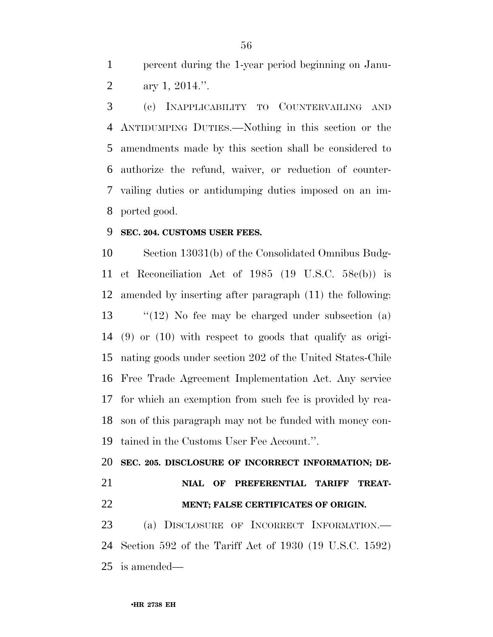percent during the 1-year period beginning on Janu-ary 1, 2014.''.

 (c) INAPPLICABILITY TO COUNTERVAILING AND ANTIDUMPING DUTIES.—Nothing in this section or the amendments made by this section shall be considered to authorize the refund, waiver, or reduction of counter- vailing duties or antidumping duties imposed on an im-ported good.

### **SEC. 204. CUSTOMS USER FEES.**

 Section 13031(b) of the Consolidated Omnibus Budg- et Reconciliation Act of 1985 (19 U.S.C. 58c(b)) is amended by inserting after paragraph (11) the following: ''(12) No fee may be charged under subsection (a) (9) or (10) with respect to goods that qualify as origi- nating goods under section 202 of the United States-Chile Free Trade Agreement Implementation Act. Any service for which an exemption from such fee is provided by rea- son of this paragraph may not be funded with money con-tained in the Customs User Fee Account.''.

 **SEC. 205. DISCLOSURE OF INCORRECT INFORMATION; DE- NIAL OF PREFERENTIAL TARIFF TREAT-MENT; FALSE CERTIFICATES OF ORIGIN.**

 (a) DISCLOSURE OF INCORRECT INFORMATION.— Section 592 of the Tariff Act of 1930 (19 U.S.C. 1592) is amended—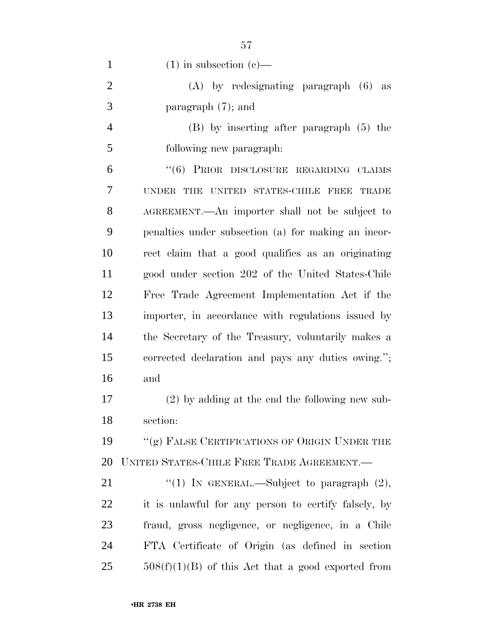| $\mathbf{1}$   | $(1)$ in subsection $(e)$ —                                  |
|----------------|--------------------------------------------------------------|
| $\overline{2}$ | $(A)$ by redesignating paragraph $(6)$ as                    |
| 3              | paragraph $(7)$ ; and                                        |
| $\overline{4}$ | $(B)$ by inserting after paragraph $(5)$ the                 |
| 5              | following new paragraph.                                     |
| 6              | "(6) PRIOR DISCLOSURE REGARDING CLAIMS                       |
| 7              | THE UNITED STATES-CHILE FREE<br><b>UNDER</b><br><b>TRADE</b> |
| 8              | AGREEMENT.—An importer shall not be subject to               |
| 9              | penalties under subsection (a) for making an incor-          |
| 10             | rect claim that a good qualifies as an originating           |
| 11             | good under section 202 of the United States-Chile            |
| 12             | Free Trade Agreement Implementation Act if the               |
| 13             | importer, in accordance with regulations issued by           |
| 14             | the Secretary of the Treasury, voluntarily makes a           |
| 15             | corrected declaration and pays any duties owing.";           |
| 16             | and                                                          |
| 17             | (2) by adding at the end the following new sub-              |
| 18             | section:                                                     |
| 19             | "(g) FALSE CERTIFICATIONS OF ORIGIN UNDER THE                |
| 20             | UNITED STATES-CHILE FREE TRADE AGREEMENT.                    |
| 21             | "(1) IN GENERAL.—Subject to paragraph $(2)$ ,                |
| 22             | it is unlawful for any person to certify falsely, by         |
| 23             | fraud, gross negligence, or negligence, in a Chile           |
| 24             | FTA Certificate of Origin (as defined in section             |
| 25             | $508(f)(1)(B)$ of this Act that a good exported from         |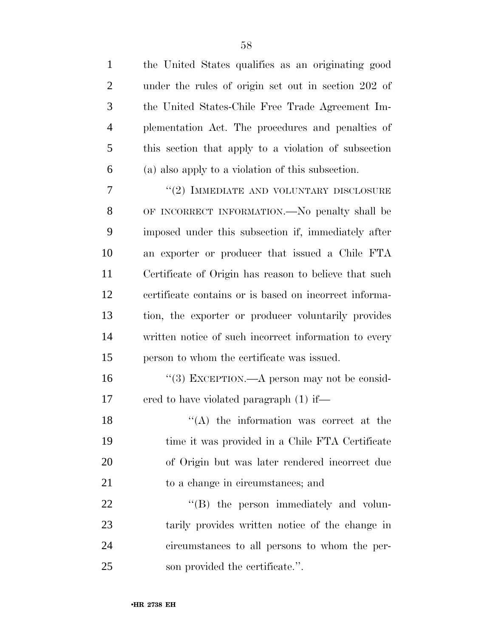| $\mathbf{1}$   | the United States qualifies as an originating good     |
|----------------|--------------------------------------------------------|
| $\overline{2}$ | under the rules of origin set out in section 202 of    |
| 3              | the United States-Chile Free Trade Agreement Im-       |
| $\overline{4}$ | plementation Act. The procedures and penalties of      |
| 5              | this section that apply to a violation of subsection   |
| 6              | (a) also apply to a violation of this subsection.      |
| 7              | "(2) IMMEDIATE AND VOLUNTARY DISCLOSURE                |
| 8              | OF INCORRECT INFORMATION.—No penalty shall be          |
| 9              | imposed under this subsection if, immediately after    |
| 10             | an exporter or producer that issued a Chile FTA        |
| 11             | Certificate of Origin has reason to believe that such  |
| 12             | certificate contains or is based on incorrect informa- |
| 13             | tion, the exporter or producer voluntarily provides    |
| 14             | written notice of such incorrect information to every  |
| 15             | person to whom the certificate was issued.             |
| 16             | "(3) EXCEPTION.—A person may not be consid-            |
| 17             | ered to have violated paragraph (1) if—                |
| 18             | $\lq\lq$ the information was correct at the            |
| 19             | time it was provided in a Chile FTA Certificate        |
| 20             | of Origin but was later rendered incorrect due         |
| 21             | to a change in circumstances; and                      |
| 22             | "(B) the person immediately and volun-                 |
| 23             | tarily provides written notice of the change in        |
| 24             | circumstances to all persons to whom the per-          |
| 25             | son provided the certificate.".                        |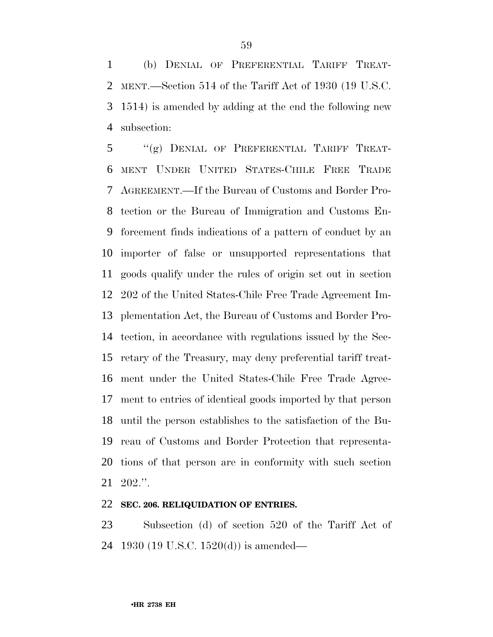(b) DENIAL OF PREFERENTIAL TARIFF TREAT- MENT.—Section 514 of the Tariff Act of 1930 (19 U.S.C. 1514) is amended by adding at the end the following new subsection:

 ''(g) DENIAL OF PREFERENTIAL TARIFF TREAT- MENT UNDER UNITED STATES-CHILE FREE TRADE AGREEMENT.—If the Bureau of Customs and Border Pro- tection or the Bureau of Immigration and Customs En- forcement finds indications of a pattern of conduct by an importer of false or unsupported representations that goods qualify under the rules of origin set out in section 202 of the United States-Chile Free Trade Agreement Im- plementation Act, the Bureau of Customs and Border Pro- tection, in accordance with regulations issued by the Sec- retary of the Treasury, may deny preferential tariff treat- ment under the United States-Chile Free Trade Agree- ment to entries of identical goods imported by that person until the person establishes to the satisfaction of the Bu- reau of Customs and Border Protection that representa- tions of that person are in conformity with such section 202.''.

### **SEC. 206. RELIQUIDATION OF ENTRIES.**

 Subsection (d) of section 520 of the Tariff Act of 1930 (19 U.S.C. 1520(d)) is amended—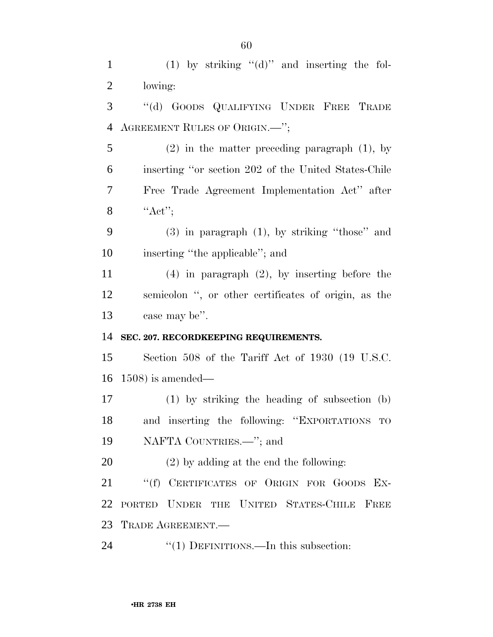1 (1) by striking "(d)" and inserting the fol- lowing: ''(d) GOODS QUALIFYING UNDER FREE TRADE AGREEMENT RULES OF ORIGIN.—''; (2) in the matter preceding paragraph (1), by inserting ''or section 202 of the United States-Chile Free Trade Agreement Implementation Act'' after 8  $"Act"$ ; (3) in paragraph (1), by striking ''those'' and inserting ''the applicable''; and (4) in paragraph (2), by inserting before the semicolon '', or other certificates of origin, as the case may be''. **SEC. 207. RECORDKEEPING REQUIREMENTS.** Section 508 of the Tariff Act of 1930 (19 U.S.C. 1508) is amended— (1) by striking the heading of subsection (b) and inserting the following: ''EXPORTATIONS TO NAFTA COUNTRIES.—''; and (2) by adding at the end the following: 21 "(f) CERTIFICATES OF ORIGIN FOR GOODS EX- PORTED UNDER THE UNITED STATES-CHILE FREE TRADE AGREEMENT.— 24 "(1) DEFINITIONS.—In this subsection: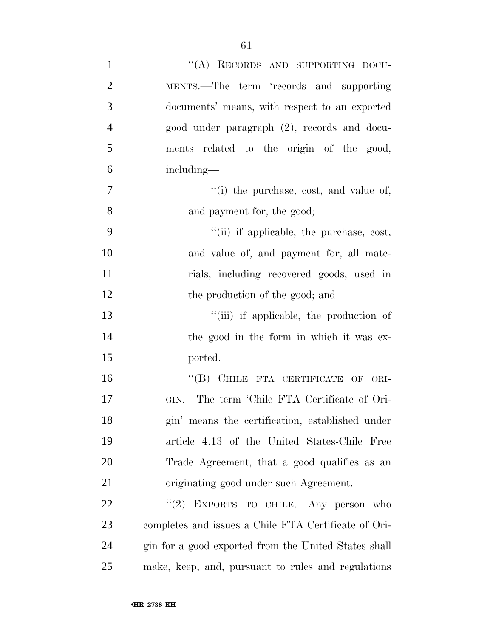| $\mathbf{1}$   | "(A) RECORDS AND SUPPORTING DOCU-                    |
|----------------|------------------------------------------------------|
| $\overline{2}$ | MENTS.—The term 'records and supporting              |
| 3              | documents' means, with respect to an exported        |
| $\overline{4}$ | good under paragraph (2), records and docu-          |
| 5              | ments related to the origin of the good,             |
| 6              | including—                                           |
| 7              | "(i) the purchase, cost, and value of,               |
| 8              | and payment for, the good;                           |
| 9              | "(ii) if applicable, the purchase, cost,             |
| 10             | and value of, and payment for, all mate-             |
| 11             | rials, including recovered goods, used in            |
| 12             | the production of the good; and                      |
| 13             | "(iii) if applicable, the production of              |
| 14             | the good in the form in which it was ex-             |
| 15             | ported.                                              |
| 16             | "(B) CHILE FTA CERTIFICATE OF ORI-                   |
| 17             | GIN.-The term 'Chile FTA Certificate of Ori-         |
| 18             | gin' means the certification, established under      |
| 19             | article 4.13 of the United States-Chile Free         |
| 20             | Trade Agreement, that a good qualifies as an         |
| 21             | originating good under such Agreement.               |
| 22             | "(2) EXPORTS TO CHILE.—Any person who                |
| 23             | completes and issues a Chile FTA Certificate of Ori- |
| 24             | gin for a good exported from the United States shall |
| 25             | make, keep, and, pursuant to rules and regulations   |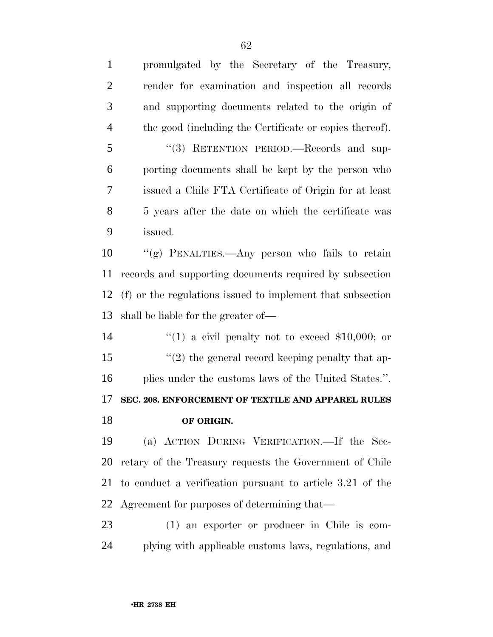promulgated by the Secretary of the Treasury, render for examination and inspection all records and supporting documents related to the origin of the good (including the Certificate or copies thereof). ''(3) RETENTION PERIOD.—Records and sup- porting documents shall be kept by the person who issued a Chile FTA Certificate of Origin for at least 5 years after the date on which the certificate was issued. ''(g) PENALTIES.—Any person who fails to retain records and supporting documents required by subsection (f) or the regulations issued to implement that subsection shall be liable for the greater of—  $\frac{1}{2}$  (1) a civil penalty not to exceed \$10,000; or 15 ''(2) the general record keeping penalty that ap- plies under the customs laws of the United States.''. **SEC. 208. ENFORCEMENT OF TEXTILE AND APPAREL RULES OF ORIGIN.** (a) ACTION DURING VERIFICATION.—If the Sec- retary of the Treasury requests the Government of Chile to conduct a verification pursuant to article 3.21 of the Agreement for purposes of determining that— (1) an exporter or producer in Chile is com-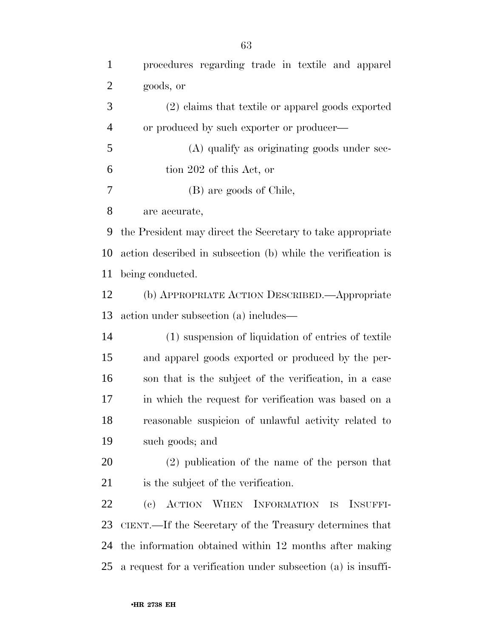| $\mathbf{1}$ | procedures regarding trade in textile and apparel             |
|--------------|---------------------------------------------------------------|
| 2            | goods, or                                                     |
| 3            | (2) claims that textile or apparel goods exported             |
| 4            | or produced by such exporter or producer—                     |
| 5            | (A) qualify as originating goods under sec-                   |
| 6            | tion 202 of this Act, or                                      |
| 7            | (B) are goods of Chile,                                       |
| 8            | are accurate,                                                 |
| 9            | the President may direct the Secretary to take appropriate    |
| 10           | action described in subsection (b) while the verification is  |
| 11           | being conducted.                                              |
| 12           | (b) APPROPRIATE ACTION DESCRIBED.—Appropriate                 |
| 13           | action under subsection (a) includes—                         |
| 14           | (1) suspension of liquidation of entries of textile           |
| 15           | and apparel goods exported or produced by the per-            |
| 16           | son that is the subject of the verification, in a case        |
| 17           | in which the request for verification was based on a          |
| 18           | reasonable suspicion of unlawful activity related to          |
| 19           | such goods; and                                               |
| 20           | $(2)$ publication of the name of the person that              |
| 21           | is the subject of the verification.                           |
| 22           | (c) ACTION WHEN INFORMATION IS<br>INSUFFI-                    |
| 23           | CIENT.—If the Secretary of the Treasury determines that       |
| 24           | the information obtained within 12 months after making        |
| 25           | a request for a verification under subsection (a) is insuffi- |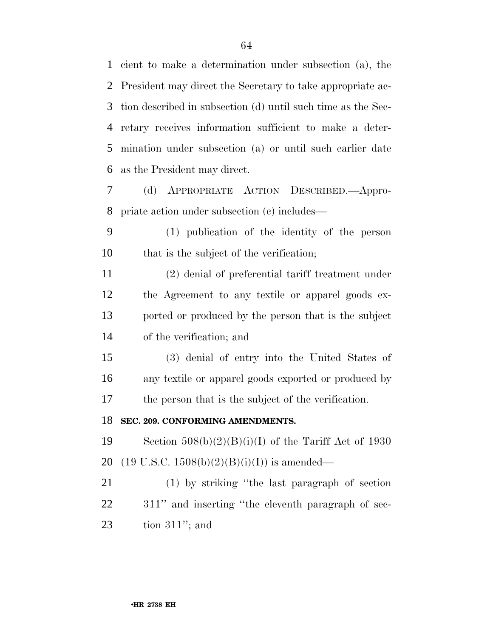cient to make a determination under subsection (a), the President may direct the Secretary to take appropriate ac- tion described in subsection (d) until such time as the Sec- retary receives information sufficient to make a deter- mination under subsection (a) or until such earlier date as the President may direct.

 (d) APPROPRIATE ACTION DESCRIBED.—Appro-priate action under subsection (c) includes—

 (1) publication of the identity of the person that is the subject of the verification;

 (2) denial of preferential tariff treatment under the Agreement to any textile or apparel goods ex- ported or produced by the person that is the subject of the verification; and

 (3) denial of entry into the United States of any textile or apparel goods exported or produced by the person that is the subject of the verification.

#### **SEC. 209. CONFORMING AMENDMENTS.**

19 Section  $508(b)(2)(B)(i)(I)$  of the Tariff Act of 1930 20 (19 U.S.C. 1508(b)(2)(B)(i)(I)) is amended—

 (1) by striking ''the last paragraph of section 311'' and inserting ''the eleventh paragraph of sec-tion 311''; and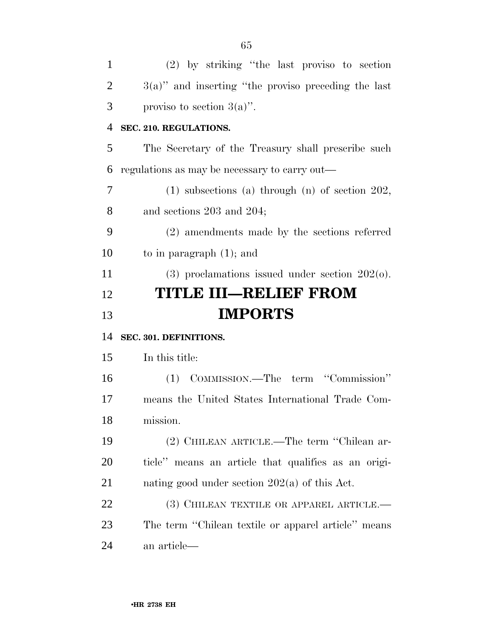| $\mathbf{1}$   | (2) by striking "the last proviso to section             |
|----------------|----------------------------------------------------------|
| $\overline{2}$ | $3(a)$ " and inserting "the proviso preceding the last   |
| 3              | proviso to section $3(a)$ .                              |
| 4              | SEC. 210. REGULATIONS.                                   |
| 5              | The Secretary of the Treasury shall prescribe such       |
| 6              | regulations as may be necessary to carry out—            |
| 7              | $(1)$ subsections $(a)$ through $(n)$ of section $202$ , |
| 8              | and sections $203$ and $204$ ;                           |
| 9              | (2) amendments made by the sections referred             |
| 10             | to in paragraph $(1)$ ; and                              |
| 11             | $(3)$ proclamations issued under section $2020$ .        |
| 12             | <b>TITLE III–RELIEF FROM</b>                             |
|                |                                                          |
| 13             | <b>IMPORTS</b>                                           |
| 14             | SEC. 301. DEFINITIONS.                                   |
| 15             | In this title:                                           |
| 16             | (1) COMMISSION.—The term "Commission"                    |
| 17             | means the United States International Trade Com-         |
| 18             | mission.                                                 |
| 19             | (2) CHILEAN ARTICLE.—The term "Chilean ar-               |
| 20             | ticle" means an article that qualifies as an origi-      |
| 21             | nating good under section $202(a)$ of this Act.          |
| 22             | (3) CHILEAN TEXTILE OR APPAREL ARTICLE.—                 |
| 23             | The term "Chilean textile or apparel article" means      |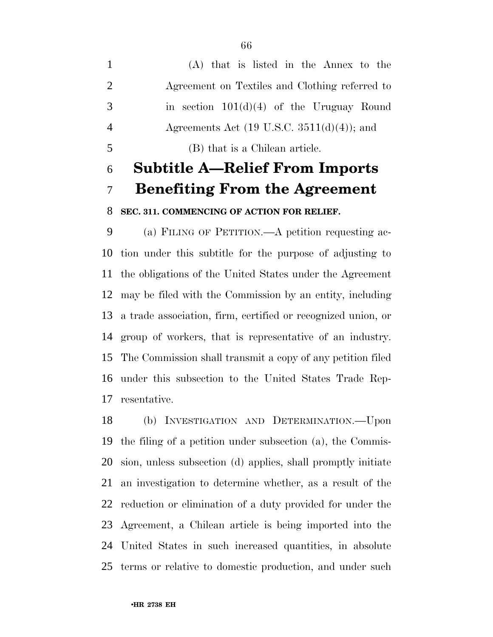(A) that is listed in the Annex to the Agreement on Textiles and Clothing referred to in section 101(d)(4) of the Uruguay Round Agreements Act (19 U.S.C. 3511(d)(4)); and (B) that is a Chilean article.

# **Subtitle A—Relief From Imports Benefiting From the Agreement**

# **SEC. 311. COMMENCING OF ACTION FOR RELIEF.**

 (a) FILING OF PETITION.—A petition requesting ac- tion under this subtitle for the purpose of adjusting to the obligations of the United States under the Agreement may be filed with the Commission by an entity, including a trade association, firm, certified or recognized union, or group of workers, that is representative of an industry. The Commission shall transmit a copy of any petition filed under this subsection to the United States Trade Rep-resentative.

 (b) INVESTIGATION AND DETERMINATION.—Upon the filing of a petition under subsection (a), the Commis- sion, unless subsection (d) applies, shall promptly initiate an investigation to determine whether, as a result of the reduction or elimination of a duty provided for under the Agreement, a Chilean article is being imported into the United States in such increased quantities, in absolute terms or relative to domestic production, and under such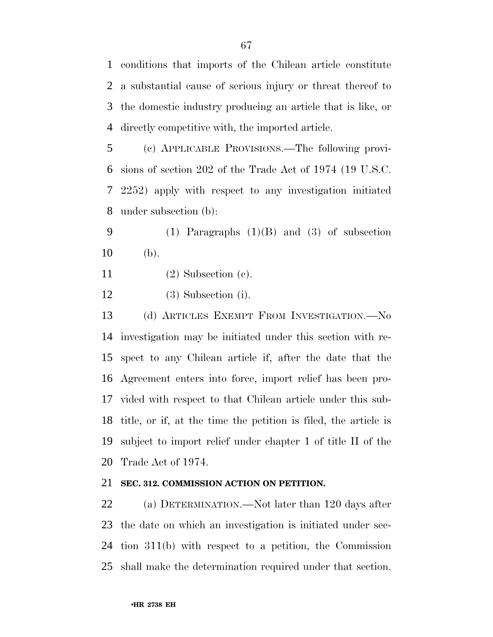conditions that imports of the Chilean article constitute a substantial cause of serious injury or threat thereof to the domestic industry producing an article that is like, or directly competitive with, the imported article.

 (c) APPLICABLE PROVISIONS.—The following provi- sions of section 202 of the Trade Act of 1974 (19 U.S.C. 2252) apply with respect to any investigation initiated under subsection (b):

 (1) Paragraphs (1)(B) and (3) of subsection (b).

- (2) Subsection (c).
- (3) Subsection (i).

 (d) ARTICLES EXEMPT FROM INVESTIGATION.—No investigation may be initiated under this section with re- spect to any Chilean article if, after the date that the Agreement enters into force, import relief has been pro- vided with respect to that Chilean article under this sub- title, or if, at the time the petition is filed, the article is subject to import relief under chapter 1 of title II of the Trade Act of 1974.

### **SEC. 312. COMMISSION ACTION ON PETITION.**

 (a) DETERMINATION.—Not later than 120 days after the date on which an investigation is initiated under sec- tion 311(b) with respect to a petition, the Commission shall make the determination required under that section.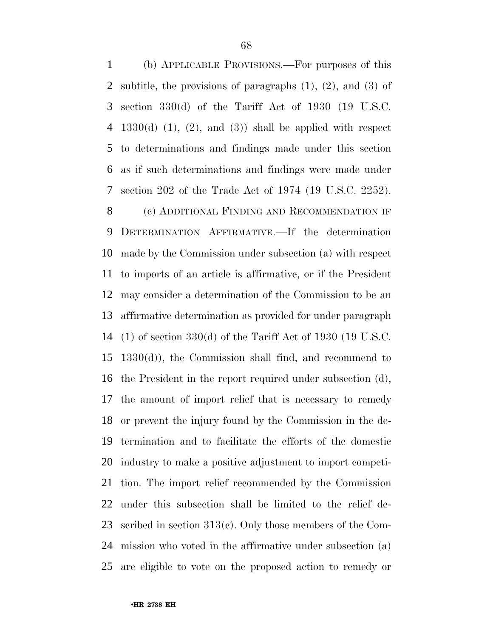(b) APPLICABLE PROVISIONS.—For purposes of this subtitle, the provisions of paragraphs (1), (2), and (3) of section 330(d) of the Tariff Act of 1930 (19 U.S.C. 4 1330(d)  $(1)$ ,  $(2)$ , and  $(3)$  shall be applied with respect to determinations and findings made under this section as if such determinations and findings were made under section 202 of the Trade Act of 1974 (19 U.S.C. 2252).

8 (c) ADDITIONAL FINDING AND RECOMMENDATION IF DETERMINATION AFFIRMATIVE.—If the determination made by the Commission under subsection (a) with respect to imports of an article is affirmative, or if the President may consider a determination of the Commission to be an affirmative determination as provided for under paragraph (1) of section 330(d) of the Tariff Act of 1930 (19 U.S.C. 1330(d)), the Commission shall find, and recommend to the President in the report required under subsection (d), the amount of import relief that is necessary to remedy or prevent the injury found by the Commission in the de- termination and to facilitate the efforts of the domestic industry to make a positive adjustment to import competi- tion. The import relief recommended by the Commission under this subsection shall be limited to the relief de- scribed in section 313(c). Only those members of the Com- mission who voted in the affirmative under subsection (a) are eligible to vote on the proposed action to remedy or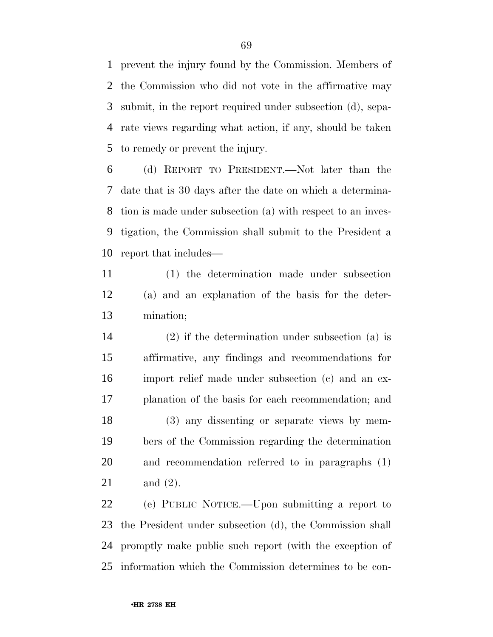prevent the injury found by the Commission. Members of the Commission who did not vote in the affirmative may submit, in the report required under subsection (d), sepa- rate views regarding what action, if any, should be taken to remedy or prevent the injury.

 (d) REPORT TO PRESIDENT.—Not later than the date that is 30 days after the date on which a determina- tion is made under subsection (a) with respect to an inves- tigation, the Commission shall submit to the President a report that includes—

 (1) the determination made under subsection (a) and an explanation of the basis for the deter-mination;

 (2) if the determination under subsection (a) is affirmative, any findings and recommendations for import relief made under subsection (c) and an ex- planation of the basis for each recommendation; and (3) any dissenting or separate views by mem- bers of the Commission regarding the determination and recommendation referred to in paragraphs (1) and (2).

 (e) PUBLIC NOTICE.—Upon submitting a report to the President under subsection (d), the Commission shall promptly make public such report (with the exception of information which the Commission determines to be con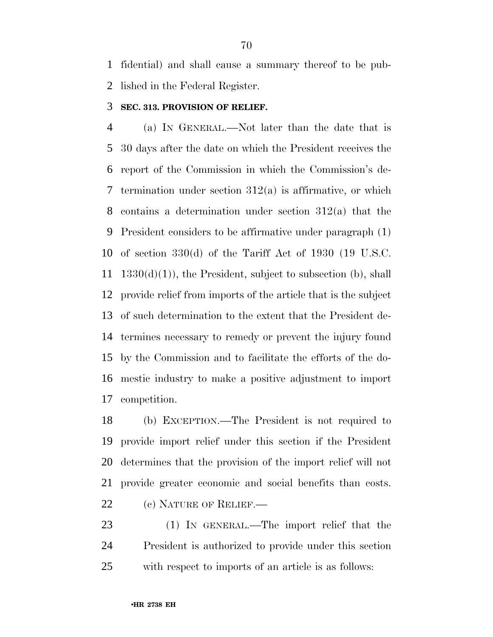fidential) and shall cause a summary thereof to be pub-lished in the Federal Register.

## **SEC. 313. PROVISION OF RELIEF.**

 (a) IN GENERAL.—Not later than the date that is 30 days after the date on which the President receives the report of the Commission in which the Commission's de-7 termination under section  $312(a)$  is affirmative, or which contains a determination under section 312(a) that the President considers to be affirmative under paragraph (1) of section 330(d) of the Tariff Act of 1930 (19 U.S.C.  $1330(d)(1)$ , the President, subject to subsection (b), shall provide relief from imports of the article that is the subject of such determination to the extent that the President de- termines necessary to remedy or prevent the injury found by the Commission and to facilitate the efforts of the do- mestic industry to make a positive adjustment to import competition.

 (b) EXCEPTION.—The President is not required to provide import relief under this section if the President determines that the provision of the import relief will not provide greater economic and social benefits than costs. 22 (c) NATURE OF RELIEF.

 (1) IN GENERAL.—The import relief that the President is authorized to provide under this section with respect to imports of an article is as follows: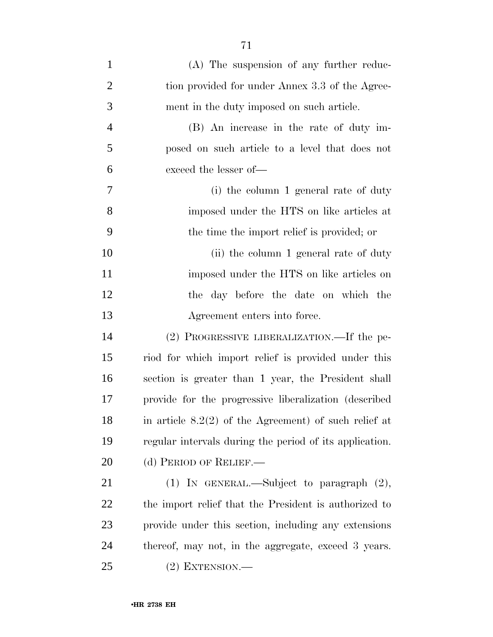| $\mathbf{1}$   | (A) The suspension of any further reduc-                |
|----------------|---------------------------------------------------------|
| $\overline{2}$ | tion provided for under Annex 3.3 of the Agree-         |
| 3              | ment in the duty imposed on such article.               |
| $\overline{4}$ | (B) An increase in the rate of duty im-                 |
| 5              | posed on such article to a level that does not          |
| 6              | exceed the lesser of-                                   |
| 7              | (i) the column 1 general rate of duty                   |
| 8              | imposed under the HTS on like articles at               |
| 9              | the time the import relief is provided; or              |
| 10             | (ii) the column 1 general rate of duty                  |
| 11             | imposed under the HTS on like articles on               |
| 12             | the day before the date on which the                    |
| 13             | Agreement enters into force.                            |
| 14             | (2) PROGRESSIVE LIBERALIZATION.—If the pe-              |
| 15             | riod for which import relief is provided under this     |
| 16             | section is greater than 1 year, the President shall     |
| 17             | provide for the progressive liberalization (described)  |
| 18             | in article $8.2(2)$ of the Agreement) of such relief at |
| 19             | regular intervals during the period of its application. |
| 20             | (d) PERIOD OF RELIEF.—                                  |
| 21             | (1) IN GENERAL.—Subject to paragraph $(2)$ ,            |
| 22             | the import relief that the President is authorized to   |
| 23             | provide under this section, including any extensions    |
| 24             | thereof, may not, in the aggregate, exceed 3 years.     |
| 25             | $(2)$ EXTENSION.—                                       |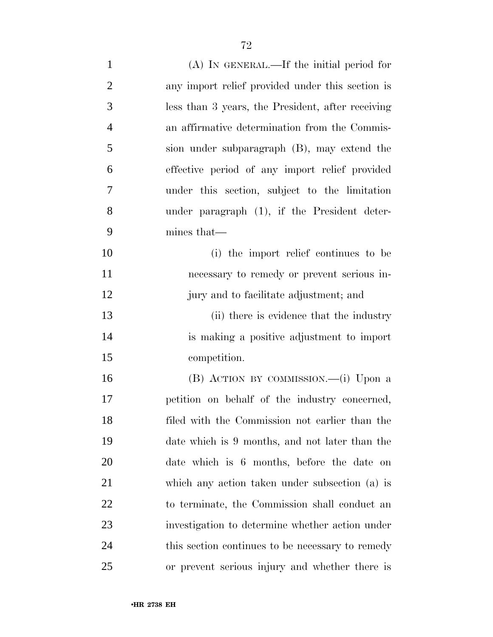| $\mathbf{1}$   | $(A)$ In GENERAL.—If the initial period for       |
|----------------|---------------------------------------------------|
| $\overline{2}$ | any import relief provided under this section is  |
| 3              | less than 3 years, the President, after receiving |
| $\overline{4}$ | an affirmative determination from the Commis-     |
| 5              | sion under subparagraph (B), may extend the       |
| 6              | effective period of any import relief provided    |
| 7              | under this section, subject to the limitation     |
| 8              | under paragraph $(1)$ , if the President deter-   |
| 9              | mines that—                                       |
| 10             | (i) the import relief continues to be             |
| 11             | necessary to remedy or prevent serious in-        |
| 12             | jury and to facilitate adjustment; and            |
| 13             | (ii) there is evidence that the industry          |
| 14             | is making a positive adjustment to import         |
| 15             | competition.                                      |
| 16             | (B) ACTION BY COMMISSION.—(i) Upon a              |
| 17             | petition on behalf of the industry concerned,     |
| 18             | filed with the Commission not earlier than the    |
| 19             | date which is 9 months, and not later than the    |
| 20             | date which is 6 months, before the date on        |
| 21             | which any action taken under subsection (a) is    |
| 22             | to terminate, the Commission shall conduct an     |
| 23             | investigation to determine whether action under   |
| 24             | this section continues to be necessary to remedy  |
| 25             | or prevent serious injury and whether there is    |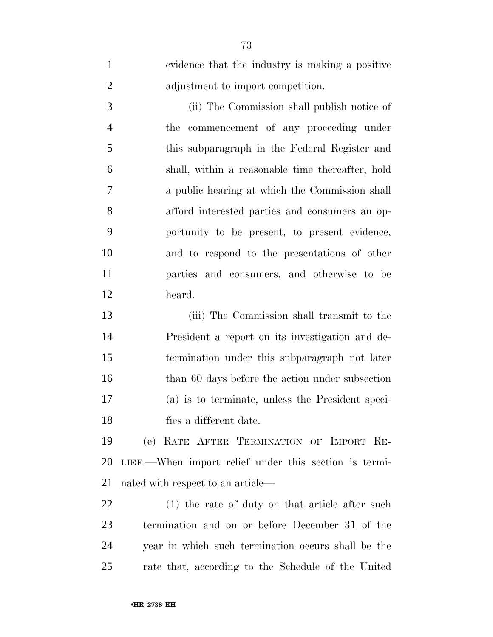evidence that the industry is making a positive adjustment to import competition.

 (ii) The Commission shall publish notice of the commencement of any proceeding under this subparagraph in the Federal Register and shall, within a reasonable time thereafter, hold a public hearing at which the Commission shall afford interested parties and consumers an op- portunity to be present, to present evidence, and to respond to the presentations of other parties and consumers, and otherwise to be heard.

 (iii) The Commission shall transmit to the President a report on its investigation and de- termination under this subparagraph not later 16 than 60 days before the action under subsection (a) is to terminate, unless the President speci-fies a different date.

 (e) RATE AFTER TERMINATION OF IMPORT RE- LIEF.—When import relief under this section is termi-nated with respect to an article—

 (1) the rate of duty on that article after such termination and on or before December 31 of the year in which such termination occurs shall be the rate that, according to the Schedule of the United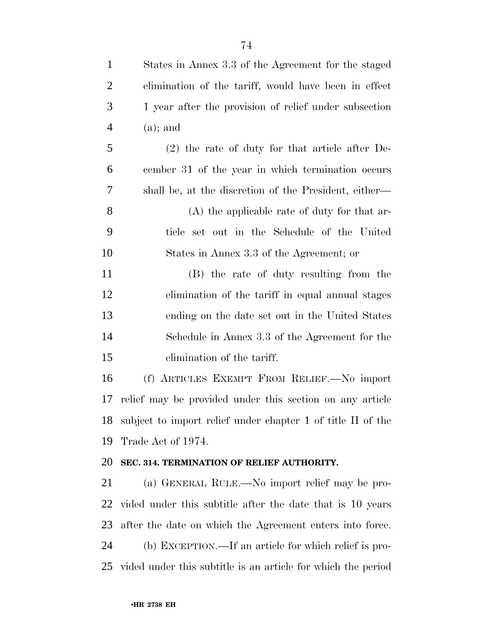| $\overline{2}$ | elimination of the tariff, would have been in effect         |
|----------------|--------------------------------------------------------------|
| 3              | 1 year after the provision of relief under subsection        |
| $\overline{4}$ | $(a)$ ; and                                                  |
| 5              | $(2)$ the rate of duty for that article after De-            |
| 6              | cember 31 of the year in which termination occurs            |
| 7              | shall be, at the discretion of the President, either—        |
| 8              | $(A)$ the applicable rate of duty for that ar-               |
| 9              | ticle set out in the Schedule of the United                  |
| 10             | States in Annex 3.3 of the Agreement; or                     |
| 11             | (B) the rate of duty resulting from the                      |
| 12             | elimination of the tariff in equal annual stages             |
| 13             | ending on the date set out in the United States              |
| 14             | Schedule in Annex 3.3 of the Agreement for the               |
| 15             | elimination of the tariff.                                   |
| 16             | (f) ARTICLES EXEMPT FROM RELIEF.—No import                   |
| 17             | relief may be provided under this section on any article     |
| 18             | subject to import relief under chapter 1 of title II of the  |
|                | 19 Trade Act of 1974.                                        |
| 20             | SEC. 314. TERMINATION OF RELIEF AUTHORITY.                   |
| 21             | (a) GENERAL RULE.—No import relief may be pro-               |
| 22             | vided under this subtitle after the date that is 10 years    |
| 23             | after the date on which the Agreement enters into force.     |
| 24             | (b) EXCEPTION.—If an article for which relief is pro-        |
| 25             | vided under this subtitle is an article for which the period |

States in Annex 3.3 of the Agreement for the staged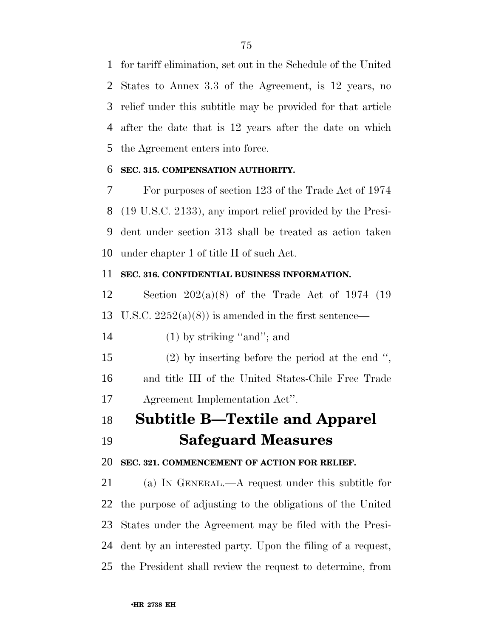for tariff elimination, set out in the Schedule of the United States to Annex 3.3 of the Agreement, is 12 years, no relief under this subtitle may be provided for that article after the date that is 12 years after the date on which the Agreement enters into force.

#### **SEC. 315. COMPENSATION AUTHORITY.**

 For purposes of section 123 of the Trade Act of 1974 (19 U.S.C. 2133), any import relief provided by the Presi- dent under section 313 shall be treated as action taken under chapter 1 of title II of such Act.

#### **SEC. 316. CONFIDENTIAL BUSINESS INFORMATION.**

 Section 202(a)(8) of the Trade Act of 1974 (19 13 U.S.C.  $2252(a)(8)$  is amended in the first sentence—

14 (1) by striking "and"; and

 (2) by inserting before the period at the end '', and title III of the United States-Chile Free Trade Agreement Implementation Act''.

## **Subtitle B—Textile and Apparel**

**Safeguard Measures**

### **SEC. 321. COMMENCEMENT OF ACTION FOR RELIEF.**

 (a) IN GENERAL.—A request under this subtitle for the purpose of adjusting to the obligations of the United States under the Agreement may be filed with the Presi- dent by an interested party. Upon the filing of a request, the President shall review the request to determine, from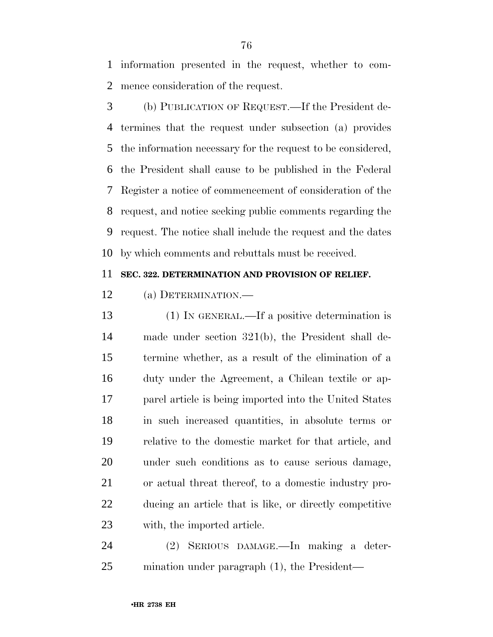information presented in the request, whether to com-mence consideration of the request.

 (b) PUBLICATION OF REQUEST.—If the President de- termines that the request under subsection (a) provides the information necessary for the request to be considered, the President shall cause to be published in the Federal Register a notice of commencement of consideration of the request, and notice seeking public comments regarding the request. The notice shall include the request and the dates by which comments and rebuttals must be received.

#### **SEC. 322. DETERMINATION AND PROVISION OF RELIEF.**

(a) DETERMINATION.—

 (1) IN GENERAL.—If a positive determination is made under section 321(b), the President shall de- termine whether, as a result of the elimination of a duty under the Agreement, a Chilean textile or ap- parel article is being imported into the United States in such increased quantities, in absolute terms or relative to the domestic market for that article, and under such conditions as to cause serious damage, or actual threat thereof, to a domestic industry pro- ducing an article that is like, or directly competitive with, the imported article.

 (2) SERIOUS DAMAGE.—In making a deter-mination under paragraph (1), the President—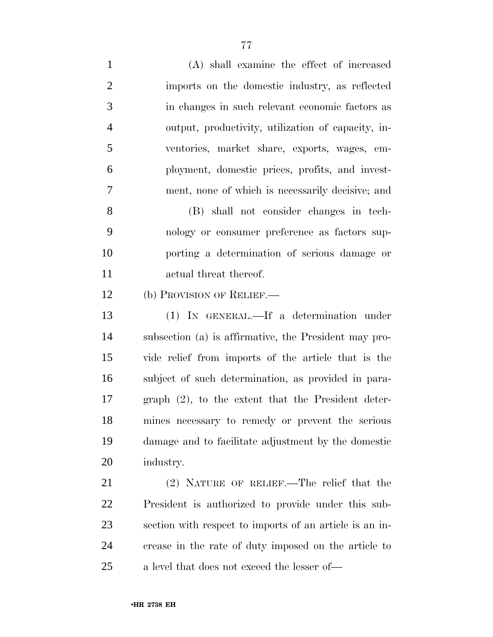(A) shall examine the effect of increased imports on the domestic industry, as reflected in changes in such relevant economic factors as output, productivity, utilization of capacity, in- ventories, market share, exports, wages, em- ployment, domestic prices, profits, and invest- ment, none of which is necessarily decisive; and (B) shall not consider changes in tech- nology or consumer preference as factors sup- porting a determination of serious damage or actual threat thereof. 12 (b) PROVISION OF RELIEF.— (1) IN GENERAL.—If a determination under subsection (a) is affirmative, the President may pro- vide relief from imports of the article that is the subject of such determination, as provided in para- graph (2), to the extent that the President deter- mines necessary to remedy or prevent the serious damage and to facilitate adjustment by the domestic industry.

 (2) NATURE OF RELIEF.—The relief that the President is authorized to provide under this sub- section with respect to imports of an article is an in- crease in the rate of duty imposed on the article to a level that does not exceed the lesser of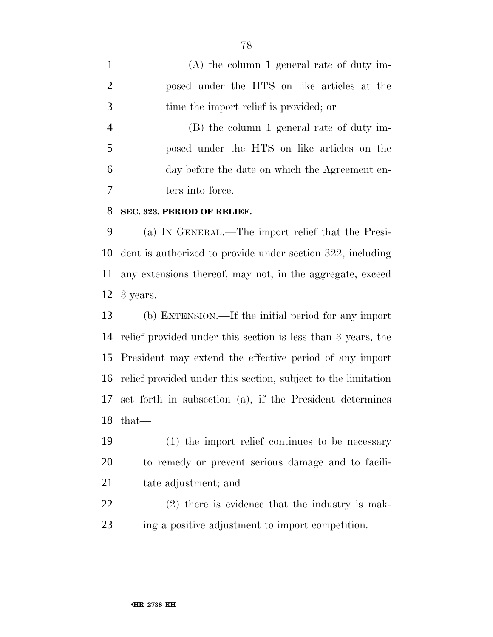(A) the column 1 general rate of duty im- posed under the HTS on like articles at the time the import relief is provided; or (B) the column 1 general rate of duty im-

 posed under the HTS on like articles on the day before the date on which the Agreement en-ters into force.

#### **SEC. 323. PERIOD OF RELIEF.**

 (a) IN GENERAL.—The import relief that the Presi- dent is authorized to provide under section 322, including any extensions thereof, may not, in the aggregate, exceed 3 years.

 (b) EXTENSION.—If the initial period for any import relief provided under this section is less than 3 years, the President may extend the effective period of any import relief provided under this section, subject to the limitation set forth in subsection (a), if the President determines that—

 (1) the import relief continues to be necessary to remedy or prevent serious damage and to facili-tate adjustment; and

 (2) there is evidence that the industry is mak-ing a positive adjustment to import competition.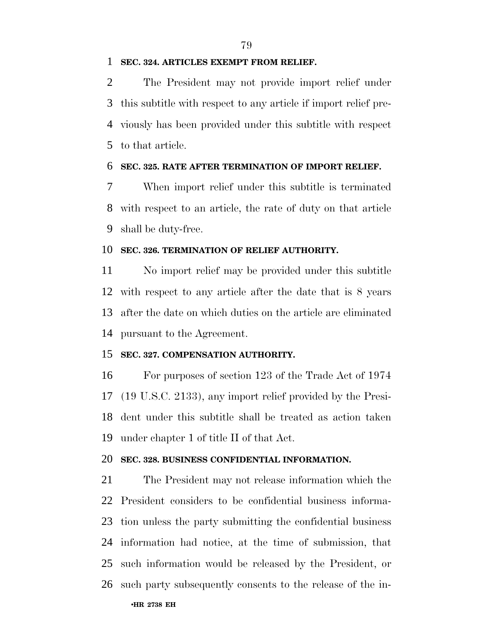#### **SEC. 324. ARTICLES EXEMPT FROM RELIEF.**

 The President may not provide import relief under this subtitle with respect to any article if import relief pre- viously has been provided under this subtitle with respect to that article.

#### **SEC. 325. RATE AFTER TERMINATION OF IMPORT RELIEF.**

 When import relief under this subtitle is terminated with respect to an article, the rate of duty on that article shall be duty-free.

#### **SEC. 326. TERMINATION OF RELIEF AUTHORITY.**

 No import relief may be provided under this subtitle with respect to any article after the date that is 8 years after the date on which duties on the article are eliminated pursuant to the Agreement.

#### **SEC. 327. COMPENSATION AUTHORITY.**

 For purposes of section 123 of the Trade Act of 1974 (19 U.S.C. 2133), any import relief provided by the Presi- dent under this subtitle shall be treated as action taken under chapter 1 of title II of that Act.

#### **SEC. 328. BUSINESS CONFIDENTIAL INFORMATION.**

 The President may not release information which the President considers to be confidential business informa- tion unless the party submitting the confidential business information had notice, at the time of submission, that such information would be released by the President, or such party subsequently consents to the release of the in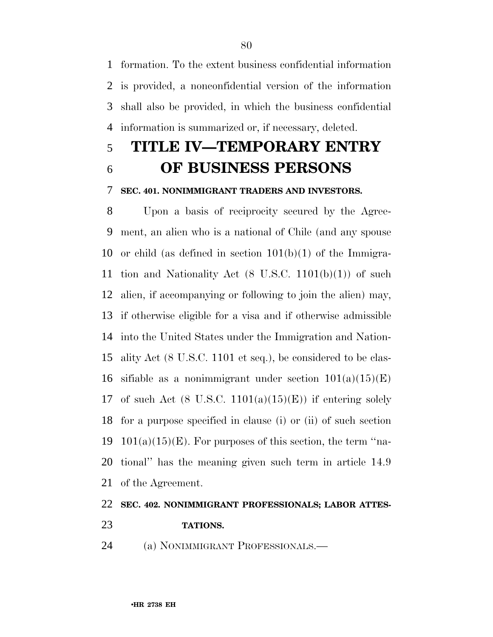formation. To the extent business confidential information is provided, a nonconfidential version of the information shall also be provided, in which the business confidential information is summarized or, if necessary, deleted.

# **TITLE IV—TEMPORARY ENTRY OF BUSINESS PERSONS**

#### **SEC. 401. NONIMMIGRANT TRADERS AND INVESTORS.**

 Upon a basis of reciprocity secured by the Agree- ment, an alien who is a national of Chile (and any spouse 10 or child (as defined in section  $101(b)(1)$  of the Immigra-11 tion and Nationality Act  $(8 \text{ U.S.C. } 1101(b)(1))$  of such alien, if accompanying or following to join the alien) may, if otherwise eligible for a visa and if otherwise admissible into the United States under the Immigration and Nation- ality Act (8 U.S.C. 1101 et seq.), be considered to be clas-16 sifiable as a nonimmigrant under section  $101(a)(15)(E)$ 17 of such Act  $(8 \text{ U.S.C. } 1101(a)(15)(E))$  if entering solely for a purpose specified in clause (i) or (ii) of such section 19 101(a)(15)(E). For purposes of this section, the term "na- tional'' has the meaning given such term in article 14.9 of the Agreement.

## **SEC. 402. NONIMMIGRANT PROFESSIONALS; LABOR ATTES-TATIONS.**

(a) NONIMMIGRANT PROFESSIONALS.—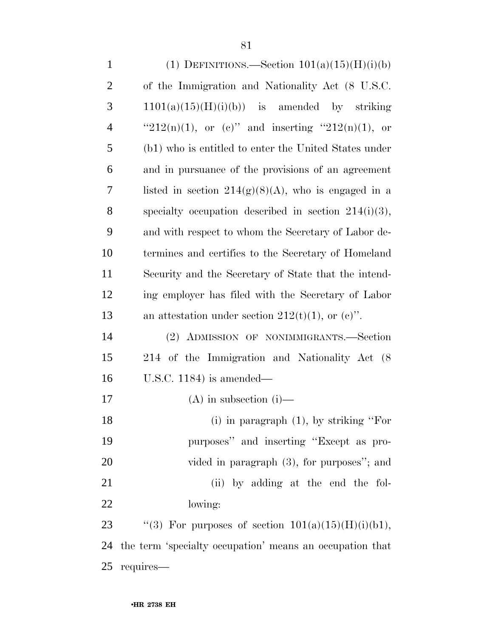1 (1) DEFINITIONS.—Section  $101(a)(15)(H)(i)(b)$  of the Immigration and Nationality Act (8 U.S.C.  $1101(a)(15)(H)(i)(b)$  is amended by striking  $"212(n)(1)$ , or (c)" and inserting " $212(n)(1)$ , or (b1) who is entitled to enter the United States under and in pursuance of the provisions of an agreement 7 listed in section  $214(g)(8)(A)$ , who is engaged in a specialty occupation described in section 214(i)(3), and with respect to whom the Secretary of Labor de- termines and certifies to the Secretary of Homeland Security and the Secretary of State that the intend- ing employer has filed with the Secretary of Labor 13 an attestation under section  $212(t)(1)$ , or  $(e)$ ". (2) ADMISSION OF NONIMMIGRANTS.—Section 214 of the Immigration and Nationality Act (8 U.S.C. 1184) is amended— (A) in subsection (i)— (i) in paragraph (1), by striking ''For

 purposes'' and inserting ''Except as pro-20 vided in paragraph  $(3)$ , for purposes"; and 21 (ii) by adding at the end the fol-lowing:

23  $\text{``(3)}$  For purposes of section  $101(a)(15)(H)(i)(b1)$ , the term 'specialty occupation' means an occupation that requires—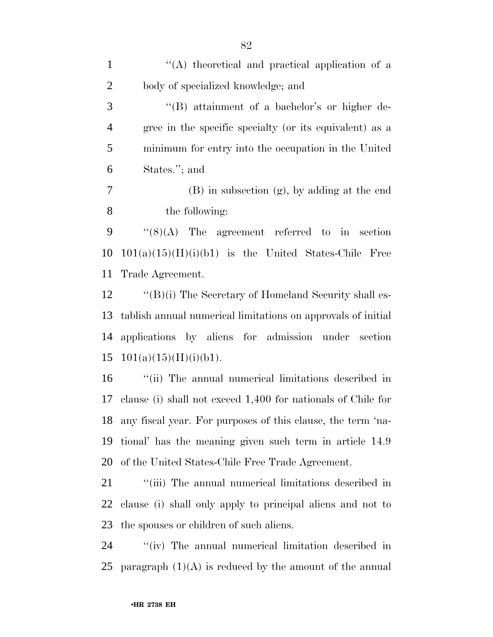| $\mathbf{1}$   | "(A) theoretical and practical application of a              |
|----------------|--------------------------------------------------------------|
| $\overline{2}$ | body of specialized knowledge; and                           |
| 3              | "(B) attainment of a bachelor's or higher de-                |
| $\overline{4}$ | gree in the specific specialty (or its equivalent) as a      |
| $\mathfrak{S}$ | minimum for entry into the occupation in the United          |
| 6              | States."; and                                                |
| $\overline{7}$ | $(B)$ in subsection $(g)$ , by adding at the end             |
| 8              | the following:                                               |
| 9              | $\lq(8)(\mathrm{A})$ The agreement referred to in section    |
| 10             | $101(a)(15)(H)(i)(b1)$ is the United States-Chile Free       |
| 11             | Trade Agreement.                                             |
| 12             | $\lq\lq (B)(i)$ The Secretary of Homeland Security shall es- |
| 13             | tablish annual numerical limitations on approvals of initial |
| 14             | applications by aliens for admission under section           |
| 15             | 101(a)(15)(H)(i)(b1).                                        |
| 16             | "(ii) The annual numerical limitations described in          |
| 17             | clause (i) shall not exceed 1,400 for nationals of Chile for |
| 18             | any fiscal year. For purposes of this clause, the term 'na-  |
| 19             | tional' has the meaning given such term in article 14.9      |
| 20             | of the United States-Chile Free Trade Agreement.             |
|                |                                                              |

21 "(iii) The annual numerical limitations described in clause (i) shall only apply to principal aliens and not to the spouses or children of such aliens.

 ''(iv) The annual numerical limitation described in 25 paragraph  $(1)(A)$  is reduced by the amount of the annual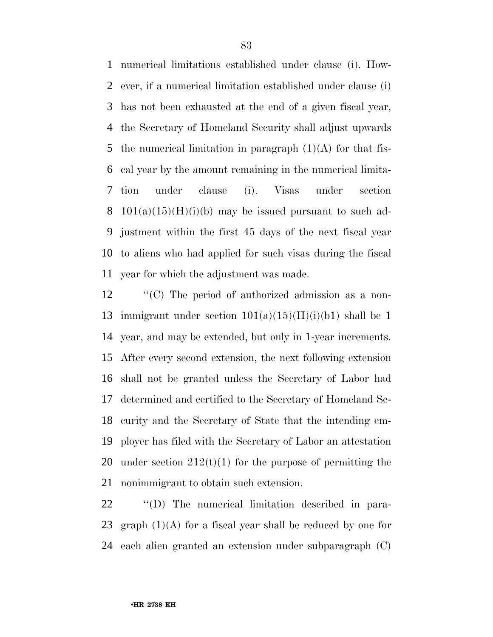numerical limitations established under clause (i). How- ever, if a numerical limitation established under clause (i) has not been exhausted at the end of a given fiscal year, the Secretary of Homeland Security shall adjust upwards 5 the numerical limitation in paragraph  $(1)(A)$  for that fis- cal year by the amount remaining in the numerical limita- tion under clause (i). Visas under section 8 101(a)(15)(H)(i)(b) may be issued pursuant to such ad- justment within the first 45 days of the next fiscal year to aliens who had applied for such visas during the fiscal year for which the adjustment was made.

 ''(C) The period of authorized admission as a non-13 immigrant under section  $101(a)(15)(H)(i)(b1)$  shall be 1 year, and may be extended, but only in 1-year increments. After every second extension, the next following extension shall not be granted unless the Secretary of Labor had determined and certified to the Secretary of Homeland Se- curity and the Secretary of State that the intending em- ployer has filed with the Secretary of Labor an attestation 20 under section  $212(t)(1)$  for the purpose of permitting the nonimmigrant to obtain such extension.

 ''(D) The numerical limitation described in para-23 graph  $(1)(A)$  for a fiscal year shall be reduced by one for each alien granted an extension under subparagraph (C)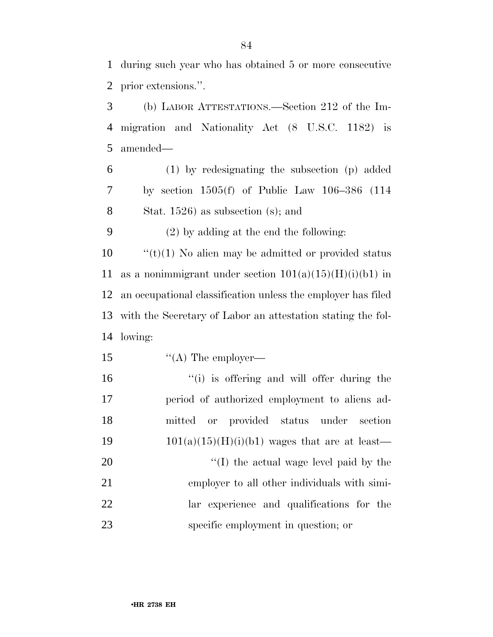during such year who has obtained 5 or more consecutive prior extensions.''.

 (b) LABOR ATTESTATIONS.—Section 212 of the Im- migration and Nationality Act (8 U.S.C. 1182) is amended—

 (1) by redesignating the subsection (p) added by section 1505(f) of Public Law 106–386 (114 Stat. 1526) as subsection (s); and

(2) by adding at the end the following:

 ''(t)(1) No alien may be admitted or provided status 11 as a nonimmigrant under section  $101(a)(15)(H)(i)(b1)$  in an occupational classification unless the employer has filed with the Secretary of Labor an attestation stating the fol-lowing:

15 "(A) The employer—

16 "(i) is offering and will offer during the period of authorized employment to aliens ad- mitted or provided status under section  $101(a)(15)(H)(i)(b1)$  wages that are at least—  $\frac{1}{2}$  (I) the actual wage level paid by the employer to all other individuals with simi- lar experience and qualifications for the specific employment in question; or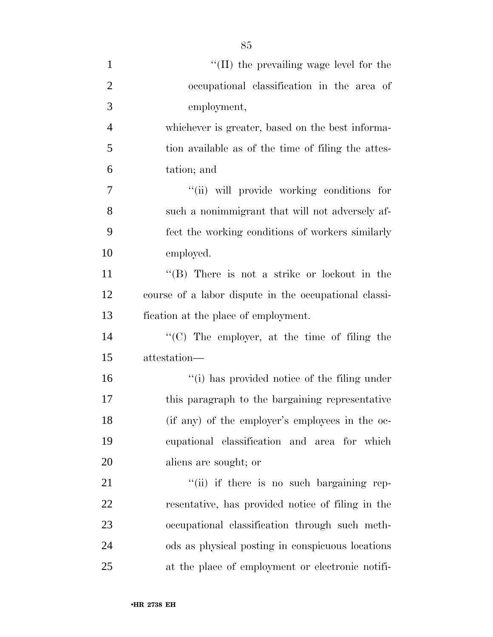| $\mathbf{1}$   | $\lq$ (II) the prevailing wage level for the          |
|----------------|-------------------------------------------------------|
| $\overline{2}$ | occupational classification in the area of            |
| 3              | employment,                                           |
| $\overline{4}$ | whichever is greater, based on the best informa-      |
| 5              | tion available as of the time of filing the attes-    |
| 6              | tation; and                                           |
| $\overline{7}$ | "(ii) will provide working conditions for             |
| 8              | such a nonimmigrant that will not adversely af-       |
| 9              | fect the working conditions of workers similarly      |
| 10             | employed.                                             |
| 11             | "(B) There is not a strike or lockout in the          |
| 12             | course of a labor dispute in the occupational classi- |
| 13             | fication at the place of employment.                  |
| 14             | "(C) The employer, at the time of filing the          |
| 15             | attestation-                                          |
| 16             | "(i) has provided notice of the filing under          |
| 17             | this paragraph to the bargaining representative       |
| 18             | (if any) of the employer's employees in the oc-       |
| 19             | cupational classification and area for which          |
| 20             | aliens are sought; or                                 |
| 21             | "(ii) if there is no such bargaining rep-             |
| 22             | resentative, has provided notice of filing in the     |
| 23             | occupational classification through such meth-        |
| 24             | ods as physical posting in conspicuous locations      |
| 25             | at the place of employment or electronic notifi-      |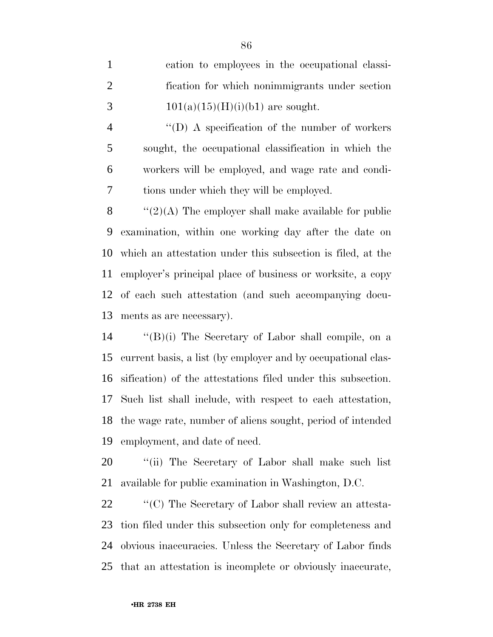|               | cation to employees in the occupational classi- |
|---------------|-------------------------------------------------|
| $\mathcal{L}$ | fication for which nonimmigrants under section  |
| $\mathcal{R}$ | $101(a)(15)(H)(i)(b1)$ are sought.              |

 ''(D) A specification of the number of workers sought, the occupational classification in which the workers will be employed, and wage rate and condi-tions under which they will be employed.

 $\langle (2)(A)$  The employer shall make available for public examination, within one working day after the date on which an attestation under this subsection is filed, at the employer's principal place of business or worksite, a copy of each such attestation (and such accompanying docu-ments as are necessary).

 ''(B)(i) The Secretary of Labor shall compile, on a current basis, a list (by employer and by occupational clas- sification) of the attestations filed under this subsection. Such list shall include, with respect to each attestation, the wage rate, number of aliens sought, period of intended employment, and date of need.

20 "(ii) The Secretary of Labor shall make such list available for public examination in Washington, D.C.

 $\bullet$  "(C) The Secretary of Labor shall review an attesta- tion filed under this subsection only for completeness and obvious inaccuracies. Unless the Secretary of Labor finds that an attestation is incomplete or obviously inaccurate,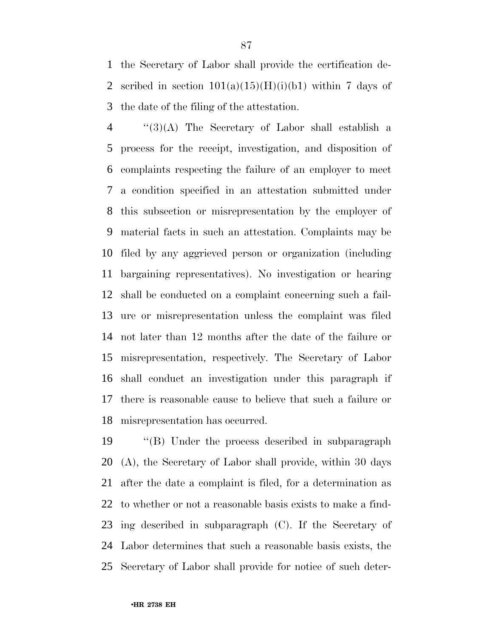the Secretary of Labor shall provide the certification de-2 scribed in section  $101(a)(15)(H)(i)(b1)$  within 7 days of the date of the filing of the attestation.

 ''(3)(A) The Secretary of Labor shall establish a process for the receipt, investigation, and disposition of complaints respecting the failure of an employer to meet a condition specified in an attestation submitted under this subsection or misrepresentation by the employer of material facts in such an attestation. Complaints may be filed by any aggrieved person or organization (including bargaining representatives). No investigation or hearing shall be conducted on a complaint concerning such a fail- ure or misrepresentation unless the complaint was filed not later than 12 months after the date of the failure or misrepresentation, respectively. The Secretary of Labor shall conduct an investigation under this paragraph if there is reasonable cause to believe that such a failure or misrepresentation has occurred.

 ''(B) Under the process described in subparagraph (A), the Secretary of Labor shall provide, within 30 days after the date a complaint is filed, for a determination as to whether or not a reasonable basis exists to make a find- ing described in subparagraph (C). If the Secretary of Labor determines that such a reasonable basis exists, the Secretary of Labor shall provide for notice of such deter-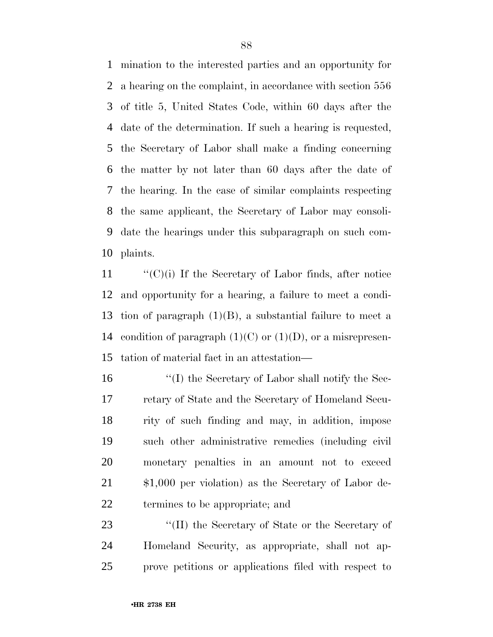mination to the interested parties and an opportunity for a hearing on the complaint, in accordance with section 556 of title 5, United States Code, within 60 days after the date of the determination. If such a hearing is requested, the Secretary of Labor shall make a finding concerning the matter by not later than 60 days after the date of the hearing. In the case of similar complaints respecting the same applicant, the Secretary of Labor may consoli- date the hearings under this subparagraph on such com-plaints.

 ''(C)(i) If the Secretary of Labor finds, after notice and opportunity for a hearing, a failure to meet a condi- tion of paragraph (1)(B), a substantial failure to meet a 14 condition of paragraph  $(1)(C)$  or  $(1)(D)$ , or a misrepresen-tation of material fact in an attestation—

 ''(I) the Secretary of Labor shall notify the Sec- retary of State and the Secretary of Homeland Secu- rity of such finding and may, in addition, impose such other administrative remedies (including civil monetary penalties in an amount not to exceed \$1,000 per violation) as the Secretary of Labor de-termines to be appropriate; and

23 ''(II) the Secretary of State or the Secretary of Homeland Security, as appropriate, shall not ap-prove petitions or applications filed with respect to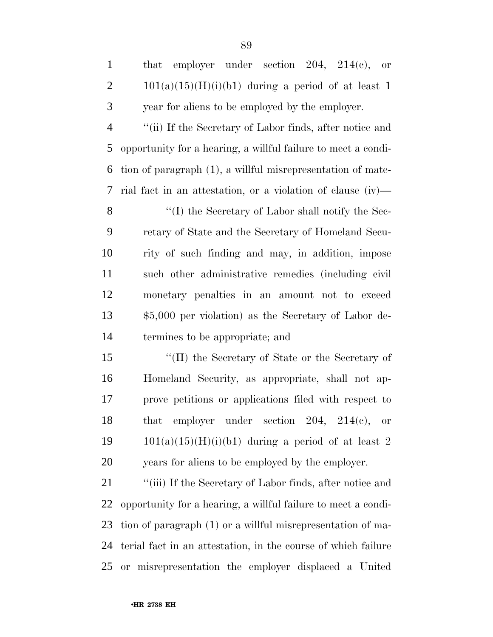| employer under section $204$ , $214(e)$ , or<br>that          |
|---------------------------------------------------------------|
| $101(a)(15)(H)(i)(b1)$ during a period of at least 1          |
|                                                               |
| year for aliens to be employed by the employer.               |
| "(ii) If the Secretary of Labor finds, after notice and       |
| opportunity for a hearing, a willful failure to meet a condi- |
| tion of paragraph (1), a willful misrepresentation of mate-   |
| rial fact in an attestation, or a violation of clause (iv)—   |
| "(I) the Secretary of Labor shall notify the Sec-             |
| retary of State and the Secretary of Homeland Secu-           |
| rity of such finding and may, in addition, impose             |
| such other administrative remedies (including civil           |
| monetary penalties in an amount not to exceed                 |
| $$5,000$ per violation) as the Secretary of Labor de-         |
| termines to be appropriate; and                               |
| "(II) the Secretary of State or the Secretary of              |
| Homeland Security, as appropriate, shall not ap-              |
| prove petitions or applications filed with respect to         |
| employer under section $204$ , $214(e)$ , or<br>that          |
| $101(a)(15)(H)(i)(b1)$ during a period of at least 2          |
| years for aliens to be employed by the employer.              |
| "(iii) If the Secretary of Labor finds, after notice and      |
| opportunity for a hearing, a willful failure to meet a condi- |
| tion of paragraph (1) or a willful misrepresentation of ma-   |
| terial fact in an attestation, in the course of which failure |
|                                                               |

or misrepresentation the employer displaced a United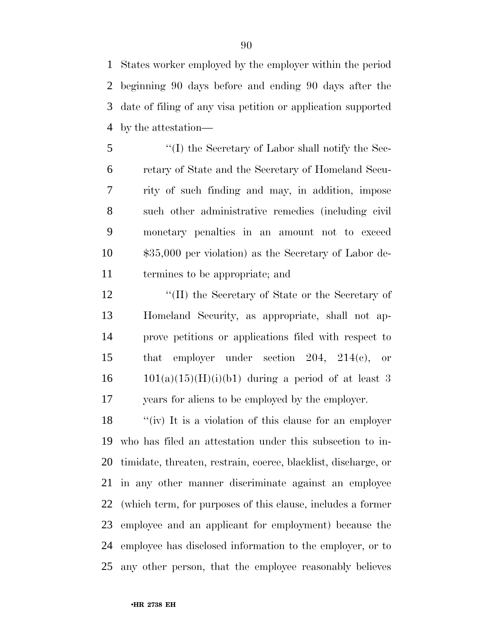States worker employed by the employer within the period beginning 90 days before and ending 90 days after the date of filing of any visa petition or application supported by the attestation—

 ''(I) the Secretary of Labor shall notify the Sec- retary of State and the Secretary of Homeland Secu- rity of such finding and may, in addition, impose such other administrative remedies (including civil monetary penalties in an amount not to exceed \$35,000 per violation) as the Secretary of Labor de-termines to be appropriate; and

12 ''(II) the Secretary of State or the Secretary of Homeland Security, as appropriate, shall not ap- prove petitions or applications filed with respect to that employer under section 204, 214(c), or  $16 \qquad 101(a)(15)(H)(i)(b1)$  during a period of at least 3 years for aliens to be employed by the employer.

 ''(iv) It is a violation of this clause for an employer who has filed an attestation under this subsection to in- timidate, threaten, restrain, coerce, blacklist, discharge, or in any other manner discriminate against an employee (which term, for purposes of this clause, includes a former employee and an applicant for employment) because the employee has disclosed information to the employer, or to any other person, that the employee reasonably believes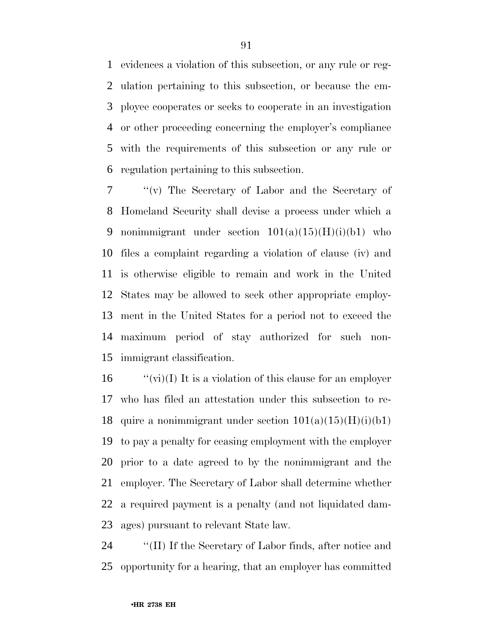evidences a violation of this subsection, or any rule or reg- ulation pertaining to this subsection, or because the em- ployee cooperates or seeks to cooperate in an investigation or other proceeding concerning the employer's compliance with the requirements of this subsection or any rule or regulation pertaining to this subsection.

 ''(v) The Secretary of Labor and the Secretary of Homeland Security shall devise a process under which a 9 nonimmigrant under section  $101(a)(15)(H)(i)(b1)$  who files a complaint regarding a violation of clause (iv) and is otherwise eligible to remain and work in the United States may be allowed to seek other appropriate employ- ment in the United States for a period not to exceed the maximum period of stay authorized for such non-immigrant classification.

 $\qquad$  "(vi)(I) It is a violation of this clause for an employer who has filed an attestation under this subsection to re-18 quire a nonimmigrant under section  $101(a)(15)(H)(i)(b1)$  to pay a penalty for ceasing employment with the employer prior to a date agreed to by the nonimmigrant and the employer. The Secretary of Labor shall determine whether a required payment is a penalty (and not liquidated dam-ages) pursuant to relevant State law.

 ''(II) If the Secretary of Labor finds, after notice and opportunity for a hearing, that an employer has committed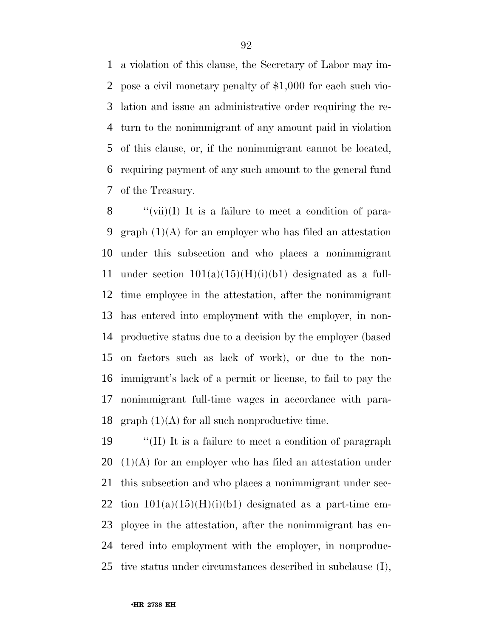a violation of this clause, the Secretary of Labor may im- pose a civil monetary penalty of \$1,000 for each such vio- lation and issue an administrative order requiring the re- turn to the nonimmigrant of any amount paid in violation of this clause, or, if the nonimmigrant cannot be located, requiring payment of any such amount to the general fund of the Treasury.

 ''(vii)(I) It is a failure to meet a condition of para-9 graph  $(1)(A)$  for an employer who has filed an attestation under this subsection and who places a nonimmigrant 11 under section  $101(a)(15)(H)(i)(b1)$  designated as a full- time employee in the attestation, after the nonimmigrant has entered into employment with the employer, in non- productive status due to a decision by the employer (based on factors such as lack of work), or due to the non- immigrant's lack of a permit or license, to fail to pay the nonimmigrant full-time wages in accordance with para-18 graph  $(1)(A)$  for all such nonproductive time.

 ''(II) It is a failure to meet a condition of paragraph  $(1)(A)$  for an employer who has filed an attestation under this subsection and who places a nonimmigrant under sec-22 tion  $101(a)(15)(H)(i)(b1)$  designated as a part-time em- ployee in the attestation, after the nonimmigrant has en- tered into employment with the employer, in nonproduc-tive status under circumstances described in subclause (I),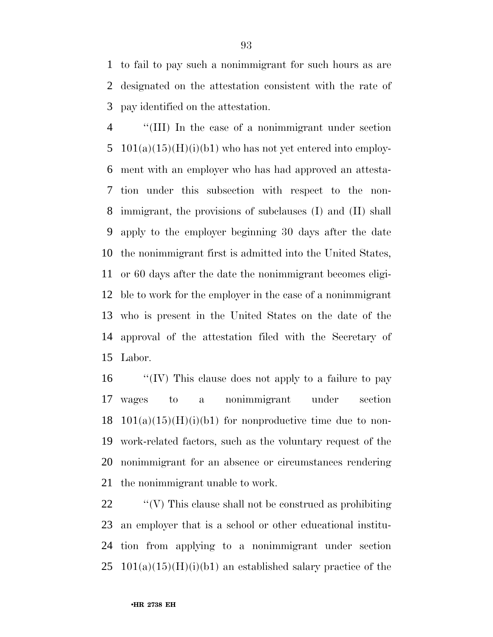to fail to pay such a nonimmigrant for such hours as are designated on the attestation consistent with the rate of pay identified on the attestation.

 ''(III) In the case of a nonimmigrant under section  $101(a)(15)(H)(i)(b1)$  who has not yet entered into employ- ment with an employer who has had approved an attesta- tion under this subsection with respect to the non- immigrant, the provisions of subclauses (I) and (II) shall apply to the employer beginning 30 days after the date the nonimmigrant first is admitted into the United States, or 60 days after the date the nonimmigrant becomes eligi- ble to work for the employer in the case of a nonimmigrant who is present in the United States on the date of the approval of the attestation filed with the Secretary of Labor.

 ''(IV) This clause does not apply to a failure to pay wages to a nonimmigrant under section 18 101(a)(15)(H)(i)(b1) for nonproductive time due to non- work-related factors, such as the voluntary request of the nonimmigrant for an absence or circumstances rendering the nonimmigrant unable to work.

 ''(V) This clause shall not be construed as prohibiting an employer that is a school or other educational institu- tion from applying to a nonimmigrant under section  $25 \text{ } 101(a)(15)(H)(i)(b1)$  an established salary practice of the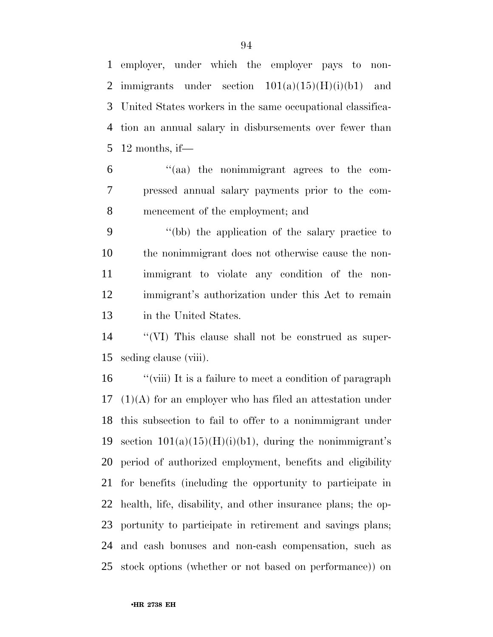employer, under which the employer pays to non-2 immigrants under section  $101(a)(15)(H)(i)(b1)$  and United States workers in the same occupational classifica- tion an annual salary in disbursements over fewer than 12 months, if—

 ''(aa) the nonimmigrant agrees to the com- pressed annual salary payments prior to the com-mencement of the employment; and

 ''(bb) the application of the salary practice to the nonimmigrant does not otherwise cause the non- immigrant to violate any condition of the non- immigrant's authorization under this Act to remain in the United States.

 ''(VI) This clause shall not be construed as super-seding clause (viii).

 ''(viii) It is a failure to meet a condition of paragraph (1)(A) for an employer who has filed an attestation under this subsection to fail to offer to a nonimmigrant under 19 section  $101(a)(15)(H)(i)(b1)$ , during the nonimmigrant's period of authorized employment, benefits and eligibility for benefits (including the opportunity to participate in health, life, disability, and other insurance plans; the op- portunity to participate in retirement and savings plans; and cash bonuses and non-cash compensation, such as stock options (whether or not based on performance)) on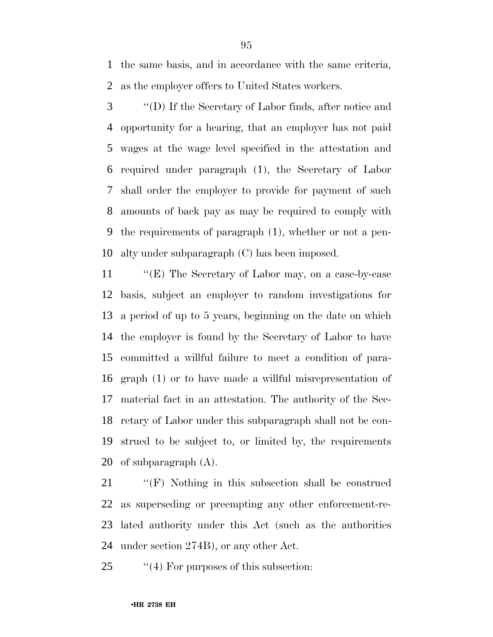the same basis, and in accordance with the same criteria, as the employer offers to United States workers.

 ''(D) If the Secretary of Labor finds, after notice and opportunity for a hearing, that an employer has not paid wages at the wage level specified in the attestation and required under paragraph (1), the Secretary of Labor shall order the employer to provide for payment of such amounts of back pay as may be required to comply with the requirements of paragraph (1), whether or not a pen-alty under subparagraph (C) has been imposed.

 ''(E) The Secretary of Labor may, on a case-by-case basis, subject an employer to random investigations for a period of up to 5 years, beginning on the date on which the employer is found by the Secretary of Labor to have committed a willful failure to meet a condition of para- graph (1) or to have made a willful misrepresentation of material fact in an attestation. The authority of the Sec- retary of Labor under this subparagraph shall not be con- strued to be subject to, or limited by, the requirements of subparagraph (A).

 ''(F) Nothing in this subsection shall be construed as superseding or preempting any other enforcement-re- lated authority under this Act (such as the authorities under section 274B), or any other Act.

25 "(4) For purposes of this subsection: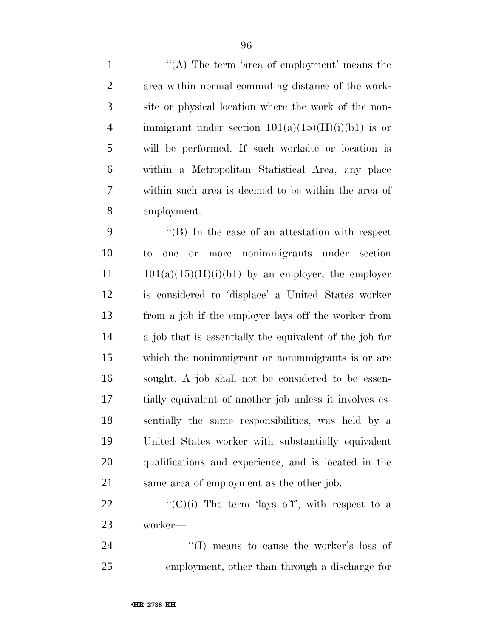1 ''(A) The term 'area of employment' means the area within normal commuting distance of the work- site or physical location where the work of the non-4 immigrant under section  $101(a)(15)(H)(i)(b1)$  is or will be performed. If such worksite or location is within a Metropolitan Statistical Area, any place within such area is deemed to be within the area of employment.

 ''(B) In the case of an attestation with respect to one or more nonimmigrants under section 101(a)(15)(H)(i)(b1) by an employer, the employer is considered to 'displace' a United States worker from a job if the employer lays off the worker from a job that is essentially the equivalent of the job for which the nonimmigrant or nonimmigrants is or are sought. A job shall not be considered to be essen- tially equivalent of another job unless it involves es- sentially the same responsibilities, was held by a United States worker with substantially equivalent qualifications and experience, and is located in the same area of employment as the other job.

22  $\langle (C)(i) \rangle$  The term 'lays off', with respect to a worker—

24 ''(I) means to cause the worker's loss of employment, other than through a discharge for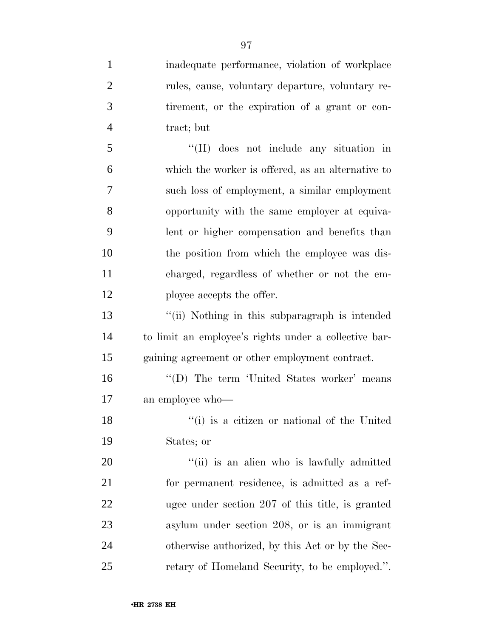inadequate performance, violation of workplace rules, cause, voluntary departure, voluntary re- tirement, or the expiration of a grant or con- tract; but ''(II) does not include any situation in which the worker is offered, as an alternative to such loss of employment, a similar employment opportunity with the same employer at equiva- lent or higher compensation and benefits than the position from which the employee was dis- charged, regardless of whether or not the em-12 ployee accepts the offer. ''(ii) Nothing in this subparagraph is intended to limit an employee's rights under a collective bar- gaining agreement or other employment contract. 16 ''(D) The term 'United States worker' means an employee who— 18 ''(i) is a citizen or national of the United States; or  $\frac{1}{1}$  (ii) is an alien who is lawfully admitted for permanent residence, is admitted as a ref- ugee under section 207 of this title, is granted asylum under section 208, or is an immigrant otherwise authorized, by this Act or by the Sec-retary of Homeland Security, to be employed.''.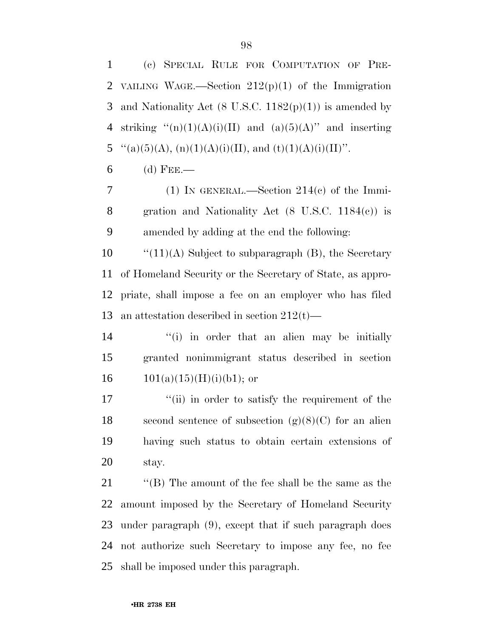•**HR 2738 EH**

 (c) SPECIAL RULE FOR COMPUTATION OF PRE-2 VAILING WAGE.—Section  $212(p)(1)$  of the Immigration 3 and Nationality Act  $(8 \text{ U.S.C. } 1182(p)(1))$  is amended by 4 striking  $\binom{1}{1}$ (A)(i)(II) and (a)(5)(A)'' and inserting 5  $\text{``}(a)(5)(A), (n)(1)(A)(i)(II), and (t)(1)(A)(i)(II)$ ".

(d) FEE.—

 (1) IN GENERAL.—Section 214(c) of the Immi- gration and Nationality Act (8 U.S.C. 1184(c)) is amended by adding at the end the following:

 $\qquad$  "(11)(A) Subject to subparagraph (B), the Secretary of Homeland Security or the Secretary of State, as appro- priate, shall impose a fee on an employer who has filed an attestation described in section 212(t)—

14 ''(i) in order that an alien may be initially granted nonimmigrant status described in section 16  $101(a)(15)(H)(i)(b1)$ ; or

17 ''(ii) in order to satisfy the requirement of the 18 second sentence of subsection  $(g)(8)(C)$  for an alien having such status to obtain certain extensions of stay.

 ''(B) The amount of the fee shall be the same as the amount imposed by the Secretary of Homeland Security under paragraph (9), except that if such paragraph does not authorize such Secretary to impose any fee, no fee shall be imposed under this paragraph.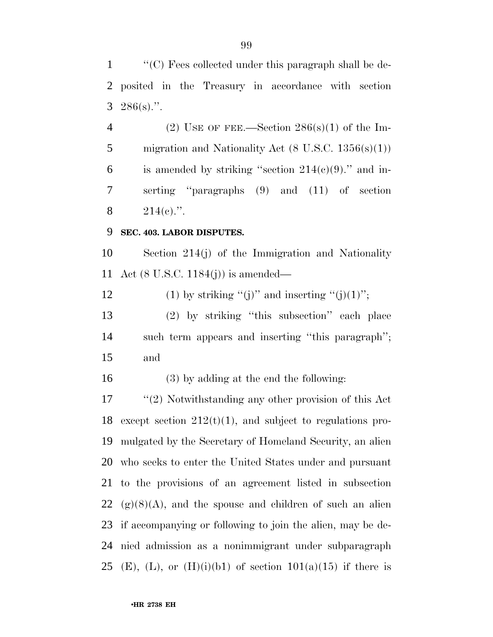''(C) Fees collected under this paragraph shall be de- posited in the Treasury in accordance with section  $3 \quad 286(s)$ .".

4 (2) USE OF FEE.—Section  $286(s)(1)$  of the Im-5 migration and Nationality Act  $(8 \text{ U.S.C. } 1356(\text{s})(1))$ 6 is amended by striking "section  $214(e)(9)$ ." and in- serting ''paragraphs (9) and (11) of section 8  $214(e)$ .".

#### **SEC. 403. LABOR DISPUTES.**

 Section 214(j) of the Immigration and Nationality Act (8 U.S.C. 1184(j)) is amended—

12 (1) by striking "(j)" and inserting "(j)(1)";

 (2) by striking ''this subsection'' each place such term appears and inserting ''this paragraph''; and

(3) by adding at the end the following:

 ''(2) Notwithstanding any other provision of this Act 18 except section  $212(t)(1)$ , and subject to regulations pro- mulgated by the Secretary of Homeland Security, an alien who seeks to enter the United States under and pursuant to the provisions of an agreement listed in subsection  $22 \text{ (g)}(8)$ (A), and the spouse and children of such an alien if accompanying or following to join the alien, may be de- nied admission as a nonimmigrant under subparagraph 25 (E), (L), or (H)(i)(b1) of section  $101(a)(15)$  if there is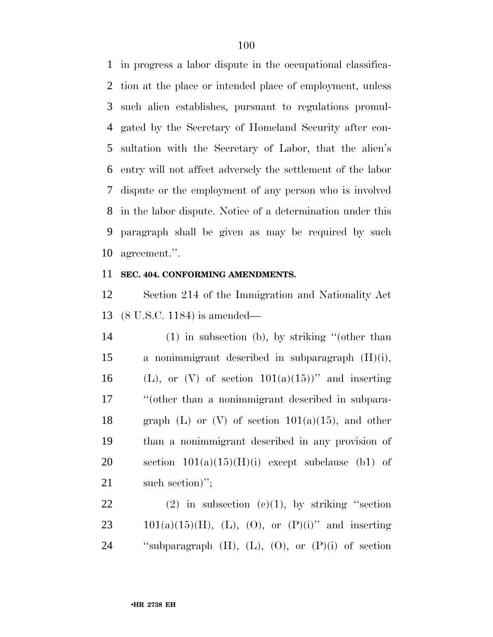in progress a labor dispute in the occupational classifica- tion at the place or intended place of employment, unless such alien establishes, pursuant to regulations promul- gated by the Secretary of Homeland Security after con- sultation with the Secretary of Labor, that the alien's entry will not affect adversely the settlement of the labor dispute or the employment of any person who is involved in the labor dispute. Notice of a determination under this paragraph shall be given as may be required by such agreement.''.

#### **SEC. 404. CONFORMING AMENDMENTS.**

 Section 214 of the Immigration and Nationality Act (8 U.S.C. 1184) is amended—

 (1) in subsection (b), by striking ''(other than a nonimmigrant described in subparagraph (H)(i), 16 (L), or (V) of section  $101(a)(15)$ " and inserting ''(other than a nonimmigrant described in subpara-18 graph (L) or (V) of section  $101(a)(15)$ , and other than a nonimmigrant described in any provision of 20 section  $101(a)(15)(H)(i)$  except subclause (b1) of 21 such section)";

22 (2) in subsection  $(e)(1)$ , by striking "section 23 101(a)(15)(H), (L), (O), or  $(P)(i)$ " and inserting ''subparagraph (H), (L), (O), or (P)(i) of section